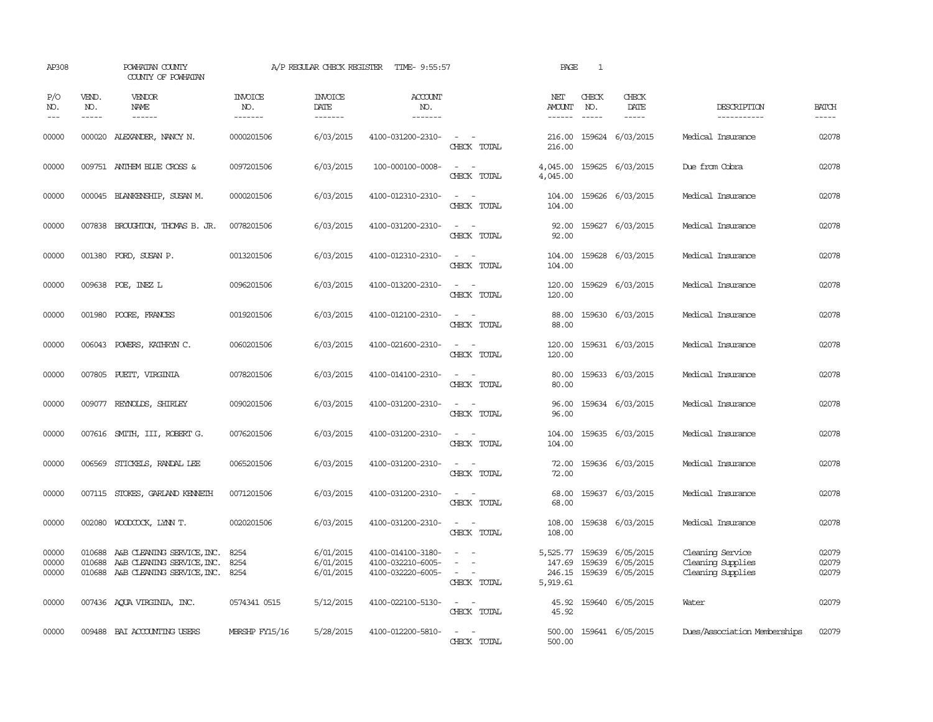| AP308                   |                             | POWHATAN COUNTY<br>COUNTY OF POWHATAN                                                                            |                                  | A/P REGULAR CHECK REGISTER               | TIME- 9:55:57                                               |                                                                                                                             | PAGE                         | 1                             |                                                                   |                                                            |                             |
|-------------------------|-----------------------------|------------------------------------------------------------------------------------------------------------------|----------------------------------|------------------------------------------|-------------------------------------------------------------|-----------------------------------------------------------------------------------------------------------------------------|------------------------------|-------------------------------|-------------------------------------------------------------------|------------------------------------------------------------|-----------------------------|
| P/O<br>NO.<br>$---$     | VEND.<br>NO.<br>$- - - - -$ | <b>VENDOR</b><br><b>NAME</b><br>$- - - - - -$                                                                    | <b>INVOICE</b><br>NO.<br>------- | <b>INVOICE</b><br><b>DATE</b><br>------- | ACCOUNT<br>NO.<br>-------                                   |                                                                                                                             | NET<br>AMOUNT<br>------      | CHECK<br>NO.<br>$\frac{1}{2}$ | CHECK<br>DATE<br>$- - - - -$                                      | DESCRIPTION<br>-----------                                 | <b>BATCH</b><br>$- - - - -$ |
| 00000                   |                             | 000020 ALEXANDER, NANCY N.                                                                                       | 0000201506                       | 6/03/2015                                | 4100-031200-2310-                                           | $\sim$ $\sim$<br>CHECK TOTAL                                                                                                | 216.00<br>216.00             |                               | 159624 6/03/2015                                                  | Medical Insurance                                          | 02078                       |
| 00000                   |                             | 009751 ANTHEM BLUE CROSS &                                                                                       | 0097201506                       | 6/03/2015                                | 100-000100-0008-                                            | $\sim$ 10 $\sim$ 10 $\sim$<br>CHECK TOTAL                                                                                   | 4,045.00<br>4,045.00         |                               | 159625 6/03/2015                                                  | Due from Cobra                                             | 02078                       |
| 00000                   |                             | 000045 BLANKENSHIP, SUSAN M.                                                                                     | 0000201506                       | 6/03/2015                                | 4100-012310-2310-                                           | $\sim$ 100 $\sim$<br>CHECK TOTAL                                                                                            | 104.00<br>104.00             |                               | 159626 6/03/2015                                                  | Medical Insurance                                          | 02078                       |
| 00000                   |                             | 007838 BROUGHTON, THOMAS B. JR.                                                                                  | 0078201506                       | 6/03/2015                                | 4100-031200-2310-                                           | $\overline{\phantom{a}}$<br>CHECK TOTAL                                                                                     | 92.00<br>92.00               |                               | 159627 6/03/2015                                                  | Medical Insurance                                          | 02078                       |
| 00000                   |                             | 001380 FORD, SUSAN P.                                                                                            | 0013201506                       | 6/03/2015                                | 4100-012310-2310-                                           | $\sim$<br>$\sim$<br>CHECK TOTAL                                                                                             | 104.00<br>104.00             |                               | 159628 6/03/2015                                                  | Medical Insurance                                          | 02078                       |
| 00000                   |                             | 009638 POE, INEZ L                                                                                               | 0096201506                       | 6/03/2015                                | 4100-013200-2310-                                           | $\frac{1}{2} \left( \frac{1}{2} \right) \left( \frac{1}{2} \right) = \frac{1}{2} \left( \frac{1}{2} \right)$<br>CHECK TOTAL | 120.00<br>120.00             |                               | 159629 6/03/2015                                                  | Medical Insurance                                          | 02078                       |
| 00000                   |                             | 001980 POORE, FRANCES                                                                                            | 0019201506                       | 6/03/2015                                | 4100-012100-2310-                                           | $\sim$<br>CHECK TOTAL                                                                                                       | 88.00<br>88.00               |                               | 159630 6/03/2015                                                  | Medical Insurance                                          | 02078                       |
| 00000                   |                             | 006043 POWERS, KATHRYN C.                                                                                        | 0060201506                       | 6/03/2015                                | 4100-021600-2310-                                           | CHECK TOTAL                                                                                                                 | 120.00<br>120.00             |                               | 159631 6/03/2015                                                  | Medical Insurance                                          | 02078                       |
| 00000                   |                             | 007805 PUETT, VIRGINIA                                                                                           | 0078201506                       | 6/03/2015                                | 4100-014100-2310-                                           | CHECK TOTAL                                                                                                                 | 80.00<br>80.00               |                               | 159633 6/03/2015                                                  | Medical Insurance                                          | 02078                       |
| 00000                   | 009077                      | REYNOLDS, SHIRLEY                                                                                                | 0090201506                       | 6/03/2015                                | 4100-031200-2310-                                           | CHECK TOTAL                                                                                                                 | 96.00<br>96.00               |                               | 159634 6/03/2015                                                  | Medical Insurance                                          | 02078                       |
| 00000                   |                             | 007616 SMITH, III, ROBERT G.                                                                                     | 0076201506                       | 6/03/2015                                | 4100-031200-2310-                                           | $\equiv$<br>CHECK TOTAL                                                                                                     | 104.00<br>104.00             |                               | 159635 6/03/2015                                                  | Medical Insurance                                          | 02078                       |
| 00000                   |                             | 006569 STICKELS, RANDAL LEE                                                                                      | 0065201506                       | 6/03/2015                                | 4100-031200-2310-                                           | $ -$<br>CHECK TOTAL                                                                                                         | 72.00<br>72.00               |                               | 159636 6/03/2015                                                  | Medical Insurance                                          | 02078                       |
| 00000                   |                             | 007115 STOKES, GARLAND KENNETH                                                                                   | 0071201506                       | 6/03/2015                                | 4100-031200-2310-                                           | $\sim$ $\sim$<br>CHECK TOTAL                                                                                                | 68.00<br>68.00               |                               | 159637 6/03/2015                                                  | Medical Insurance                                          | 02078                       |
| 00000                   |                             | 002080 WOODCOCK, LYNN T.                                                                                         | 0020201506                       | 6/03/2015                                | 4100-031200-2310-                                           | $\sim$ 100 $\sim$ 100 $\sim$<br>CHECK TOTAL                                                                                 | 108.00<br>108.00             |                               | 159638 6/03/2015                                                  | Medical Insurance                                          | 02078                       |
| 00000<br>00000<br>00000 |                             | 010688 A&B CLEANING SERVICE, INC.<br>010688 A&B CLEANING SERVICE, INC.<br>010688 A&B CLEANING SERVICE, INC. 8254 | 8254<br>8254                     | 6/01/2015<br>6/01/2015<br>6/01/2015      | 4100-014100-3180-<br>4100-032210-6005-<br>4100-032220-6005- | $\sim$<br>$\sim$<br>CHECK TOTAL                                                                                             | 147.69<br>246.15<br>5,919.61 |                               | 5,525.77 159639 6/05/2015<br>159639 6/05/2015<br>159639 6/05/2015 | Cleaning Service<br>Cleaning Supplies<br>Cleaning Supplies | 02079<br>02079<br>02079     |
| 00000                   |                             | 007436 AQUA VIRGINIA, INC.                                                                                       | 0574341 0515                     | 5/12/2015                                | 4100-022100-5130-                                           | $\frac{1}{2} \left( \frac{1}{2} \right) \left( \frac{1}{2} \right) = \frac{1}{2} \left( \frac{1}{2} \right)$<br>CHECK TOTAL | 45.92<br>45.92               |                               | 159640 6/05/2015                                                  | Water                                                      | 02079                       |
| 00000                   |                             | 009488 BAI ACCOUNTING USERS                                                                                      | MBRSHP FY15/16                   | 5/28/2015                                | 4100-012200-5810-                                           | $\sim$<br>$\sim$<br>CHECK TOTAL                                                                                             | 500.00<br>500.00             |                               | 159641 6/05/2015                                                  | Dues/Association Memberships                               | 02079                       |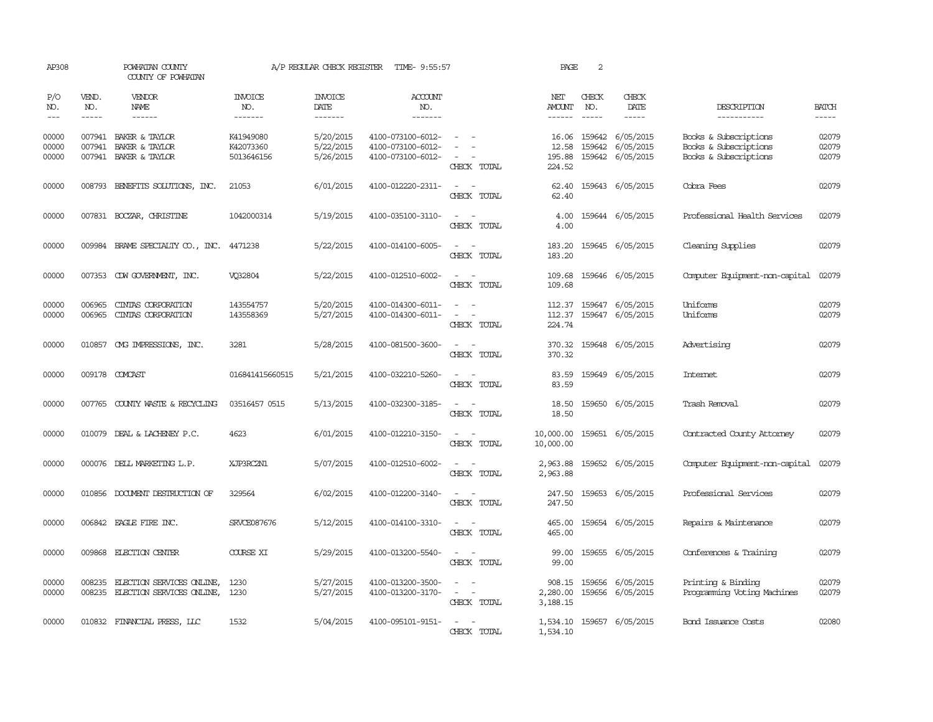| AP308                   |                             | POWHATAN COUNTY<br>COUNTY OF POWHATAN                            |                                      | A/P REGULAR CHECK REGISTER          | TIME- 9:55:57                                               |                                                                                                                             | PAGE                      | 2                             |                                                                |                                                                         |                         |
|-------------------------|-----------------------------|------------------------------------------------------------------|--------------------------------------|-------------------------------------|-------------------------------------------------------------|-----------------------------------------------------------------------------------------------------------------------------|---------------------------|-------------------------------|----------------------------------------------------------------|-------------------------------------------------------------------------|-------------------------|
| P/O<br>NO.<br>$---$     | VEND.<br>NO.<br>$- - - - -$ | VENDOR<br><b>NAME</b><br>------                                  | <b>INVOICE</b><br>NO.<br>-------     | <b>INVOICE</b><br>DATE<br>-------   | <b>ACCOUNT</b><br>NO.<br>$- - - - - - -$                    |                                                                                                                             | NET<br>AMOUNT<br>------   | CHECK<br>NO.<br>$\frac{1}{2}$ | CHECK<br>DATE<br>$- - - - -$                                   | DESCRIPTION<br>-----------                                              | <b>BATCH</b><br>-----   |
| 00000<br>00000<br>00000 | 007941                      | 007941 BAKER & TAYLOR<br>BAKER & TAYLOR<br>007941 BAKER & TAYLOR | K41949080<br>K42073360<br>5013646156 | 5/20/2015<br>5/22/2015<br>5/26/2015 | 4100-073100-6012-<br>4100-073100-6012-<br>4100-073100-6012- | CHECK TOTAL                                                                                                                 | 12.58<br>195.88<br>224.52 |                               | 16.06 159642 6/05/2015<br>159642 6/05/2015<br>159642 6/05/2015 | Books & Subscriptions<br>Books & Subscriptions<br>Books & Subscriptions | 02079<br>02079<br>02079 |
| 00000                   |                             | 008793 BENEFITS SOLUTIONS, INC.                                  | 21053                                | 6/01/2015                           | 4100-012220-2311-                                           | $\frac{1}{2} \left( \frac{1}{2} \right) \left( \frac{1}{2} \right) = \frac{1}{2} \left( \frac{1}{2} \right)$<br>CHECK TOTAL | 62.40<br>62.40            |                               | 159643 6/05/2015                                               | Cobra Fees                                                              | 02079                   |
| 00000                   |                             | 007831 BOCZAR, CHRISTINE                                         | 1042000314                           | 5/19/2015                           | 4100-035100-3110-                                           | $\frac{1}{2} \left( \frac{1}{2} \right) \left( \frac{1}{2} \right) = \frac{1}{2} \left( \frac{1}{2} \right)$<br>CHECK TOTAL | 4.00<br>4.00              |                               | 159644 6/05/2015                                               | Professional Health Services                                            | 02079                   |
| 00000                   | 009984                      | BRAME SPECIALIY CO., INC.                                        | 4471238                              | 5/22/2015                           | 4100-014100-6005-                                           | CHECK TOTAL                                                                                                                 | 183.20<br>183.20          |                               | 159645 6/05/2015                                               | Cleaning Supplies                                                       | 02079                   |
| 00000                   |                             | 007353 CDW GOVERNMENT, INC.                                      | VQ32804                              | 5/22/2015                           | 4100-012510-6002-                                           | $\sim$ $ \sim$<br>CHECK TOTAL                                                                                               | 109.68<br>109.68          |                               | 159646 6/05/2015                                               | Computer Equipment-non-capital                                          | 02079                   |
| 00000<br>00000          | 006965<br>006965            | CINIAS CORPORATION<br>CINIAS CORPORATION                         | 143554757<br>143558369               | 5/20/2015<br>5/27/2015              | 4100-014300-6011-<br>4100-014300-6011-                      | $\omega_{\rm{max}}$ and $\omega_{\rm{max}}$<br>CHECK TOTAL                                                                  | 112.37<br>224.74          |                               | 112.37 159647 6/05/2015<br>159647 6/05/2015                    | Uniforms<br>Uniforms                                                    | 02079<br>02079          |
| 00000                   |                             | 010857 CMG IMPRESSIONS, INC.                                     | 3281                                 | 5/28/2015                           | 4100-081500-3600-                                           | $\sim$ $ \sim$<br>CHECK TOTAL                                                                                               | 370.32<br>370.32          |                               | 159648 6/05/2015                                               | Advertising                                                             | 02079                   |
| 00000                   |                             | 009178 COMCAST                                                   | 016841415660515                      | 5/21/2015                           | 4100-032210-5260-                                           | $\frac{1}{2} \left( \frac{1}{2} \right) \left( \frac{1}{2} \right) = \frac{1}{2} \left( \frac{1}{2} \right)$<br>CHECK TOTAL | 83.59<br>83.59            |                               | 159649 6/05/2015                                               | Internet                                                                | 02079                   |
| 00000                   |                             | 007765 COUNTY WASTE & RECYCLING                                  | 03516457 0515                        | 5/13/2015                           | 4100-032300-3185-                                           | $\sim$ $\sim$<br>CHECK TOTAL                                                                                                | 18.50<br>18.50            |                               | 159650 6/05/2015                                               | Trash Removal                                                           | 02079                   |
| 00000                   |                             | 010079 DEAL & LACHENEY P.C.                                      | 4623                                 | 6/01/2015                           | 4100-012210-3150-                                           | $\sim$ $ -$<br>CHECK TOTAL                                                                                                  | 10,000.00<br>10,000.00    |                               | 159651 6/05/2015                                               | Contracted County Attorney                                              | 02079                   |
| 00000                   |                             | 000076 DELL MARKETING L.P.                                       | XJP3RC2N1                            | 5/07/2015                           | 4100-012510-6002-                                           | CHECK TOTAL                                                                                                                 | 2,963.88<br>2,963.88      |                               | 159652 6/05/2015                                               | Computer Equipment-non-capital                                          | 02079                   |
| 00000                   |                             | 010856 DOCUMENT DESTRUCTION OF                                   | 329564                               | 6/02/2015                           | 4100-012200-3140-                                           | $ -$<br>CHECK TOTAL                                                                                                         | 247.50<br>247.50          |                               | 159653 6/05/2015                                               | Professional Services                                                   | 02079                   |
| 00000                   |                             | 006842 EAGLE FIRE INC.                                           | SRVCE087676                          | 5/12/2015                           | 4100-014100-3310-                                           | CHECK TOTAL                                                                                                                 | 465.00<br>465.00          |                               | 159654 6/05/2015                                               | Repairs & Maintenance                                                   | 02079                   |
| 00000                   |                             | 009868 ELECTION CENTER                                           | COURSE XI                            | 5/29/2015                           | 4100-013200-5540-                                           | $\sim$<br>CHECK TOTAL                                                                                                       | 99.00<br>99.00            |                               | 159655 6/05/2015                                               | Conferences & Training                                                  | 02079                   |
| 00000<br>00000          | 008235                      | ELECTION SERVICES ONLINE,<br>008235 ELECTION SERVICES ONLINE,    | 1230<br>1230                         | 5/27/2015<br>5/27/2015              | 4100-013200-3500-<br>4100-013200-3170-                      | $\sim$ $ -$<br>CHECK TOTAL                                                                                                  | 2,280.00<br>3,188.15      |                               | 908.15 159656 6/05/2015<br>159656 6/05/2015                    | Printing & Binding<br>Programming Voting Machines                       | 02079<br>02079          |
| 00000                   |                             | 010832 FINANCIAL PRESS, LLC                                      | 1532                                 | 5/04/2015                           | 4100-095101-9151-                                           | $\sim$ $-$<br>CHECK TOTAL                                                                                                   | 1,534.10                  |                               | 1,534.10 159657 6/05/2015                                      | Bond Issuance Costs                                                     | 02080                   |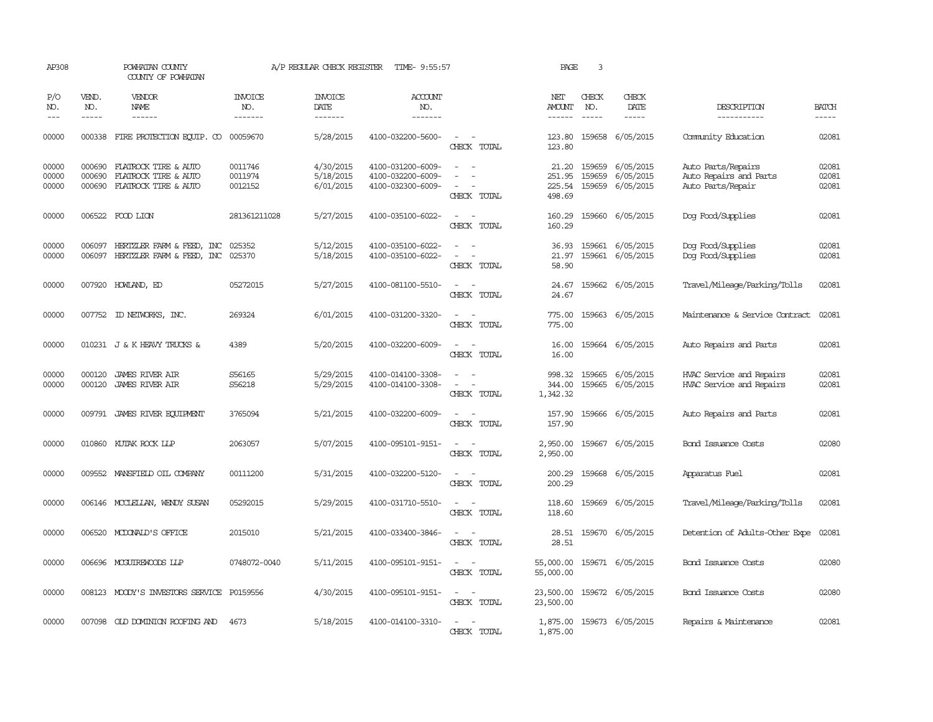| AP308                   |                               | POWHATAN COUNTY<br>COUNTY OF POWHATAN                                       |                                  | A/P REGULAR CHECK REGISTER          | TIME- 9:55:57                                               |                                                                     | PAGE                                  | 3                                |                                     |                                                                   |                             |
|-------------------------|-------------------------------|-----------------------------------------------------------------------------|----------------------------------|-------------------------------------|-------------------------------------------------------------|---------------------------------------------------------------------|---------------------------------------|----------------------------------|-------------------------------------|-------------------------------------------------------------------|-----------------------------|
| P/O<br>NO.<br>$---$     | VEND.<br>NO.<br>$\frac{1}{2}$ | <b>VENDOR</b><br><b>NAME</b><br>$- - - - - -$                               | <b>INVOICE</b><br>NO.<br>------- | <b>INVOICE</b><br>DATE<br>-------   | <b>ACCOUNT</b><br>NO.<br>-------                            |                                                                     | NET<br><b>AMOUNT</b><br>$- - - - - -$ | CHECK<br>NO.<br>$\frac{1}{2}$    | CHECK<br>DATE<br>$- - - - -$        | DESCRIPTION<br>-----------                                        | <b>BATCH</b><br>$- - - - -$ |
| 00000                   |                               | 000338 FIRE PROTECTION EQUIP. CO 00059670                                   |                                  | 5/28/2015                           | 4100-032200-5600-                                           | $\sim$<br>$\sim$<br>CHECK TOTAL                                     | 123.80<br>123.80                      | 159658                           | 6/05/2015                           | Community Education                                               | 02081                       |
| 00000<br>00000<br>00000 | 000690<br>000690<br>000690    | FLATROCK TIRE & AUTO<br>FLATROCK TIRE & AUTO<br>FLATROCK TIRE & AUTO        | 0011746<br>0011974<br>0012152    | 4/30/2015<br>5/18/2015<br>6/01/2015 | 4100-031200-6009-<br>4100-032200-6009-<br>4100-032300-6009- | $\overline{\phantom{a}}$<br>CHECK TOTAL                             | 251.95<br>225.54<br>498.69            | 21.20 159659<br>159659<br>159659 | 6/05/2015<br>6/05/2015<br>6/05/2015 | Auto Parts/Repairs<br>Auto Repairs and Parts<br>Auto Parts/Repair | 02081<br>02081<br>02081     |
| 00000                   |                               | 006522 FOOD LION                                                            | 281361211028                     | 5/27/2015                           | 4100-035100-6022-                                           | $\overline{\phantom{a}}$<br>$\overline{\phantom{a}}$<br>CHECK TOTAL | 160.29<br>160.29                      | 159660                           | 6/05/2015                           | Dog Food/Supplies                                                 | 02081                       |
| 00000<br>00000          |                               | 006097 HERTZLER FARM & FEED, INC<br>006097 HERTZLER FARM & FEED, INC 025370 | 025352                           | 5/12/2015<br>5/18/2015              | 4100-035100-6022-<br>4100-035100-6022-                      | $\sim$<br>$\sim$<br>$\overline{a}$<br>CHECK TOTAL                   | 36.93<br>21.97<br>58.90               | 159661                           | 6/05/2015<br>159661 6/05/2015       | Dog Food/Supplies<br>Dog Food/Supplies                            | 02081<br>02081              |
| 00000                   |                               | 007920 HOWLAND, ED                                                          | 05272015                         | 5/27/2015                           | 4100-081100-5510-                                           | $\overline{a}$<br>$\sim$<br>CHECK TOTAL                             | 24.67<br>24.67                        | 159662                           | 6/05/2015                           | Travel/Mileage/Parking/Tolls                                      | 02081                       |
| 00000                   |                               | 007752 ID NEIWORKS, INC.                                                    | 269324                           | 6/01/2015                           | 4100-031200-3320-                                           | CHECK TOTAL                                                         | 775.00<br>775.00                      | 159663                           | 6/05/2015                           | Maintenance & Service Contract                                    | 02081                       |
| 00000                   |                               | 010231 J & K HEAVY TRUCKS &                                                 | 4389                             | 5/20/2015                           | 4100-032200-6009-                                           | $\equiv$<br>$\sim$<br>CHECK TOTAL                                   | 16.00<br>16.00                        |                                  | 159664 6/05/2015                    | Auto Repairs and Parts                                            | 02081                       |
| 00000<br>00000          | 000120<br>000120              | <b>JAMES RIVER AIR</b><br>JAMES RIVER AIR                                   | S56165<br>S56218                 | 5/29/2015<br>5/29/2015              | 4100-014100-3308-<br>4100-014100-3308-                      | $\equiv$<br>$\overline{\phantom{a}}$<br>CHECK TOTAL                 | 998.32<br>344.00<br>1,342.32          | 159665<br>159665                 | 6/05/2015<br>6/05/2015              | HVAC Service and Repairs<br>HVAC Service and Repairs              | 02081<br>02081              |
| 00000                   |                               | 009791 JAMES RIVER EQUIPMENT                                                | 3765094                          | 5/21/2015                           | 4100-032200-6009-                                           | $\sim$<br>$\overline{\phantom{a}}$<br>CHECK TOTAL                   | 157.90<br>157.90                      |                                  | 159666 6/05/2015                    | Auto Repairs and Parts                                            | 02081                       |
| 00000                   |                               | 010860 KUTAK ROCK LLP                                                       | 2063057                          | 5/07/2015                           | 4100-095101-9151-                                           | $\overline{\phantom{a}}$<br>$\sim$<br>CHECK TOTAL                   | 2,950.00<br>2,950.00                  |                                  | 159667 6/05/2015                    | Bond Issuance Costs                                               | 02080                       |
| 00000                   |                               | 009552 MANSFIELD OIL COMPANY                                                | 00111200                         | 5/31/2015                           | 4100-032200-5120-                                           | $\sim$<br>CHECK TOTAL                                               | 200.29<br>200.29                      |                                  | 159668 6/05/2015                    | Apparatus Fuel                                                    | 02081                       |
| 00000                   |                               | 006146 MCCLELLAN, WENDY SUSAN                                               | 05292015                         | 5/29/2015                           | 4100-031710-5510-                                           | $\sim$<br>$\sim$<br>CHECK TOTAL                                     | 118.60<br>118.60                      | 159669                           | 6/05/2015                           | Travel/Mileage/Parking/Tolls                                      | 02081                       |
| 00000                   |                               | 006520 MCDONALD'S OFFICE                                                    | 2015010                          | 5/21/2015                           | 4100-033400-3846-                                           | $\overline{\phantom{a}}$<br>CHECK TOTAL                             | 28.51<br>28.51                        | 159670                           | 6/05/2015                           | Detention of Adults-Other Expe                                    | 02081                       |
| 00000                   |                               | 006696 MCGUIREWOODS LLP                                                     | 0748072-0040                     | 5/11/2015                           | 4100-095101-9151-                                           | $\sim$<br>$\sim$<br>CHECK TOTAL                                     | 55,000.00<br>55,000.00                |                                  | 159671 6/05/2015                    | Bond Issuance Costs                                               | 02080                       |
| 00000                   | 008123                        | MOODY'S INVESTORS SERVICE                                                   | P0159556                         | 4/30/2015                           | 4100-095101-9151-                                           | $\sim$<br>$\sim$<br>CHECK TOTAL                                     | 23,500.00<br>23,500.00                |                                  | 159672 6/05/2015                    | Bond Issuance Costs                                               | 02080                       |
| 00000                   |                               | 007098 OLD DOMINION ROOFING AND                                             | 4673                             | 5/18/2015                           | 4100-014100-3310-                                           | $\overline{\phantom{a}}$<br>CHECK TOTAL                             | 1,875.00                              |                                  | 1,875.00 159673 6/05/2015           | Repairs & Maintenance                                             | 02081                       |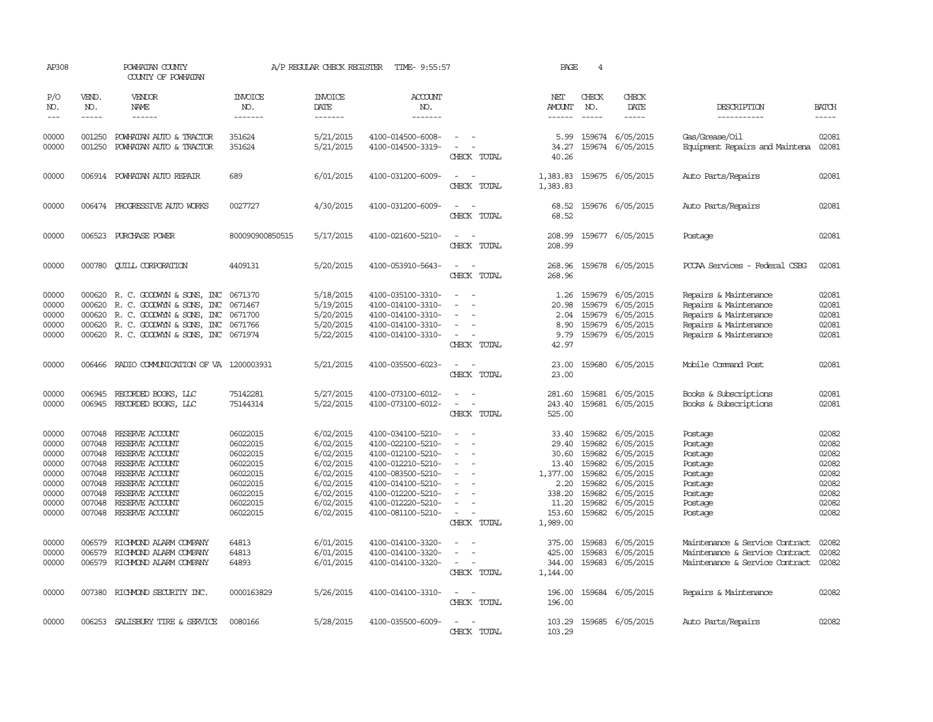| AP308                                                                         |                                                                                        | POWHATAN COUNTY<br>COUNTY OF POWHATAN                                                                                                                                   |                                                                                                          | A/P REGULAR CHECK REGISTER                                                                                        | TIME- 9:55:57                                                                                                                                                                             |                                                                                                                             | PAGE                                                                                          | $\overline{4}$                                                               |                                                                                                                          |                                                                                                                           |                                                                               |
|-------------------------------------------------------------------------------|----------------------------------------------------------------------------------------|-------------------------------------------------------------------------------------------------------------------------------------------------------------------------|----------------------------------------------------------------------------------------------------------|-------------------------------------------------------------------------------------------------------------------|-------------------------------------------------------------------------------------------------------------------------------------------------------------------------------------------|-----------------------------------------------------------------------------------------------------------------------------|-----------------------------------------------------------------------------------------------|------------------------------------------------------------------------------|--------------------------------------------------------------------------------------------------------------------------|---------------------------------------------------------------------------------------------------------------------------|-------------------------------------------------------------------------------|
| P/O<br>NO.<br>$---$                                                           | VEND.<br>NO.<br>$- - - - -$                                                            | VENDOR<br>NAME<br>$- - - - - -$                                                                                                                                         | <b>INVOICE</b><br>NO.<br>-------                                                                         | <b>INVOICE</b><br><b>DATE</b><br>-------                                                                          | <b>ACCOUNT</b><br>NO.<br>-------                                                                                                                                                          |                                                                                                                             | NET<br><b>AMOUNT</b><br>$- - - - - -$                                                         | CHECK<br>NO.                                                                 | CHECK<br>DATE<br>$- - - - -$                                                                                             | DESCRIPTION<br>-----------                                                                                                | <b>BATCH</b><br>-----                                                         |
| 00000<br>00000                                                                | 001250<br>001250                                                                       | POWHATAN AUTO & TRACTOR<br>POWHATAN AUTO & TRACTOR                                                                                                                      | 351624<br>351624                                                                                         | 5/21/2015<br>5/21/2015                                                                                            | 4100-014500-6008-<br>4100-014500-3319-                                                                                                                                                    | $\sim$<br>CHECK TOTAL                                                                                                       | 5.99<br>34.27<br>40.26                                                                        |                                                                              | 159674 6/05/2015<br>159674 6/05/2015                                                                                     | Gas/Grease/Oil<br>Equipment Repairs and Maintena 02081                                                                    | 02081                                                                         |
| 00000                                                                         |                                                                                        | 006914 POWHATAN AUTO REPAIR                                                                                                                                             | 689                                                                                                      | 6/01/2015                                                                                                         | 4100-031200-6009-                                                                                                                                                                         | CHECK TOTAL                                                                                                                 | 1,383.83<br>1,383.83                                                                          |                                                                              | 159675 6/05/2015                                                                                                         | Auto Parts/Repairs                                                                                                        | 02081                                                                         |
| 00000                                                                         | 006474                                                                                 | PROGRESSIVE AUTO WORKS                                                                                                                                                  | 0027727                                                                                                  | 4/30/2015                                                                                                         | 4100-031200-6009-                                                                                                                                                                         | CHECK TOTAL                                                                                                                 | 68.52<br>68.52                                                                                |                                                                              | 159676 6/05/2015                                                                                                         | Auto Parts/Repairs                                                                                                        | 02081                                                                         |
| 00000                                                                         | 006523                                                                                 | PURCHASE POWER                                                                                                                                                          | 800090900850515                                                                                          | 5/17/2015                                                                                                         | 4100-021600-5210-                                                                                                                                                                         | CHECK TOTAL                                                                                                                 | 208.99<br>208.99                                                                              |                                                                              | 159677 6/05/2015                                                                                                         | Postage                                                                                                                   | 02081                                                                         |
| 00000                                                                         | 000780                                                                                 | <b>QUILL CORPORATION</b>                                                                                                                                                | 4409131                                                                                                  | 5/20/2015                                                                                                         | 4100-053910-5643-                                                                                                                                                                         | CHECK TOTAL                                                                                                                 | 268.96<br>268.96                                                                              |                                                                              | 159678 6/05/2015                                                                                                         | PCCAA Services - Federal CSBG                                                                                             | 02081                                                                         |
| 00000<br>00000<br>00000<br>00000<br>00000                                     | 000620<br>000620<br>000620<br>000620                                                   | R. C. GOODWYN & SONS, INC<br>R. C. GOODWYN & SONS, INC<br>R. C. GOODWYN & SONS, INC<br>R. C. GOODWYN & SONS, INC<br>000620 R. C. GOODWYN & SONS, INC 0671974            | 0671370<br>0671467<br>0671700<br>0671766                                                                 | 5/18/2015<br>5/19/2015<br>5/20/2015<br>5/20/2015<br>5/22/2015                                                     | 4100-035100-3310-<br>4100-014100-3310-<br>4100-014100-3310-<br>4100-014100-3310-<br>4100-014100-3310-                                                                                     | $\overline{\phantom{a}}$<br>CHECK TOTAL                                                                                     | 1.26<br>20.98<br>2.04<br>8.90<br>9.79<br>42.97                                                | 159679<br>159679<br>159679<br>159679                                         | 6/05/2015<br>6/05/2015<br>6/05/2015<br>6/05/2015<br>159679 6/05/2015                                                     | Repairs & Maintenance<br>Repairs & Maintenance<br>Repairs & Maintenance<br>Repairs & Maintenance<br>Repairs & Maintenance | 02081<br>02081<br>02081<br>02081<br>02081                                     |
| 00000                                                                         | 006466                                                                                 | RADIO COMMUNICATION OF VA 1200003931                                                                                                                                    |                                                                                                          | 5/21/2015                                                                                                         | 4100-035500-6023-                                                                                                                                                                         | $\equiv$<br>CHECK TOTAL                                                                                                     | 23.00<br>23.00                                                                                |                                                                              | 159680 6/05/2015                                                                                                         | Mobile Command Post                                                                                                       | 02081                                                                         |
| 00000<br>00000                                                                | 006945<br>006945                                                                       | RECORDED BOOKS, LLC<br>RECORDED BOOKS, LLC                                                                                                                              | 75142281<br>75144314                                                                                     | 5/27/2015<br>5/22/2015                                                                                            | 4100-073100-6012-<br>4100-073100-6012-                                                                                                                                                    | CHECK TOTAL                                                                                                                 | 281.60<br>243.40<br>525.00                                                                    | 159681                                                                       | 6/05/2015<br>159681 6/05/2015                                                                                            | Books & Subscriptions<br>Books & Subscriptions                                                                            | 02081<br>02081                                                                |
| 00000<br>00000<br>00000<br>00000<br>00000<br>00000<br>00000<br>00000<br>00000 | 007048<br>007048<br>007048<br>007048<br>007048<br>007048<br>007048<br>007048<br>007048 | RESERVE ACCOUNT<br>RESERVE ACCOUNT<br>RESERVE ACCOUNT<br>RESERVE ACCOUNT<br>RESERVE ACCOUNT<br>RESERVE ACCOUNT<br>RESERVE ACCOUNT<br>RESERVE ACCOUNT<br>RESERVE ACCOUNT | 06022015<br>06022015<br>06022015<br>06022015<br>06022015<br>06022015<br>06022015<br>06022015<br>06022015 | 6/02/2015<br>6/02/2015<br>6/02/2015<br>6/02/2015<br>6/02/2015<br>6/02/2015<br>6/02/2015<br>6/02/2015<br>6/02/2015 | 4100-034100-5210-<br>4100-022100-5210-<br>4100-012100-5210-<br>4100-012210-5210-<br>4100-083500-5210-<br>4100-014100-5210-<br>4100-012200-5210-<br>4100-012220-5210-<br>4100-081100-5210- | CHECK TOTAL                                                                                                                 | 33.40<br>29.40<br>30.60<br>13.40<br>1,377.00<br>2.20<br>338.20<br>11.20<br>153.60<br>1,989.00 | 159682<br>159682<br>159682<br>159682<br>159682<br>159682<br>159682<br>159682 | 159682 6/05/2015<br>6/05/2015<br>6/05/2015<br>6/05/2015<br>6/05/2015<br>6/05/2015<br>6/05/2015<br>6/05/2015<br>6/05/2015 | Postage<br>Postage<br>Postage<br>Postage<br>Postage<br>Postage<br>Postage<br>Postage<br>Postage                           | 02082<br>02082<br>02082<br>02082<br>02082<br>02082<br>02082<br>02082<br>02082 |
| 00000<br>00000<br>00000                                                       | 006579<br>006579                                                                       | RICHMOND ALARM COMPANY<br>RICHMOND ALARM COMPANY<br>006579 RICHMOND ALARM COMPANY                                                                                       | 64813<br>64813<br>64893                                                                                  | 6/01/2015<br>6/01/2015<br>6/01/2015                                                                               | 4100-014100-3320-<br>4100-014100-3320-<br>4100-014100-3320-                                                                                                                               | $\equiv$<br>CHECK TOTAL                                                                                                     | 375.00<br>425.00<br>344.00<br>1,144.00                                                        | 159683<br>159683                                                             | 6/05/2015<br>6/05/2015<br>159683 6/05/2015                                                                               | Maintenance & Service Contract<br>Maintenance & Service Contract<br>Maintenance & Service Contract                        | 02082<br>02082<br>02082                                                       |
| 00000                                                                         |                                                                                        | 007380 RICHMOND SECURITY INC.                                                                                                                                           | 0000163829                                                                                               | 5/26/2015                                                                                                         | 4100-014100-3310-                                                                                                                                                                         | $\frac{1}{2} \left( \frac{1}{2} \right) \left( \frac{1}{2} \right) = \frac{1}{2} \left( \frac{1}{2} \right)$<br>CHECK TOTAL | 196.00<br>196.00                                                                              |                                                                              | 159684 6/05/2015                                                                                                         | Repairs & Maintenance                                                                                                     | 02082                                                                         |
| 00000                                                                         |                                                                                        | 006253 SALISBURY TIRE & SERVICE                                                                                                                                         | 0080166                                                                                                  | 5/28/2015                                                                                                         | 4100-035500-6009-                                                                                                                                                                         | CHECK TOTAL                                                                                                                 | 103.29<br>103.29                                                                              |                                                                              | 159685 6/05/2015                                                                                                         | Auto Parts/Repairs                                                                                                        | 02082                                                                         |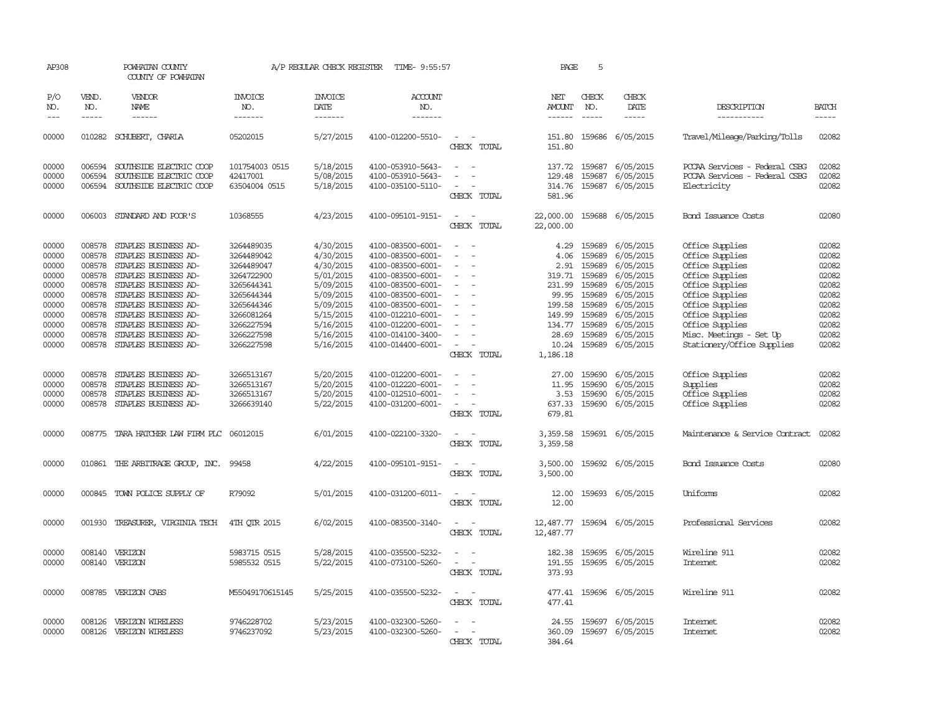| AP308                                                                                           |                                                                                                  | POWHATAN COUNTY<br>COUNTY OF POWHATAN                                                                                                                                                                                                                                       |                                                                                                                                                        | A/P REGULAR CHECK REGISTER                                                                                                                  | TIME- 9:55:57                                                                                                                                                                                                                       |                                                                           | PAGE                                                                                                          | 5                                                                                                          |                                                                                                                                             |                                                                                                                                                                                                                                  |                                                                                                 |
|-------------------------------------------------------------------------------------------------|--------------------------------------------------------------------------------------------------|-----------------------------------------------------------------------------------------------------------------------------------------------------------------------------------------------------------------------------------------------------------------------------|--------------------------------------------------------------------------------------------------------------------------------------------------------|---------------------------------------------------------------------------------------------------------------------------------------------|-------------------------------------------------------------------------------------------------------------------------------------------------------------------------------------------------------------------------------------|---------------------------------------------------------------------------|---------------------------------------------------------------------------------------------------------------|------------------------------------------------------------------------------------------------------------|---------------------------------------------------------------------------------------------------------------------------------------------|----------------------------------------------------------------------------------------------------------------------------------------------------------------------------------------------------------------------------------|-------------------------------------------------------------------------------------------------|
| P/O<br>NO.<br>$---$                                                                             | VEND.<br>NO.<br>$\frac{1}{2}$                                                                    | <b>VENDOR</b><br>NAME<br>$- - - - - -$                                                                                                                                                                                                                                      | <b>INVOICE</b><br>NO.<br>-------                                                                                                                       | <b>INVOICE</b><br>DATE<br>-------                                                                                                           | <b>ACCOUNT</b><br>NO.<br>-------                                                                                                                                                                                                    |                                                                           | NET<br><b>AMOUNT</b><br>$- - - - - -$                                                                         | CHECK<br>NO.<br>$\frac{1}{2}$                                                                              | CHECK<br>DATE<br>$- - - - -$                                                                                                                | DESCRIPTION<br>-----------                                                                                                                                                                                                       | <b>BATCH</b><br>$- - - - -$                                                                     |
| 00000                                                                                           |                                                                                                  | 010282 SCHUBERT, CHARLA                                                                                                                                                                                                                                                     | 05202015                                                                                                                                               | 5/27/2015                                                                                                                                   | 4100-012200-5510-                                                                                                                                                                                                                   | $\sim$<br>$\sim$<br>CHECK TOTAL                                           | 151.80<br>151.80                                                                                              |                                                                                                            | 159686 6/05/2015                                                                                                                            | Travel/Mileage/Parking/Tolls                                                                                                                                                                                                     | 02082                                                                                           |
| 00000<br>00000<br>00000                                                                         | 006594<br>006594                                                                                 | SOUTHSIDE ELECTRIC COOP<br>SOUTHSIDE ELECTRIC COOP<br>006594 SOUTHSIDE ELECTRIC COOP                                                                                                                                                                                        | 101754003 0515<br>42417001<br>63504004 0515                                                                                                            | 5/18/2015<br>5/08/2015<br>5/18/2015                                                                                                         | 4100-053910-5643-<br>4100-053910-5643-<br>4100-035100-5110-                                                                                                                                                                         | $\equiv$<br>CHECK TOTAL                                                   | 137.72<br>129.48<br>314.76<br>581.96                                                                          | 159687<br>159687<br>159687                                                                                 | 6/05/2015<br>6/05/2015<br>6/05/2015                                                                                                         | PCCAA Services - Federal CSBG<br>PCCAA Services - Federal CSBG<br>Electricity                                                                                                                                                    | 02082<br>02082<br>02082                                                                         |
| 00000                                                                                           |                                                                                                  | 006003 STANDARD AND POOR'S                                                                                                                                                                                                                                                  | 10368555                                                                                                                                               | 4/23/2015                                                                                                                                   | 4100-095101-9151-                                                                                                                                                                                                                   | $\sim$<br>$\sim$<br>CHECK<br>TOTAL                                        | 22,000.00<br>22,000.00                                                                                        |                                                                                                            | 159688 6/05/2015                                                                                                                            | Bond Issuance Costs                                                                                                                                                                                                              | 02080                                                                                           |
| 00000<br>00000<br>00000<br>00000<br>00000<br>00000<br>00000<br>00000<br>00000<br>00000<br>00000 | 008578<br>008578<br>008578<br>008578<br>008578<br>008578<br>008578<br>008578<br>008578<br>008578 | STAPLES BUSINESS AD-<br>STAPLES BUSINESS AD-<br>STAPLES BUSINESS AD-<br>STAPLES BUSINESS AD-<br>STAPLES BUSINESS AD-<br>STAPLES BUSINESS AD-<br>STAPLES BUSINESS AD-<br>STAPLES BUSINESS AD-<br>STAPLES BUSINESS AD-<br>STAPLES BUSINESS AD-<br>008578 STAPLES BUSINESS AD- | 3264489035<br>3264489042<br>3264489047<br>3264722900<br>3265644341<br>3265644344<br>3265644346<br>3266081264<br>3266227594<br>3266227598<br>3266227598 | 4/30/2015<br>4/30/2015<br>4/30/2015<br>5/01/2015<br>5/09/2015<br>5/09/2015<br>5/09/2015<br>5/15/2015<br>5/16/2015<br>5/16/2015<br>5/16/2015 | 4100-083500-6001-<br>4100-083500-6001-<br>4100-083500-6001-<br>4100-083500-6001-<br>4100-083500-6001-<br>4100-083500-6001-<br>4100-083500-6001-<br>4100-012210-6001-<br>4100-012200-6001-<br>4100-014100-3400-<br>4100-014400-6001- | $\equiv$<br>$\overline{\phantom{a}}$<br>$\equiv$<br>$\sim$<br>CHECK TOTAL | 4.29<br>4.06<br>2.91<br>319.71<br>231.99<br>99.95<br>199.58<br>149.99<br>134.77<br>28.69<br>10.24<br>1,186.18 | 159689<br>159689<br>159689<br>159689<br>159689<br>159689<br>159689<br>159689<br>159689<br>159689<br>159689 | 6/05/2015<br>6/05/2015<br>6/05/2015<br>6/05/2015<br>6/05/2015<br>6/05/2015<br>6/05/2015<br>6/05/2015<br>6/05/2015<br>6/05/2015<br>6/05/2015 | Office Supplies<br>Office Supplies<br>Office Supplies<br>Office Supplies<br>Office Supplies<br>Office Supplies<br>Office Supplies<br>Office Supplies<br>Office Supplies<br>Misc. Meetings - Set Up<br>Stationery/Office Supplies | 02082<br>02082<br>02082<br>02082<br>02082<br>02082<br>02082<br>02082<br>02082<br>02082<br>02082 |
| 00000<br>00000<br>00000<br>00000                                                                | 008578<br>008578<br>008578<br>008578                                                             | STAPLES BUSINESS AD-<br>STAPLES BUSINESS AD-<br>STAPLES BUSINESS AD-<br>STAPLES BUSINESS AD-                                                                                                                                                                                | 3266513167<br>3266513167<br>3266513167<br>3266639140                                                                                                   | 5/20/2015<br>5/20/2015<br>5/20/2015<br>5/22/2015                                                                                            | 4100-012200-6001-<br>4100-012220-6001-<br>4100-012510-6001-<br>4100-031200-6001-                                                                                                                                                    | $\overline{\phantom{a}}$<br>$\overline{\phantom{a}}$<br>CHECK TOTAL       | 27.00<br>11.95<br>3.53<br>637.33<br>679.81                                                                    | 159690<br>159690<br>159690<br>159690                                                                       | 6/05/2015<br>6/05/2015<br>6/05/2015<br>6/05/2015                                                                                            | Office Supplies<br>Supplies<br>Office Supplies<br>Office Supplies                                                                                                                                                                | 02082<br>02082<br>02082<br>02082                                                                |
| 00000                                                                                           |                                                                                                  | 008775 TARA HATCHER LAW FIRM PLC 06012015                                                                                                                                                                                                                                   |                                                                                                                                                        | 6/01/2015                                                                                                                                   | 4100-022100-3320-                                                                                                                                                                                                                   | CHECK TOTAL                                                               | 3,359.58<br>3,359.58                                                                                          |                                                                                                            | 159691 6/05/2015                                                                                                                            | Maintenance & Service Contract                                                                                                                                                                                                   | 02082                                                                                           |
| 00000                                                                                           |                                                                                                  | 010861 THE ARBITRAGE GROUP, INC. 99458                                                                                                                                                                                                                                      |                                                                                                                                                        | 4/22/2015                                                                                                                                   | 4100-095101-9151-                                                                                                                                                                                                                   | $\sim$<br>CHECK TOTAL                                                     | 3,500.00<br>3,500.00                                                                                          |                                                                                                            | 159692 6/05/2015                                                                                                                            | Bond Issuance Costs                                                                                                                                                                                                              | 02080                                                                                           |
| 00000                                                                                           |                                                                                                  | 000845 TOWN POLICE SUPPLY OF                                                                                                                                                                                                                                                | R79092                                                                                                                                                 | 5/01/2015                                                                                                                                   | 4100-031200-6011-                                                                                                                                                                                                                   | $\equiv$<br>$\sim$<br>CHECK TOTAL                                         | 12.00<br>12.00                                                                                                |                                                                                                            | 159693 6/05/2015                                                                                                                            | Uniforms                                                                                                                                                                                                                         | 02082                                                                                           |
| 00000                                                                                           | 001930                                                                                           | TREASURER, VIRGINIA TECH                                                                                                                                                                                                                                                    | 4TH OTR 2015                                                                                                                                           | 6/02/2015                                                                                                                                   | 4100-083500-3140-                                                                                                                                                                                                                   | CHECK TOTAL                                                               | 12,487.77<br>12,487.77                                                                                        |                                                                                                            | 159694 6/05/2015                                                                                                                            | Professional Services                                                                                                                                                                                                            | 02082                                                                                           |
| 00000<br>00000                                                                                  | 008140<br>008140                                                                                 | VERIZON<br>VERIZON                                                                                                                                                                                                                                                          | 5983715 0515<br>5985532 0515                                                                                                                           | 5/28/2015<br>5/22/2015                                                                                                                      | 4100-035500-5232-<br>4100-073100-5260-                                                                                                                                                                                              | CHECK TOTAL                                                               | 182.38<br>191.55<br>373.93                                                                                    | 159695<br>159695                                                                                           | 6/05/2015<br>6/05/2015                                                                                                                      | Wireline 911<br><b>Internet</b>                                                                                                                                                                                                  | 02082<br>02082                                                                                  |
| 00000                                                                                           |                                                                                                  | 008785 VERIZON CABS                                                                                                                                                                                                                                                         | M55049170615145                                                                                                                                        | 5/25/2015                                                                                                                                   | 4100-035500-5232-                                                                                                                                                                                                                   | CHECK TOTAL                                                               | 477.41<br>477.41                                                                                              |                                                                                                            | 159696 6/05/2015                                                                                                                            | Wireline 911                                                                                                                                                                                                                     | 02082                                                                                           |
| 00000<br>00000                                                                                  |                                                                                                  | 008126 VERIZON WIRELESS<br>008126 VERIZON WIRELESS                                                                                                                                                                                                                          | 9746228702<br>9746237092                                                                                                                               | 5/23/2015<br>5/23/2015                                                                                                                      | 4100-032300-5260-<br>4100-032300-5260-                                                                                                                                                                                              | $\equiv$<br>$\overline{\phantom{a}}$<br>CHECK TOTAL                       | 24.55<br>360.09<br>384.64                                                                                     |                                                                                                            | 159697 6/05/2015<br>159697 6/05/2015                                                                                                        | Internet<br>Internet                                                                                                                                                                                                             | 02082<br>02082                                                                                  |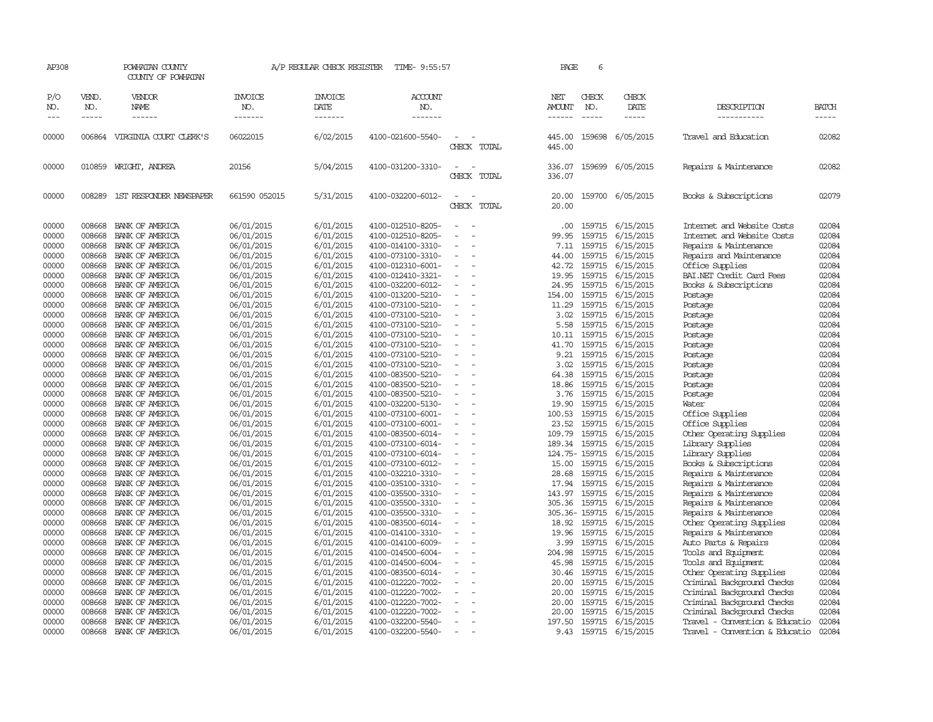| AP308      |              | POWHATAN COUNTY<br>COUNTY OF POWHATAN |                | A/P REGULAR CHECK REGISTER | TIME- 9:55:57         |                          | PAGE             | 6              |                  |                                |              |
|------------|--------------|---------------------------------------|----------------|----------------------------|-----------------------|--------------------------|------------------|----------------|------------------|--------------------------------|--------------|
| P/O<br>NO. | VEND.<br>NO. | VENDOR<br>NAME                        | INVOICE<br>NO. | <b>INVOICE</b><br>DATE     | <b>ACCOUNT</b><br>NO. |                          | NET<br>AMOUNT    | CHECK<br>NO.   | CHECK<br>DATE    | DESCRIPTION                    | <b>BATCH</b> |
| $- - -$    | $- - - - -$  | ------                                | -------        | -------                    | -------               |                          | ------           | -----          | -----            | -----------                    | $- - - - -$  |
| 00000      |              | 006864 VIRGINIA COURT CLERK'S         | 06022015       | 6/02/2015                  | 4100-021600-5540-     | CHECK TOTAL              | 445.00<br>445.00 |                | 159698 6/05/2015 | Travel and Education           | 02082        |
| 00000      | 010859       | WRIGHT, ANDREA                        | 20156          | 5/04/2015                  | 4100-031200-3310-     | CHECK TOTAL              | 336.07<br>336.07 |                | 159699 6/05/2015 | Repairs & Maintenance          | 02082        |
| 00000      | 008289       | 1ST RESPONDER NEWSPAPER               | 661590 052015  | 5/31/2015                  | 4100-032200-6012-     | CHECK TOTAL              | 20.00<br>20.00   |                | 159700 6/05/2015 | Books & Subscriptions          | 02079        |
| 00000      | 008668       | BANK OF AMERICA                       | 06/01/2015     | 6/01/2015                  | 4100-012510-8205-     |                          | .00.             |                | 159715 6/15/2015 | Internet and Website Costs     | 02084        |
| 00000      | 008668       | BANK OF AMERICA                       | 06/01/2015     | 6/01/2015                  | 4100-012510-8205-     |                          | 99.95            | 159715         | 6/15/2015        | Internet and Website Costs     | 02084        |
| 00000      | 008668       | BANK OF AMERICA                       | 06/01/2015     | 6/01/2015                  | 4100-014100-3310-     |                          | 7.11             | 159715         | 6/15/2015        | Repairs & Maintenance          | 02084        |
| 00000      | 008668       | BANK OF AMERICA                       | 06/01/2015     | 6/01/2015                  | 4100-073100-3310-     |                          | 44.00            | 159715         | 6/15/2015        | Repairs and Maintenance        | 02084        |
| 00000      | 008668       | BANK OF AMERICA                       | 06/01/2015     | 6/01/2015                  | 4100-012310-6001-     |                          | 42.72            | 159715         | 6/15/2015        | Office Supplies                | 02084        |
| 00000      | 008668       | BANK OF AMERICA                       | 06/01/2015     | 6/01/2015                  | 4100-012410-3321-     |                          | 19.95            | 159715         | 6/15/2015        | BAI.NET Credit Card Fees       | 02084        |
| 00000      | 008668       | BANK OF AMERICA                       | 06/01/2015     | 6/01/2015                  | 4100-032200-6012-     |                          | 24.95            | 159715         | 6/15/2015        | Books & Subscriptions          | 02084        |
| 00000      | 008668       | BANK OF AMERICA                       | 06/01/2015     | 6/01/2015                  | 4100-013200-5210-     |                          | 154.00           | 159715         | 6/15/2015        | Postage                        | 02084        |
| 00000      | 008668       | BANK OF AMERICA                       | 06/01/2015     | 6/01/2015                  | 4100-073100-5210-     | $\equiv$                 | 11.29            | 159715         | 6/15/2015        | Postage                        | 02084        |
| 00000      | 008668       | BANK OF AMERICA                       | 06/01/2015     | 6/01/2015                  | 4100-073100-5210-     |                          | 3.02             | 159715         | 6/15/2015        | Postage                        | 02084        |
| 00000      | 008668       | BANK OF AMERICA                       | 06/01/2015     | 6/01/2015                  | 4100-073100-5210-     |                          | 5.58             | 159715         | 6/15/2015        | Postage                        | 02084        |
| 00000      | 008668       | BANK OF AMERICA                       | 06/01/2015     | 6/01/2015                  | 4100-073100-5210-     |                          | 10.11            | 159715         | 6/15/2015        | Postage                        | 02084        |
| 00000      | 008668       | BANK OF AMERICA                       | 06/01/2015     | 6/01/2015                  | 4100-073100-5210-     |                          | 41.70            | 159715         | 6/15/2015        | Postage                        | 02084        |
| 00000      | 008668       | BANK OF AMERICA                       | 06/01/2015     | 6/01/2015                  | 4100-073100-5210-     |                          | 9.21             | 159715         | 6/15/2015        | Postage                        | 02084        |
| 00000      | 008668       | BANK OF AMERICA                       | 06/01/2015     | 6/01/2015                  | 4100-073100-5210-     |                          | 3.02             | 159715         | 6/15/2015        | Postage                        | 02084        |
| 00000      | 008668       | BANK OF AMERICA                       | 06/01/2015     | 6/01/2015                  | 4100-083500-5210-     | $\equiv$                 | 64.38            | 159715         | 6/15/2015        | Postage                        | 02084        |
| 00000      | 008668       | BANK OF AMERICA                       | 06/01/2015     | 6/01/2015                  | 4100-083500-5210-     |                          | 18.86            | 159715         | 6/15/2015        | Postage                        | 02084        |
| 00000      | 008668       | BANK OF AMERICA                       | 06/01/2015     | 6/01/2015                  | 4100-083500-5210-     |                          | 3.76             | 159715         | 6/15/2015        | Postage                        | 02084        |
| 00000      | 008668       | BANK OF AMERICA                       | 06/01/2015     | 6/01/2015                  | 4100-032200-5130-     | $\overline{\phantom{a}}$ | 19.90            | 159715         | 6/15/2015        | Water                          | 02084        |
| 00000      | 008668       | BANK OF AMERICA                       | 06/01/2015     | 6/01/2015                  | 4100-073100-6001-     |                          | 100.53           | 159715         | 6/15/2015        | Office Supplies                | 02084        |
| 00000      | 008668       | BANK OF AMERICA                       | 06/01/2015     | 6/01/2015                  | 4100-073100-6001-     |                          | 23.52            | 159715         | 6/15/2015        | Office Supplies                | 02084        |
| 00000      | 008668       | BANK OF AMERICA                       | 06/01/2015     | 6/01/2015                  | 4100-083500-6014-     |                          | 109.79           | 159715         | 6/15/2015        | Other Operating Supplies       | 02084        |
| 00000      | 008668       | BANK OF AMERICA                       | 06/01/2015     | 6/01/2015                  | 4100-073100-6014-     |                          | 189.34           | 159715         | 6/15/2015        | Library Supplies               | 02084        |
| 00000      | 008668       | BANK OF AMERICA                       | 06/01/2015     | 6/01/2015                  | 4100-073100-6014-     |                          |                  | 124.75- 159715 | 6/15/2015        | Library Supplies               | 02084        |
| 00000      | 008668       | BANK OF AMERICA                       | 06/01/2015     | 6/01/2015                  | 4100-073100-6012-     |                          | 15.00            | 159715         | 6/15/2015        | Books & Subscriptions          | 02084        |
| 00000      | 008668       | BANK OF AMERICA                       | 06/01/2015     | 6/01/2015                  | 4100-032210-3310-     | $\equiv$                 | 28.68            | 159715         | 6/15/2015        | Repairs & Maintenance          | 02084        |
| 00000      | 008668       | BANK OF AMERICA                       | 06/01/2015     | 6/01/2015                  | 4100-035100-3310-     |                          | 17.94            | 159715         | 6/15/2015        | Repairs & Maintenance          | 02084        |
| 00000      | 008668       | BANK OF AMERICA                       | 06/01/2015     | 6/01/2015                  | 4100-035500-3310-     |                          | 143.97           | 159715         | 6/15/2015        | Repairs & Maintenance          | 02084        |
| 00000      | 008668       | BANK OF AMERICA                       | 06/01/2015     | 6/01/2015                  | 4100-035500-3310-     | $\equiv$                 | 305.36           | 159715         | 6/15/2015        | Repairs & Maintenance          | 02084        |
| 00000      | 008668       | BANK OF AMERICA                       | 06/01/2015     | 6/01/2015                  | 4100-035500-3310-     |                          |                  | 305.36-159715  | 6/15/2015        | Repairs & Maintenance          | 02084        |
| 00000      | 008668       | BANK OF AMERICA                       | 06/01/2015     | 6/01/2015                  | 4100-083500-6014-     |                          | 18.92            | 159715         | 6/15/2015        | Other Operating Supplies       | 02084        |
| 00000      | 008668       | BANK OF AMERICA                       | 06/01/2015     | 6/01/2015                  | 4100-014100-3310-     |                          | 19.96            | 159715         | 6/15/2015        | Repairs & Maintenance          | 02084        |
| 00000      | 008668       | BANK OF AMERICA                       | 06/01/2015     | 6/01/2015                  | 4100-014100-6009-     | $\equiv$                 | 3.99             | 159715         | 6/15/2015        | Auto Parts & Repairs           | 02084        |
| 00000      | 008668       | BANK OF AMERICA                       | 06/01/2015     | 6/01/2015                  | 4100-014500-6004-     |                          | 204.98           | 159715         | 6/15/2015        | Tools and Equipment            | 02084        |
| 00000      | 008668       | BANK OF AMERICA                       | 06/01/2015     | 6/01/2015                  | 4100-014500-6004-     |                          | 45.98            | 159715         | 6/15/2015        | Tools and Equipment            | 02084        |
| 00000      | 008668       | BANK OF AMERICA                       | 06/01/2015     | 6/01/2015                  | 4100-083500-6014-     |                          | 30.46            |                | 159715 6/15/2015 | Other Operating Supplies       | 02084        |
| 00000      | 008668       | BANK OF AMERICA                       | 06/01/2015     | 6/01/2015                  | 4100-012220-7002-     |                          | 20.00            | 159715         | 6/15/2015        | Criminal Background Checks     | 02084        |
| 00000      | 008668       | BANK OF AMERICA                       | 06/01/2015     | 6/01/2015                  | 4100-012220-7002-     |                          | 20.00            | 159715         | 6/15/2015        | Criminal Background Checks     | 02084        |
| 00000      | 008668       | BANK OF AMERICA                       | 06/01/2015     | 6/01/2015                  | 4100-012220-7002-     |                          | 20.00            | 159715         | 6/15/2015        | Criminal Background Checks     | 02084        |
| 00000      | 008668       | BANK OF AMERICA                       | 06/01/2015     | 6/01/2015                  | 4100-012220-7002-     |                          | 20.00            | 159715         | 6/15/2015        | Criminal Background Checks     | 02084        |
| 00000      | 008668       | BANK OF AMERICA                       | 06/01/2015     | 6/01/2015                  | 4100-032200-5540-     |                          | 197.50           |                | 159715 6/15/2015 | Travel - Convention & Educatio | 02084        |
| 00000      | 008668       | BANK OF AMERICA                       | 06/01/2015     | 6/01/2015                  | 4100-032200-5540-     |                          | 9.43             |                | 159715 6/15/2015 | Travel - Convention & Educatio | 02084        |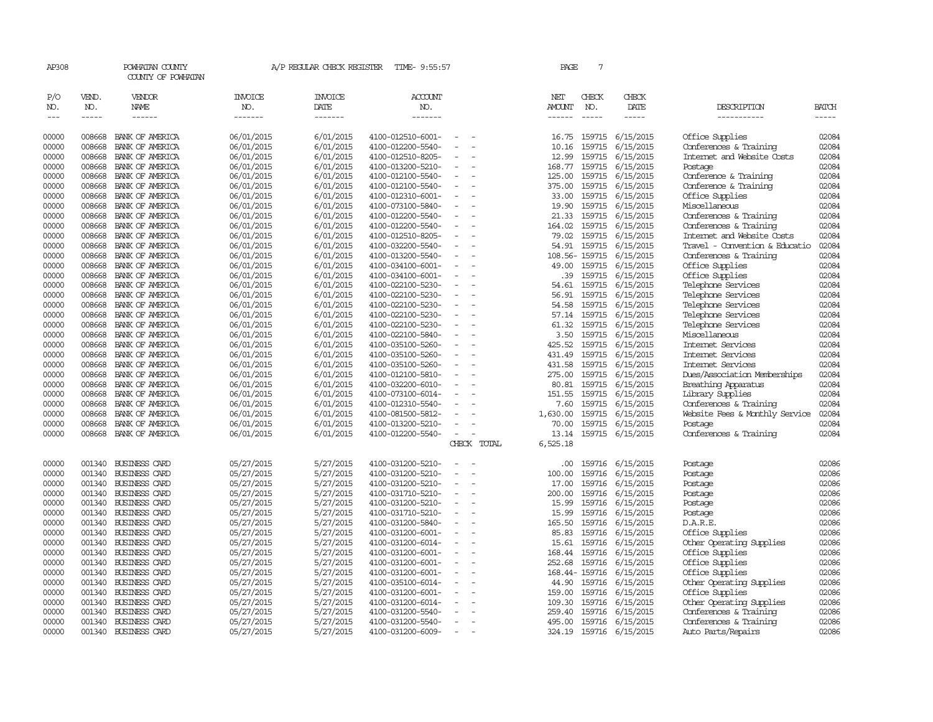| AP308          |                  | POWHATAN COUNTY<br>COUNTY OF POWHATAN |                          | A/P REGULAR CHECK REGISTER | TIME- 9:55:57                          |                                      |          | PAGE          | $7\phantom{.0}$ |                                      |                                    |                |
|----------------|------------------|---------------------------------------|--------------------------|----------------------------|----------------------------------------|--------------------------------------|----------|---------------|-----------------|--------------------------------------|------------------------------------|----------------|
| P/O<br>NO.     | VEND.<br>NO.     | VENDOR<br>NAME                        | <b>INVOICE</b><br>NO.    | <b>INVOICE</b><br>DATE     | <b>ACCOUNT</b><br>NO.                  |                                      |          | NET<br>AMOUNT | CHECK<br>NO.    | CHECK<br>DATE                        | DESCRIPTION                        | <b>BATCH</b>   |
| $\frac{1}{2}$  |                  | ------                                | -------                  | -------                    | -------                                |                                      |          | ------        | $\frac{1}{2}$   | $- - - - -$                          | -----------                        | -----          |
| 00000          | 008668           | BANK OF AMERICA                       | 06/01/2015               | 6/01/2015                  | 4100-012510-6001-                      | $\equiv$                             |          | 16.75         |                 | 159715 6/15/2015                     | Office Supplies                    | 02084          |
| 00000          | 008668           | BANK OF AMERICA                       | 06/01/2015               | 6/01/2015                  | 4100-012200-5540-                      | $\equiv$                             |          | 10.16         |                 | 159715 6/15/2015                     | Conferences & Training             | 02084          |
| 00000          | 008668           | BANK OF AMERICA                       | 06/01/2015               | 6/01/2015                  | 4100-012510-8205-                      | $\sim$                               |          | 12.99         |                 | 159715 6/15/2015                     | Internet and Website Costs         | 02084          |
| 00000          | 008668           | BANK OF AMERICA                       | 06/01/2015               | 6/01/2015                  | 4100-013200-5210-                      | $\equiv$                             |          | 168.77        |                 | 159715 6/15/2015                     | Postage                            | 02084          |
| 00000          | 008668           | BANK OF AMERICA                       | 06/01/2015               | 6/01/2015                  | 4100-012100-5540-                      |                                      |          | 125.00        |                 | 159715 6/15/2015                     | Conference & Training              | 02084          |
| 00000          | 008668           | BANK OF AMERICA                       | 06/01/2015               | 6/01/2015                  | 4100-012100-5540-                      | $\overline{\phantom{a}}$             |          | 375.00        |                 | 159715 6/15/2015                     | Conference & Training              | 02084          |
| 00000          | 008668           | BANK OF AMERICA                       | 06/01/2015               | 6/01/2015                  | 4100-012310-6001-                      |                                      |          | 33.00         |                 | 159715 6/15/2015                     | Office Supplies                    | 02084          |
| 00000          | 008668           | BANK OF AMERICA                       | 06/01/2015               | 6/01/2015                  | 4100-073100-5840-                      | $\sim$                               |          | 19.90         |                 | 159715 6/15/2015                     | Miscellaneous                      | 02084          |
| 00000          | 008668           | BANK OF AMERICA                       | 06/01/2015               | 6/01/2015                  | 4100-012200-5540-                      | $\overline{\phantom{a}}$             |          | 21.33         |                 | 159715 6/15/2015                     | Conferences & Training             | 02084          |
| 00000          | 008668           | BANK OF AMERICA                       | 06/01/2015               | 6/01/2015                  | 4100-012200-5540-                      | $\sim$                               |          | 164.02        |                 | 159715 6/15/2015                     | Conferences & Training             | 02084          |
| 00000          | 008668           | BANK OF AMERICA                       | 06/01/2015               | 6/01/2015                  | 4100-012510-8205-                      | $\equiv$                             |          | 79.02         |                 | 159715 6/15/2015                     | Internet and Website Costs         | 02084<br>02084 |
| 00000          | 008668           | BANK OF AMERICA                       | 06/01/2015               | 6/01/2015                  | 4100-032200-5540-                      |                                      |          | 54.91         |                 | 159715 6/15/2015                     | Travel - Convention & Educatio     |                |
| 00000          | 008668           | BANK OF AMERICA                       | 06/01/2015               | 6/01/2015                  | 4100-013200-5540-                      | $\overline{\phantom{a}}$<br>$\equiv$ |          |               |                 | 108.56-159715 6/15/2015              | Conferences & Training             | 02084          |
| 00000<br>00000 | 008668<br>008668 | BANK OF AMERICA<br>BANK OF AMERICA    | 06/01/2015<br>06/01/2015 | 6/01/2015<br>6/01/2015     | 4100-034100-6001-<br>4100-034100-6001- | $\equiv$                             |          | 49.00<br>.39  |                 | 159715 6/15/2015<br>159715 6/15/2015 | Office Supplies<br>Office Supplies | 02084<br>02084 |
| 00000          | 008668           | BANK OF AMERICA                       | 06/01/2015               | 6/01/2015                  | 4100-022100-5230-                      |                                      |          | 54.61         |                 | 159715 6/15/2015                     | Telephone Services                 | 02084          |
| 00000          | 008668           | BANK OF AMERICA                       | 06/01/2015               | 6/01/2015                  | 4100-022100-5230-                      | $\overline{\phantom{a}}$             |          | 56.91         |                 | 159715 6/15/2015                     | Telephone Services                 | 02084          |
| 00000          | 008668           | BANK OF AMERICA                       | 06/01/2015               | 6/01/2015                  | 4100-022100-5230-                      | $\equiv$                             |          | 54.58         |                 | 159715 6/15/2015                     | Telephone Services                 | 02084          |
| 00000          | 008668           | BANK OF AMERICA                       | 06/01/2015               | 6/01/2015                  | 4100-022100-5230-                      | $\sim$                               |          | 57.14         |                 | 159715 6/15/2015                     | Telephone Services                 | 02084          |
| 00000          | 008668           | BANK OF AMERICA                       | 06/01/2015               | 6/01/2015                  | 4100-022100-5230-                      | $\sim$                               |          | 61.32         |                 | 159715 6/15/2015                     | Telephone Services                 | 02084          |
| 00000          | 008668           | BANK OF AMERICA                       | 06/01/2015               | 6/01/2015                  | 4100-022100-5840-                      |                                      |          | 3.50          |                 | 159715 6/15/2015                     | Miscellaneous                      | 02084          |
| 00000          | 008668           | BANK OF AMERICA                       | 06/01/2015               | 6/01/2015                  | 4100-035100-5260-                      | $\overline{\phantom{a}}$             |          | 425.52        |                 | 159715 6/15/2015                     | Internet Services                  | 02084          |
| 00000          | 008668           | BANK OF AMERICA                       | 06/01/2015               | 6/01/2015                  | 4100-035100-5260-                      |                                      |          | 431.49        |                 | 159715 6/15/2015                     | Internet Services                  | 02084          |
| 00000          | 008668           | BANK OF AMERICA                       | 06/01/2015               | 6/01/2015                  | 4100-035100-5260-                      | $\equiv$                             |          | 431.58        |                 | 159715 6/15/2015                     | Internet Services                  | 02084          |
| 00000          | 008668           | BANK OF AMERICA                       | 06/01/2015               | 6/01/2015                  | 4100-012100-5810-                      |                                      |          | 275.00        |                 | 159715 6/15/2015                     | Dues/Association Memberships       | 02084          |
| 00000          | 008668           | BANK OF AMERICA                       | 06/01/2015               | 6/01/2015                  | 4100-032200-6010-                      | $\sim$                               |          | 80.81         |                 | 159715 6/15/2015                     | Breathing Apparatus                | 02084          |
| 00000          | 008668           | BANK OF AMERICA                       | 06/01/2015               | 6/01/2015                  | 4100-073100-6014-                      | $\equiv$                             |          | 151.55        |                 | 159715 6/15/2015                     | Library Supplies                   | 02084          |
| 00000          | 008668           | BANK OF AMERICA                       | 06/01/2015               | 6/01/2015                  | 4100-012310-5540-                      | $\sim$                               |          | 7.60          |                 | 159715 6/15/2015                     | Conferences & Training             | 02084          |
| 00000          | 008668           | BANK OF AMERICA                       | 06/01/2015               | 6/01/2015                  | 4100-081500-5812-                      | $\overline{\phantom{a}}$             | 1,630.00 |               |                 | 159715 6/15/2015                     | Website Fees & Monthly Service     | 02084          |
| 00000          | 008668           | BANK OF AMERICA                       | 06/01/2015               | 6/01/2015                  | 4100-013200-5210-                      |                                      |          | 70.00         |                 | 159715 6/15/2015                     | Postage                            | 02084          |
| 00000          |                  | 008668 BANK OF AMERICA                | 06/01/2015               | 6/01/2015                  | 4100-012200-5540-                      | $\equiv$                             |          | 13.14         |                 | 159715 6/15/2015                     | Conferences & Training             | 02084          |
|                |                  |                                       |                          |                            |                                        | CHECK TOTAL                          | 6,525.18 |               |                 |                                      |                                    |                |
| 00000          | 001340           | <b>BUSINESS CARD</b>                  | 05/27/2015               | 5/27/2015                  | 4100-031200-5210-                      |                                      |          | $.00 \cdot$   |                 | 159716 6/15/2015                     | Postage                            | 02086          |
| 00000          | 001340           | <b>BUSINESS CARD</b>                  | 05/27/2015               | 5/27/2015                  | 4100-031200-5210-                      | $\sim$                               |          | 100.00        |                 | 159716 6/15/2015                     | Postage                            | 02086          |
| 00000          | 001340           | <b>BUSINESS CARD</b>                  | 05/27/2015               | 5/27/2015                  | 4100-031200-5210-                      | $\overline{\phantom{a}}$             |          | 17.00         |                 | 159716 6/15/2015                     | Postage                            | 02086          |
| 00000          | 001340           | BUSINESS CARD                         | 05/27/2015               | 5/27/2015                  | 4100-031710-5210-                      |                                      |          | 200.00        |                 | 159716 6/15/2015                     | Postage                            | 02086          |
| 00000          | 001340           | <b>BUSINESS CARD</b>                  | 05/27/2015               | 5/27/2015                  | 4100-031200-5210-                      | $\equiv$                             |          | 15.99         |                 | 159716 6/15/2015                     | Postage                            | 02086          |
| 00000          | 001340           | <b>BUSINESS CARD</b>                  | 05/27/2015               | 5/27/2015                  | 4100-031710-5210-                      | $\equiv$                             |          | 15.99         |                 | 159716 6/15/2015                     | Postage                            | 02086          |
| 00000          | 001340           | <b>BUSINESS CARD</b>                  | 05/27/2015               | 5/27/2015                  | 4100-031200-5840-                      | $\equiv$                             |          | 165.50        |                 | 159716 6/15/2015                     | D.A.R.E.                           | 02086          |
| 00000          | 001340           | <b>BUSINESS CARD</b>                  | 05/27/2015               | 5/27/2015                  | 4100-031200-6001-                      |                                      |          | 85.83         |                 | 159716 6/15/2015                     | Office Supplies                    | 02086          |
| 00000          |                  | 001340 BUSINESS CARD                  | 05/27/2015               | 5/27/2015                  | 4100-031200-6014-                      | $\equiv$                             |          | 15.61         |                 | 159716 6/15/2015                     | Other Operating Supplies           | 02086          |
| 00000          | 001340           | <b>BUSINESS CARD</b>                  | 05/27/2015               | 5/27/2015                  | 4100-031200-6001-                      | $\equiv$                             |          | 168.44        |                 | 159716 6/15/2015                     | Office Supplies                    | 02086          |
| 00000          | 001340           | <b>BUSINESS CARD</b>                  | 05/27/2015               | 5/27/2015                  | 4100-031200-6001-                      |                                      |          | 252.68        |                 | 159716 6/15/2015                     | Office Supplies                    | 02086          |
| 00000          | 001340           | <b>BUSINESS CARD</b>                  | 05/27/2015               | 5/27/2015                  | 4100-031200-6001-                      | $\equiv$                             |          |               |                 | 168.44-159716 6/15/2015              | Office Supplies                    | 02086          |
| 00000          | 001340           | <b>BUSINESS CARD</b>                  | 05/27/2015               | 5/27/2015                  | 4100-035100-6014-                      |                                      |          | 44.90         |                 | 159716 6/15/2015                     | Other Operating Supplies           | 02086          |
| 00000          | 001340           | <b>BUSINESS CARD</b>                  | 05/27/2015               | 5/27/2015                  | 4100-031200-6001-                      | $\equiv$                             |          | 159.00        |                 | 159716 6/15/2015                     | Office Supplies                    | 02086          |
| 00000          | 001340           | <b>BUSINESS CARD</b>                  | 05/27/2015               | 5/27/2015                  | 4100-031200-6014-                      |                                      |          | 109.30        |                 | 159716 6/15/2015                     | Other Operating Supplies           | 02086          |
| 00000          |                  | 001340 BUSINESS CARD                  | 05/27/2015               | 5/27/2015                  | 4100-031200-5540-                      | $\sim$                               |          | 259.40        |                 | 159716 6/15/2015                     | Conferences & Training             | 02086          |
| 00000          | 001340           | <b>BUSINESS CARD</b>                  | 05/27/2015               | 5/27/2015                  | 4100-031200-5540-                      | $\overline{\phantom{a}}$             |          | 495.00        |                 | 159716 6/15/2015                     | Conferences & Training             | 02086          |
| 00000          | 001340           | <b>BUSINESS CARD</b>                  | 05/27/2015               | 5/27/2015                  | 4100-031200-6009-                      | $\sim$                               |          | 324.19        |                 | 159716 6/15/2015                     | Auto Parts/Repairs                 | 02086          |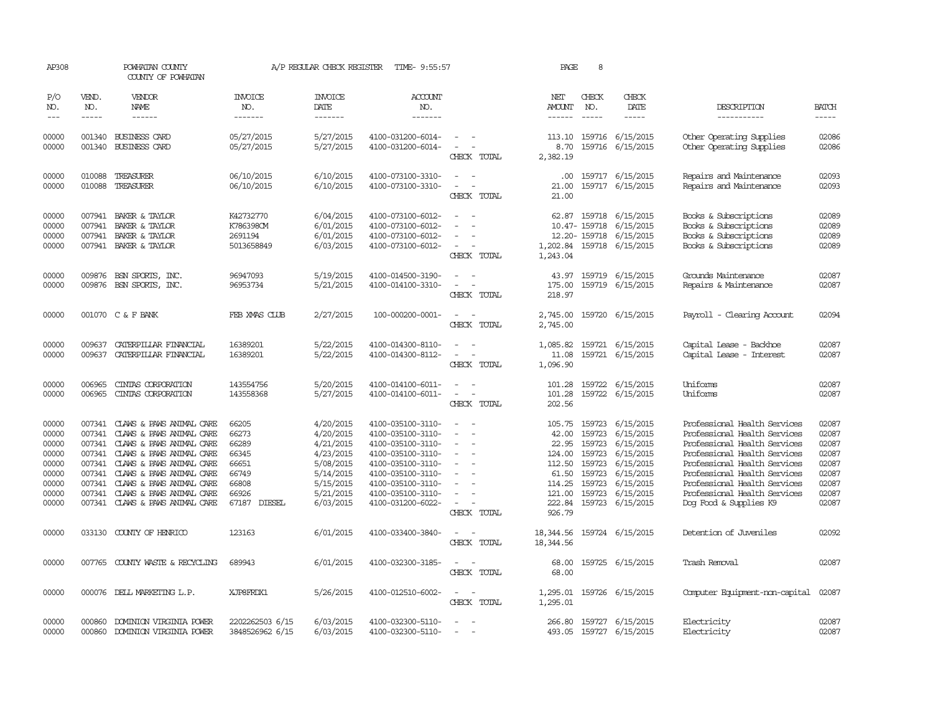| AP308                                                                         |                                                | POWHATAN COUNTY<br>COUNTY OF POWHATAN                                                                                                                                                                                                                                                |                                                                                      | A/P REGULAR CHECK REGISTER                                                                                        | TIME- 9:55:57                                                                                                                                                                             |                                                                                                                             | PAGE                                                                                          | 8                                                                                      |                                                                                                                   |                                                                                                                                                                                                                                                                                        |                                                                               |
|-------------------------------------------------------------------------------|------------------------------------------------|--------------------------------------------------------------------------------------------------------------------------------------------------------------------------------------------------------------------------------------------------------------------------------------|--------------------------------------------------------------------------------------|-------------------------------------------------------------------------------------------------------------------|-------------------------------------------------------------------------------------------------------------------------------------------------------------------------------------------|-----------------------------------------------------------------------------------------------------------------------------|-----------------------------------------------------------------------------------------------|----------------------------------------------------------------------------------------|-------------------------------------------------------------------------------------------------------------------|----------------------------------------------------------------------------------------------------------------------------------------------------------------------------------------------------------------------------------------------------------------------------------------|-------------------------------------------------------------------------------|
| P/O<br>NO.<br>$\frac{1}{2}$                                                   | VEND.<br>NO.<br>-----                          | <b>VENDOR</b><br>NAME<br>------                                                                                                                                                                                                                                                      | <b>INVOICE</b><br>NO.<br>-------                                                     | <b>INVOICE</b><br><b>DATE</b><br>$- - - - - - -$                                                                  | ACCOUNT<br>NO.<br>$- - - - - - -$                                                                                                                                                         |                                                                                                                             | NET<br>AMOUNT                                                                                 | CHECK<br>NO.<br>$\frac{1}{2}$                                                          | CHECK<br>DATE<br>-----                                                                                            | DESCRIPTION<br>-----------                                                                                                                                                                                                                                                             | <b>BATCH</b><br>$- - - - -$                                                   |
| 00000<br>00000                                                                | 001340<br>001340                               | BUSINESS CARD<br><b>BUSINESS CARD</b>                                                                                                                                                                                                                                                | 05/27/2015<br>05/27/2015                                                             | 5/27/2015<br>5/27/2015                                                                                            | 4100-031200-6014-<br>4100-031200-6014-                                                                                                                                                    | $\overline{\phantom{a}}$<br>$\overline{\phantom{a}}$<br>CHECK TOTAL                                                         | 113.10<br>8.70<br>2,382.19                                                                    |                                                                                        | 159716 6/15/2015<br>159716 6/15/2015                                                                              | Other Operating Supplies<br>Other Operating Supplies                                                                                                                                                                                                                                   | 02086<br>02086                                                                |
| 00000<br>00000                                                                | 010088<br>010088                               | TREASURER<br>TREASURER                                                                                                                                                                                                                                                               | 06/10/2015<br>06/10/2015                                                             | 6/10/2015<br>6/10/2015                                                                                            | 4100-073100-3310-<br>4100-073100-3310-                                                                                                                                                    | CHECK TOTAL                                                                                                                 | .00.<br>21.00<br>21.00                                                                        |                                                                                        | 159717 6/15/2015<br>159717 6/15/2015                                                                              | Repairs and Maintenance<br>Repairs and Maintenance                                                                                                                                                                                                                                     | 02093<br>02093                                                                |
| 00000<br>00000<br>00000<br>00000                                              | 007941<br>007941                               | 007941 BAKER & TAYLOR<br>BAKER & TAYLOR<br>BAKER & TAYLOR<br>007941 BAKER & TAYLOR                                                                                                                                                                                                   | K42732770<br>K786398CM<br>2691194<br>5013658849                                      | 6/04/2015<br>6/01/2015<br>6/01/2015<br>6/03/2015                                                                  | 4100-073100-6012-<br>4100-073100-6012-<br>4100-073100-6012-<br>4100-073100-6012-                                                                                                          | $\overline{\phantom{a}}$<br>CHECK TOTAL                                                                                     | 1,202.84 159718 6/15/2015<br>1,243.04                                                         |                                                                                        | 62.87 159718 6/15/2015<br>10.47-159718 6/15/2015<br>12.20-159718 6/15/2015                                        | Books & Subscriptions<br>Books & Subscriptions<br>Books & Subscriptions<br>Books & Subscriptions                                                                                                                                                                                       | 02089<br>02089<br>02089<br>02089                                              |
| 00000<br>00000                                                                |                                                | 009876 BSN SPORTS, INC.<br>009876 BSN SPORIS, INC.                                                                                                                                                                                                                                   | 96947093<br>96953734                                                                 | 5/19/2015<br>5/21/2015                                                                                            | 4100-014500-3190-<br>4100-014100-3310-                                                                                                                                                    | $\sim$<br>$\sim$<br>CHECK TOTAL                                                                                             | 43.97<br>175.00<br>218.97                                                                     |                                                                                        | 159719 6/15/2015<br>159719 6/15/2015                                                                              | Grounds Maintenance<br>Repairs & Maintenance                                                                                                                                                                                                                                           | 02087<br>02087                                                                |
| 00000                                                                         |                                                | 001070 C & F BANK                                                                                                                                                                                                                                                                    | FEB XMAS CLUB                                                                        | 2/27/2015                                                                                                         | 100-000200-0001-                                                                                                                                                                          | $\overline{\phantom{a}}$<br>CHECK TOTAL                                                                                     | 2,745.00<br>2,745.00                                                                          |                                                                                        | 159720 6/15/2015                                                                                                  | Payroll - Clearing Account                                                                                                                                                                                                                                                             | 02094                                                                         |
| 00000<br>00000                                                                | 009637<br>009637                               | CATERPILLAR FINANCIAL<br>CATERPILLAR FINANCIAL                                                                                                                                                                                                                                       | 16389201<br>16389201                                                                 | 5/22/2015<br>5/22/2015                                                                                            | 4100-014300-8110-<br>4100-014300-8112-                                                                                                                                                    | $\equiv$<br>$\overline{\phantom{a}}$<br>CHECK TOTAL                                                                         | 1,085.82<br>11.08<br>1,096.90                                                                 |                                                                                        | 159721 6/15/2015<br>159721 6/15/2015                                                                              | Capital Lease - Backhoe<br>Capital Lease - Interest                                                                                                                                                                                                                                    | 02087<br>02087                                                                |
| 00000<br>00000                                                                | 006965<br>006965                               | CINIAS CORPORATION<br>CINIAS CORPORATION                                                                                                                                                                                                                                             | 143554756<br>143558368                                                               | 5/20/2015<br>5/27/2015                                                                                            | 4100-014100-6011-<br>4100-014100-6011-                                                                                                                                                    | $\omega_{\rm{max}}$ and $\omega_{\rm{max}}$<br>$\sim$<br>$\sim$<br>CHECK TOTAL                                              | 101.28<br>202.56                                                                              |                                                                                        | 101.28 159722 6/15/2015<br>159722 6/15/2015                                                                       | Uniforms<br>Uniforms                                                                                                                                                                                                                                                                   | 02087<br>02087                                                                |
| 00000<br>00000<br>00000<br>00000<br>00000<br>00000<br>00000<br>00000<br>00000 | 007341<br>007341<br>007341<br>007341<br>007341 | 007341 CLAWS & PAWS ANIMAL CARE<br>CLAWS & PAWS ANIMAL CARE<br>CLAWS & PAWS ANIMAL CARE<br>007341 CLAWS & PAWS ANIMAL CARE<br>CLAWS & PAWS ANIMAL CARE<br>CLAWS & PAWS ANIMAL CARE<br>007341 CLAWS & PAWS ANIMAL CARE<br>CLAWS & PAWS ANIMAL CARE<br>007341 CLAWS & PAWS ANIMAL CARE | 66205<br>66273<br>66289<br>66345<br>66651<br>66749<br>66808<br>66926<br>67187 DIESEL | 4/20/2015<br>4/20/2015<br>4/21/2015<br>4/23/2015<br>5/08/2015<br>5/14/2015<br>5/15/2015<br>5/21/2015<br>6/03/2015 | 4100-035100-3110-<br>4100-035100-3110-<br>4100-035100-3110-<br>4100-035100-3110-<br>4100-035100-3110-<br>4100-035100-3110-<br>4100-035100-3110-<br>4100-035100-3110-<br>4100-031200-6022- | $\overline{\phantom{a}}$<br>$\sim$<br>$\overline{\phantom{a}}$<br>$\equiv$<br>$\overline{\phantom{a}}$<br>CHECK TOTAL       | 105.75<br>42.00<br>22.95<br>124,00<br>112.50<br>61.50<br>114.25<br>121.00<br>222.84<br>926.79 | 159723<br>159723<br>159723<br>159723<br>159723<br>159723<br>159723<br>159723<br>159723 | 6/15/2015<br>6/15/2015<br>6/15/2015<br>6/15/2015<br>6/15/2015<br>6/15/2015<br>6/15/2015<br>6/15/2015<br>6/15/2015 | Professional Health Services<br>Professional Health Services<br>Professional Health Services<br>Professional Health Services<br>Professional Health Services<br>Professional Health Services<br>Professional Health Services<br>Professional Health Services<br>Dog Food & Supplies K9 | 02087<br>02087<br>02087<br>02087<br>02087<br>02087<br>02087<br>02087<br>02087 |
| 00000                                                                         |                                                | 033130 COUNTY OF HENRICO                                                                                                                                                                                                                                                             | 123163                                                                               | 6/01/2015                                                                                                         | 4100-033400-3840-                                                                                                                                                                         | $\overline{\phantom{a}}$<br>CHECK TOTAL                                                                                     | 18,344.56<br>18,344.56                                                                        |                                                                                        | 159724 6/15/2015                                                                                                  | Detention of Juveniles                                                                                                                                                                                                                                                                 | 02092                                                                         |
| 00000                                                                         |                                                | 007765 COUNTY WASTE & RECYCLING                                                                                                                                                                                                                                                      | 689943                                                                               | 6/01/2015                                                                                                         | 4100-032300-3185-                                                                                                                                                                         | $\sim$<br>CHECK TOTAL                                                                                                       | 68.00<br>68.00                                                                                |                                                                                        | 159725 6/15/2015                                                                                                  | Trash Removal                                                                                                                                                                                                                                                                          | 02087                                                                         |
| 00000                                                                         |                                                | 000076 DELL MARKETING L.P.                                                                                                                                                                                                                                                           | XJP8FRDX1                                                                            | 5/26/2015                                                                                                         | 4100-012510-6002-                                                                                                                                                                         | $\frac{1}{2} \left( \frac{1}{2} \right) \left( \frac{1}{2} \right) = \frac{1}{2} \left( \frac{1}{2} \right)$<br>CHECK TOTAL | 1,295.01<br>1,295.01                                                                          |                                                                                        | 159726 6/15/2015                                                                                                  | Computer Equipment-non-capital                                                                                                                                                                                                                                                         | 02087                                                                         |
| 00000<br>00000                                                                | 000860<br>000860                               | DOMINION VIRGINIA POWER<br>DOMINION VIRGINIA POWER                                                                                                                                                                                                                                   | 2202262503 6/15<br>3848526962 6/15                                                   | 6/03/2015<br>6/03/2015                                                                                            | 4100-032300-5110-<br>4100-032300-5110-                                                                                                                                                    | $\overline{\phantom{a}}$                                                                                                    | 266.80                                                                                        |                                                                                        | 159727 6/15/2015<br>493.05 159727 6/15/2015                                                                       | Electricity<br>Electricity                                                                                                                                                                                                                                                             | 02087<br>02087                                                                |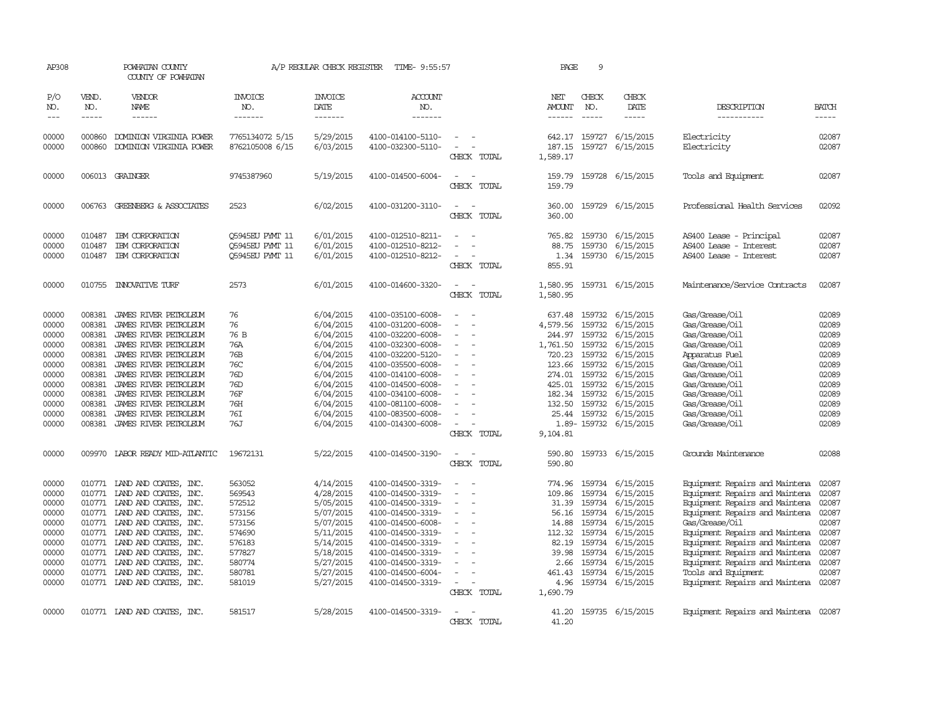| AP308                                                                                                    |                                                                                                                      | POWHATAN COUNTY<br>COUNTY OF POWHATAN                                                                                                                                                                                                                                                                                                                        |                                                                                                            | A/P REGULAR CHECK REGISTER                                                                                                                               | TIME- 9:55:57                                                                                                                                                                                                                                            |                                                                                                                                                | PAGE                                                                                       | 9                             |                                                                                                                                                                                                                                                                                                     |                                                                                                                                                                                                                                                                                                                                                                           |                                                                                                          |
|----------------------------------------------------------------------------------------------------------|----------------------------------------------------------------------------------------------------------------------|--------------------------------------------------------------------------------------------------------------------------------------------------------------------------------------------------------------------------------------------------------------------------------------------------------------------------------------------------------------|------------------------------------------------------------------------------------------------------------|----------------------------------------------------------------------------------------------------------------------------------------------------------|----------------------------------------------------------------------------------------------------------------------------------------------------------------------------------------------------------------------------------------------------------|------------------------------------------------------------------------------------------------------------------------------------------------|--------------------------------------------------------------------------------------------|-------------------------------|-----------------------------------------------------------------------------------------------------------------------------------------------------------------------------------------------------------------------------------------------------------------------------------------------------|---------------------------------------------------------------------------------------------------------------------------------------------------------------------------------------------------------------------------------------------------------------------------------------------------------------------------------------------------------------------------|----------------------------------------------------------------------------------------------------------|
| P/O<br>NO.<br>$\frac{1}{2}$                                                                              | VEND.<br>NO.<br>$- - - - -$                                                                                          | VENDOR<br>NAME<br>------                                                                                                                                                                                                                                                                                                                                     | INVOICE<br>NO.<br>-------                                                                                  | <b>INVOICE</b><br>DATE<br>-------                                                                                                                        | <b>ACCOUNT</b><br>NO.<br>-------                                                                                                                                                                                                                         |                                                                                                                                                | NET<br><b>AMOUNT</b><br>$- - - - - -$                                                      | CHECK<br>NO.<br>$\frac{1}{2}$ | CHECK<br>DATE<br>$- - - - -$                                                                                                                                                                                                                                                                        | DESCRIPTION<br>-----------                                                                                                                                                                                                                                                                                                                                                | <b>BATCH</b><br>-----                                                                                    |
| 00000<br>00000                                                                                           | 000860<br>000860                                                                                                     | DOMINION VIRGINIA POWER<br>DOMINION VIRGINIA POWER                                                                                                                                                                                                                                                                                                           | 7765134072 5/15<br>8762105008 6/15                                                                         | 5/29/2015<br>6/03/2015                                                                                                                                   | 4100-014100-5110-<br>4100-032300-5110-                                                                                                                                                                                                                   | $\equiv$<br>$\sim$ $-$<br>CHECK TOTAL                                                                                                          | 187.15<br>1,589.17                                                                         |                               | 642.17 159727 6/15/2015<br>159727 6/15/2015                                                                                                                                                                                                                                                         | Electricity<br>Electricity                                                                                                                                                                                                                                                                                                                                                | 02087<br>02087                                                                                           |
| 00000                                                                                                    |                                                                                                                      | 006013 GRAINGER                                                                                                                                                                                                                                                                                                                                              | 9745387960                                                                                                 | 5/19/2015                                                                                                                                                | 4100-014500-6004-                                                                                                                                                                                                                                        | $\equiv$<br>CHECK TOTAL                                                                                                                        | 159.79<br>159.79                                                                           |                               | 159728 6/15/2015                                                                                                                                                                                                                                                                                    | Tools and Equipment                                                                                                                                                                                                                                                                                                                                                       | 02087                                                                                                    |
| 00000                                                                                                    |                                                                                                                      | 006763 GREENBERG & ASSOCIATES                                                                                                                                                                                                                                                                                                                                | 2523                                                                                                       | 6/02/2015                                                                                                                                                | 4100-031200-3110-                                                                                                                                                                                                                                        | $\overline{\phantom{a}}$<br>CHECK TOTAL                                                                                                        | 360.00<br>360.00                                                                           |                               | 159729 6/15/2015                                                                                                                                                                                                                                                                                    | Professional Health Services                                                                                                                                                                                                                                                                                                                                              | 02092                                                                                                    |
| 00000<br>00000<br>00000                                                                                  | 010487<br>010487<br>010487                                                                                           | IBM CORPORATION<br>IBM CORPORATION<br>IBM CORPORATION                                                                                                                                                                                                                                                                                                        | 05945EU PYMT 11<br>Q5945EU PYMT 11<br>05945EU PYMT 11                                                      | 6/01/2015<br>6/01/2015<br>6/01/2015                                                                                                                      | 4100-012510-8211-<br>4100-012510-8212-<br>4100-012510-8212-                                                                                                                                                                                              | $\overline{\phantom{a}}$<br>$\equiv$<br>$\equiv$<br>CHECK TOTAL                                                                                | 765.82<br>88.75<br>1.34<br>855.91                                                          |                               | 159730 6/15/2015<br>159730 6/15/2015<br>159730 6/15/2015                                                                                                                                                                                                                                            | AS400 Lease - Principal<br>AS400 Lease - Interest<br>AS400 Lease - Interest                                                                                                                                                                                                                                                                                               | 02087<br>02087<br>02087                                                                                  |
| 00000                                                                                                    | 010755                                                                                                               | <b>INNOVATIVE TURF</b>                                                                                                                                                                                                                                                                                                                                       | 2573                                                                                                       | 6/01/2015                                                                                                                                                | 4100-014600-3320-                                                                                                                                                                                                                                        | $\equiv$<br>CHECK TOTAL                                                                                                                        | 1,580.95<br>1,580.95                                                                       |                               | 159731 6/15/2015                                                                                                                                                                                                                                                                                    | Maintenance/Service Contracts                                                                                                                                                                                                                                                                                                                                             | 02087                                                                                                    |
| 00000<br>00000<br>00000<br>00000<br>00000<br>00000<br>00000<br>00000<br>00000<br>00000<br>00000<br>00000 | 008381<br>008381<br>008381<br>008381<br>008381<br>008381<br>008381<br>008381<br>008381<br>008381<br>008381<br>008381 | JAMES RIVER PETROLEUM<br>JAMES RIVER PETROLEUM<br>JAMES RIVER PETROLEUM<br>JAMES RIVER PETROLEUM<br>JAMES RIVER PEIROLEUM<br>JAMES RIVER PETROLEUM<br>JAMES RIVER PETROLEUM<br>JAMES RIVER PETROLEUM<br>JAMES RIVER PETROLEUM<br>JAMES RIVER PETROLEUM<br>JAMES RIVER PETROLEUM<br>JAMES RIVER PEIROLEUM                                                     | 76<br>76<br>76 B<br>76A<br>76B<br>76C<br>76D<br>76D<br>76F<br>76H<br>76I<br>76J                            | 6/04/2015<br>6/04/2015<br>6/04/2015<br>6/04/2015<br>6/04/2015<br>6/04/2015<br>6/04/2015<br>6/04/2015<br>6/04/2015<br>6/04/2015<br>6/04/2015<br>6/04/2015 | 4100-035100-6008-<br>4100-031200-6008-<br>4100-032200-6008-<br>4100-032300-6008-<br>4100-032200-5120-<br>4100-035500-6008-<br>4100-014100-6008-<br>4100-014500-6008-<br>4100-034100-6008-<br>4100-081100-6008-<br>4100-083500-6008-<br>4100-014300-6008- | $\equiv$<br>$\equiv$<br>$\sim$<br>$\sim$<br>$\overline{\phantom{a}}$<br>$\sim$<br>$\overline{\phantom{a}}$<br>$\equiv$<br>$\equiv$<br>$\equiv$ | 637.48<br>4,579.56<br>244.97<br>123.66                                                     |                               | 159732 6/15/2015<br>159732 6/15/2015<br>159732 6/15/2015<br>1,761.50 159732 6/15/2015<br>720.23 159732 6/15/2015<br>159732 6/15/2015<br>274.01 159732 6/15/2015<br>425.01 159732 6/15/2015<br>182.34 159732 6/15/2015<br>132.50 159732 6/15/2015<br>25.44 159732 6/15/2015<br>1.89-159732 6/15/2015 | Gas/Grease/0il<br>Gas/Grease/Oil<br>Gas/Grease/Oil<br>Gas/Grease/Oil<br>Apparatus Fuel<br>Gas/Grease/Oil<br>Gas/Grease/Oil<br>Gas/Grease/Oil<br>Gas/Grease/Oil<br>Gas/Grease/Oil<br>Gas/Grease/Oil<br>Gas/Grease/Oil                                                                                                                                                      | 02089<br>02089<br>02089<br>02089<br>02089<br>02089<br>02089<br>02089<br>02089<br>02089<br>02089<br>02089 |
| 00000                                                                                                    | 009970                                                                                                               | LABOR READY MID-ATLANTIC                                                                                                                                                                                                                                                                                                                                     | 19672131                                                                                                   | 5/22/2015                                                                                                                                                | 4100-014500-3190-                                                                                                                                                                                                                                        | CHECK TOTAL<br>$\overline{\phantom{a}}$<br>CHECK TOTAL                                                                                         | 9,104.81<br>590.80<br>590.80                                                               |                               | 159733 6/15/2015                                                                                                                                                                                                                                                                                    | Grounds Maintenance                                                                                                                                                                                                                                                                                                                                                       | 02088                                                                                                    |
| 00000<br>00000<br>00000<br>00000<br>00000<br>00000<br>00000<br>00000<br>00000<br>00000<br>00000          |                                                                                                                      | 010771 LAND AND COATES, INC.<br>010771 IAND AND COATES, INC.<br>010771 LAND AND COATES, INC.<br>010771 LAND AND COATES, INC.<br>010771 LAND AND COATES, INC.<br>010771 LAND AND COATES, INC.<br>010771 LAND AND COATES, INC.<br>010771 LAND AND COATES, INC.<br>010771 LAND AND COATES, INC.<br>010771 LAND AND COATES, INC.<br>010771 LAND AND COATES, INC. | 563052<br>569543<br>572512<br>573156<br>573156<br>574690<br>576183<br>577827<br>580774<br>580781<br>581019 | 4/14/2015<br>4/28/2015<br>5/05/2015<br>5/07/2015<br>5/07/2015<br>5/11/2015<br>5/14/2015<br>5/18/2015<br>5/27/2015<br>5/27/2015<br>5/27/2015              | 4100-014500-3319-<br>4100-014500-3319-<br>4100-014500-3319-<br>4100-014500-3319-<br>4100-014500-6008-<br>4100-014500-3319-<br>4100-014500-3319-<br>4100-014500-3319-<br>4100-014500-3319-<br>4100-014500-6004-<br>4100-014500-3319-                      | $\equiv$<br>$\equiv$<br>$\equiv$<br>$\equiv$<br>$\equiv$<br>$\overline{\phantom{a}}$<br>$\equiv$<br>$\sim$ 100 $\mu$<br>CHECK TOTAL            | 774.96<br>109.86<br>31.39<br>14.88<br>82.19<br>39.98<br>2.66<br>461.43<br>4.96<br>1,690.79 |                               | 159734 6/15/2015<br>159734 6/15/2015<br>159734 6/15/2015<br>56.16 159734 6/15/2015<br>159734 6/15/2015<br>112.32 159734 6/15/2015<br>159734 6/15/2015<br>159734 6/15/2015<br>159734 6/15/2015<br>159734 6/15/2015<br>159734 6/15/2015                                                               | Equipment Repairs and Maintena<br>Equipment Repairs and Maintena<br>Equipment Repairs and Maintena<br>Equipment Repairs and Maintena 02087<br>Gas/Grease/Oil<br>Equipment Repairs and Maintena 02087<br>Equipment Repairs and Maintena<br>Equipment Repairs and Maintena<br>Equipment Repairs and Maintena<br>Tools and Equipment<br>Equipment Repairs and Maintena 02087 | 02087<br>02087<br>02087<br>02087<br>02087<br>02087<br>02087<br>02087                                     |
| 00000                                                                                                    |                                                                                                                      | 010771 LAND AND COATES, INC.                                                                                                                                                                                                                                                                                                                                 | 581517                                                                                                     | 5/28/2015                                                                                                                                                | 4100-014500-3319-                                                                                                                                                                                                                                        | CHECK TOTAL                                                                                                                                    | 41.20<br>41.20                                                                             |                               | 159735 6/15/2015                                                                                                                                                                                                                                                                                    | Equipment Repairs and Maintena 02087                                                                                                                                                                                                                                                                                                                                      |                                                                                                          |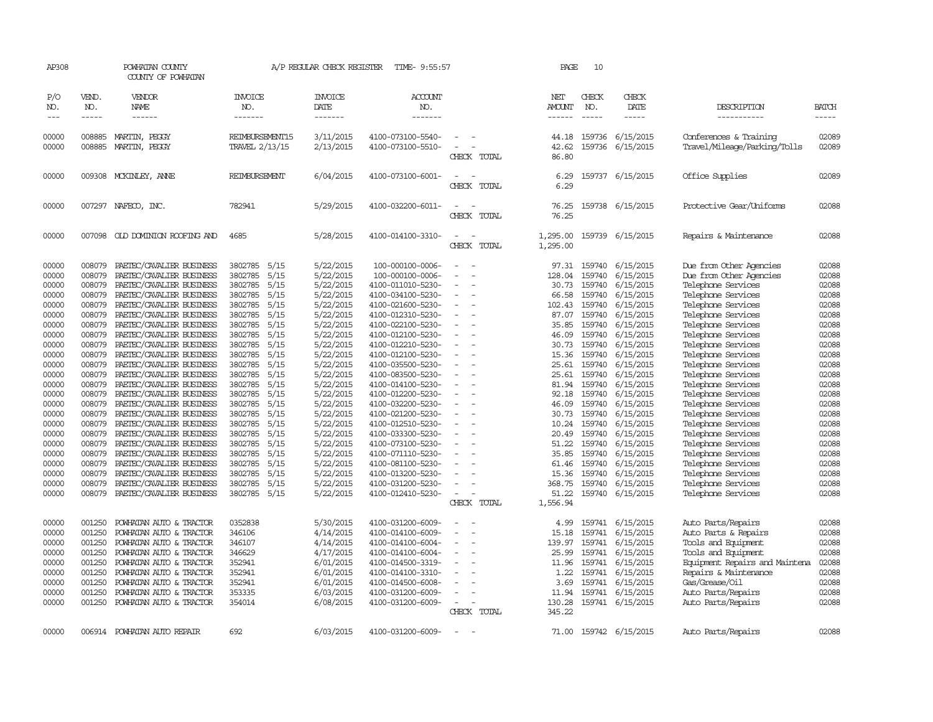| AP308               |                             | POWHATAN COUNTY<br>COUNTY OF POWHATAN                |                                   | A/P REGULAR CHECK REGISTER         | TIME- 9:55:57                          |                                         | PAGE                    | 10                          |                               |                                                        |                       |
|---------------------|-----------------------------|------------------------------------------------------|-----------------------------------|------------------------------------|----------------------------------------|-----------------------------------------|-------------------------|-----------------------------|-------------------------------|--------------------------------------------------------|-----------------------|
| P/O<br>NO.<br>$---$ | VEND.<br>NO.<br>$- - - - -$ | VENDOR<br>NAME<br>$- - - - - -$                      | INVOICE<br>NO.<br>--------        | <b>INVOICE</b><br>DATE<br>-------- | ACCOUNT<br>NO.<br>-------              |                                         | NET<br>AMOUNT<br>------ | CHECK<br>NO.<br>$- - - - -$ | CHECK<br>DATE<br>$- - - - -$  | DESCRIPTION<br>-----------                             | <b>BATCH</b><br>----- |
|                     |                             |                                                      |                                   |                                    |                                        |                                         |                         |                             |                               |                                                        |                       |
| 00000<br>00000      | 008885<br>008885            | MARTIN, PEGGY<br>MARTIN, PEGGY                       | REIMBURSEMENT15<br>TRAVEL 2/13/15 | 3/11/2015<br>2/13/2015             | 4100-073100-5540-<br>4100-073100-5510- | $\overline{\phantom{a}}$                | 44.18<br>42.62          | 159736                      | 159736 6/15/2015<br>6/15/2015 | Conferences & Training<br>Travel/Mileage/Parking/Tolls | 02089<br>02089        |
|                     |                             |                                                      |                                   |                                    |                                        | CHECK TOTAL                             | 86.80                   |                             |                               |                                                        |                       |
| 00000               | 009308                      | MCKINLEY, ANNE                                       | REIMBURSEMENT                     | 6/04/2015                          | 4100-073100-6001-                      | CHECK TOTAL                             | 6.29<br>6.29            |                             | 159737 6/15/2015              | Office Supplies                                        | 02089                 |
| 00000               |                             | 007297 NAFECO, INC.                                  | 782941                            | 5/29/2015                          | 4100-032200-6011-                      | CHECK TOTAL                             | 76.25<br>76.25          |                             | 159738 6/15/2015              | Protective Gear/Uniforms                               | 02088                 |
| 00000               | 007098                      | OLD DOMINION ROOFING AND                             | 4685                              | 5/28/2015                          | 4100-014100-3310-                      | $\overline{\phantom{a}}$<br>CHECK TOTAL | 1,295.00<br>1,295.00    |                             | 159739 6/15/2015              | Repairs & Maintenance                                  | 02088                 |
| 00000               | 008079                      | PAETEC/CAVALIER BUSINESS                             | 3802785<br>5/15                   | 5/22/2015                          | 100-000100-0006-                       |                                         | 97.31                   | 159740                      | 6/15/2015                     | Due from Other Agencies                                | 02088                 |
| 00000               | 008079                      | PAETEC/CAVALIER BUSINESS                             | 3802785<br>5/15                   | 5/22/2015                          | 100-000100-0006-                       |                                         | 128.04                  | 159740                      | 6/15/2015                     | Due from Other Agencies                                | 02088                 |
| 00000               | 008079                      | PAETEC/CAVALIER BUSINESS                             | 5/15<br>3802785                   | 5/22/2015                          | 4100-011010-5230-                      |                                         | 30.73                   | 159740                      | 6/15/2015                     | Telephone Services                                     | 02088                 |
| 00000               | 008079                      | PAETEC/CAVALIER BUSINESS                             | 5/15<br>3802785                   | 5/22/2015                          | 4100-034100-5230-                      | $\equiv$                                | 66.58                   | 159740                      | 6/15/2015                     | Telephone Services                                     | 02088                 |
| 00000               | 008079                      | PAETEC/CAVALIER BUSINESS                             | 3802785 5/15                      | 5/22/2015                          | 4100-021600-5230-                      |                                         | 102.43                  | 159740                      | 6/15/2015                     | Telephone Services                                     | 02088                 |
| 00000               | 008079                      | PAETEC/CAVALIER BUSINESS                             | 5/15<br>3802785                   | 5/22/2015                          | 4100-012310-5230-                      | $\equiv$                                | 87.07                   | 159740                      | 6/15/2015                     | Telephone Services                                     | 02088                 |
| 00000               | 008079                      | PAETEC/CAVALIER BUSINESS                             | 3802785<br>5/15                   | 5/22/2015                          | 4100-022100-5230-                      |                                         | 35.85                   | 159740                      | 6/15/2015                     | Telephone Services                                     | 02088                 |
| 00000               | 008079                      | PAETEC/CAVALIER BUSINESS                             | 3802785 5/15                      | 5/22/2015                          | 4100-012100-5230-                      |                                         | 46.09                   | 159740                      | 6/15/2015                     | Telephone Services                                     | 02088                 |
| 00000               | 008079                      | PAETEC/CAVALIER BUSINESS                             | 3802785 5/15                      | 5/22/2015                          | 4100-012210-5230-                      |                                         | 30.73                   | 159740                      | 6/15/2015                     | Telephone Services                                     | 02088                 |
| 00000               | 008079                      | PAETEC/CAVALIER BUSINESS                             | 5/15<br>3802785                   | 5/22/2015                          | 4100-012100-5230-                      |                                         | 15.36                   | 159740                      | 6/15/2015                     | Telephone Services                                     | 02088                 |
| 00000               | 008079                      | PAETEC/CAVALIER BUSINESS                             | 5/15<br>3802785                   | 5/22/2015                          | 4100-035500-5230-                      |                                         | 25.61                   | 159740                      | 6/15/2015                     | Telephone Services                                     | 02088                 |
| 00000               | 008079                      | PAETEC/CAVALIER BUSINESS                             | 3802785 5/15                      | 5/22/2015                          | 4100-083500-5230-                      |                                         | 25.61                   | 159740                      | 6/15/2015                     | Telephone Services                                     | 02088                 |
| 00000               | 008079                      | PAETEC/CAVALIER BUSINESS                             | 3802785 5/15                      | 5/22/2015                          | 4100-014100-5230-                      | $\overline{\phantom{a}}$                | 81.94                   | 159740                      | 6/15/2015                     | Telephone Services                                     | 02088                 |
| 00000               | 008079                      | PAETEC/CAVALIER BUSINESS                             | 5/15<br>3802785                   | 5/22/2015                          | 4100-012200-5230-                      |                                         | 92.18                   | 159740                      | 6/15/2015                     | Telephone Services                                     | 02088                 |
| 00000               | 008079                      | PAETEC/CAVALIER BUSINESS                             | 5/15<br>3802785                   | 5/22/2015                          | 4100-032200-5230-                      |                                         | 46.09                   | 159740                      | 6/15/2015                     | Telephone Services                                     | 02088                 |
| 00000               | 008079                      | PAETEC/CAVALIER BUSINESS                             | 3802785<br>5/15                   | 5/22/2015                          | 4100-021200-5230-                      |                                         | 30.73                   | 159740                      | 6/15/2015                     | Telephone Services                                     | 02088                 |
| 00000               | 008079                      | PAETEC/CAVALIER BUSINESS                             | 3802785 5/15<br>5/15              | 5/22/2015<br>5/22/2015             | 4100-012510-5230-                      |                                         | 10.24                   | 159740                      | 6/15/2015                     | Telephone Services                                     | 02088                 |
| 00000<br>00000      | 008079<br>008079            | PAETEC/CAVALIER BUSINESS<br>PAETEC/CAVALIER BUSINESS | 3802785<br>3802785 5/15           | 5/22/2015                          | 4100-033300-5230-<br>4100-073100-5230- |                                         | 20.49<br>51.22          | 159740<br>159740            | 6/15/2015<br>6/15/2015        | Telephone Services<br>Telephone Services               | 02088<br>02088        |
| 00000               | 008079                      | PAETEC/CAVALIER BUSINESS                             | 3802785 5/15                      | 5/22/2015                          | 4100-071110-5230-                      |                                         | 35.85                   | 159740                      | 6/15/2015                     | Telephone Services                                     | 02088                 |
| 00000               | 008079                      | PAETEC/CAVALIER BUSINESS                             | 5/15<br>3802785                   | 5/22/2015                          | 4100-081100-5230-                      |                                         | 61.46                   | 159740                      | 6/15/2015                     | Telephone Services                                     | 02088                 |
| 00000               | 008079                      | PAETEC/CAVALIER BUSINESS                             | 5/15<br>3802785                   | 5/22/2015                          | 4100-013200-5230-                      |                                         | 15.36                   | 159740                      | 6/15/2015                     | Telephone Services                                     | 02088                 |
| 00000               | 008079                      | PAETEC/CAVALIER BUSINESS                             | 3802785<br>5/15                   | 5/22/2015                          | 4100-031200-5230-                      |                                         | 368.75                  | 159740                      | 6/15/2015                     | Telephone Services                                     | 02088                 |
| 00000               | 008079                      | PAETEC/CAVALIER BUSINESS                             | 3802785 5/15                      | 5/22/2015                          | 4100-012410-5230-                      | $\equiv$                                | 51.22                   |                             | 159740 6/15/2015              | Telephone Services                                     | 02088                 |
|                     |                             |                                                      |                                   |                                    |                                        | CHECK TOTAL                             | 1,556.94                |                             |                               |                                                        |                       |
|                     | 001250                      |                                                      | 0352838                           |                                    |                                        |                                         |                         |                             |                               |                                                        | 02088                 |
| 00000               | 001250                      | POWHATAN AUTO & TRACTOR                              | 346106                            | 5/30/2015                          | 4100-031200-6009-<br>4100-014100-6009- | $\equiv$                                | 4.99<br>15.18           | 159741<br>159741            | 6/15/2015<br>6/15/2015        | Auto Parts/Repairs                                     |                       |
| 00000<br>00000      | 001250                      | POWHATAN AUTO & TRACTOR<br>POWHATAN AUTO & TRACTOR   | 346107                            | 4/14/2015<br>4/14/2015             | 4100-014100-6004-                      |                                         | 139.97                  | 159741                      | 6/15/2015                     | Auto Parts & Repairs<br>Tools and Equipment            | 02088<br>02088        |
| 00000               | 001250                      | POWHATAN AUTO & TRACTOR                              | 346629                            | 4/17/2015                          | 4100-014100-6004-                      |                                         | 25.99                   | 159741                      | 6/15/2015                     | Tools and Equipment                                    | 02088                 |
| 00000               | 001250                      | POWHATAN AUTO & TRACTOR                              | 352941                            | 6/01/2015                          | 4100-014500-3319-                      |                                         | 11.96                   | 159741                      | 6/15/2015                     | Equipment Repairs and Maintena                         | 02088                 |
| 00000               | 001250                      | POWHATAN AUTO & TRACTOR                              | 352941                            | 6/01/2015                          | 4100-014100-3310-                      |                                         | 1.22                    | 159741                      | 6/15/2015                     | Repairs & Maintenance                                  | 02088                 |
| 00000               | 001250                      | POWHATAN AUTO & TRACTOR                              | 352941                            | 6/01/2015                          | 4100-014500-6008-                      |                                         | 3.69                    | 159741                      | 6/15/2015                     | Gas/Grease/Oil                                         | 02088                 |
| 00000               | 001250                      | POWHATAN AUTO & TRACTOR                              | 353335                            | 6/03/2015                          | 4100-031200-6009-                      |                                         | 11.94                   | 159741                      | 6/15/2015                     | Auto Parts/Repairs                                     | 02088                 |
| 00000               | 001250                      | POWHATAN AUTO & TRACTOR                              | 354014                            | 6/08/2015                          | 4100-031200-6009-                      | $\equiv$                                | 130.28                  |                             | 159741 6/15/2015              | Auto Parts/Repairs                                     | 02088                 |
|                     |                             |                                                      |                                   |                                    |                                        | CHECK TOTAL                             | 345.22                  |                             |                               |                                                        |                       |
| 00000               |                             | 006914 POWHATAN AUTO REPAIR                          | 692                               | 6/03/2015                          | 4100-031200-6009-                      | $\sim$                                  | 71.00                   |                             | 159742 6/15/2015              | Auto Parts/Repairs                                     | 02088                 |
|                     |                             |                                                      |                                   |                                    |                                        |                                         |                         |                             |                               |                                                        |                       |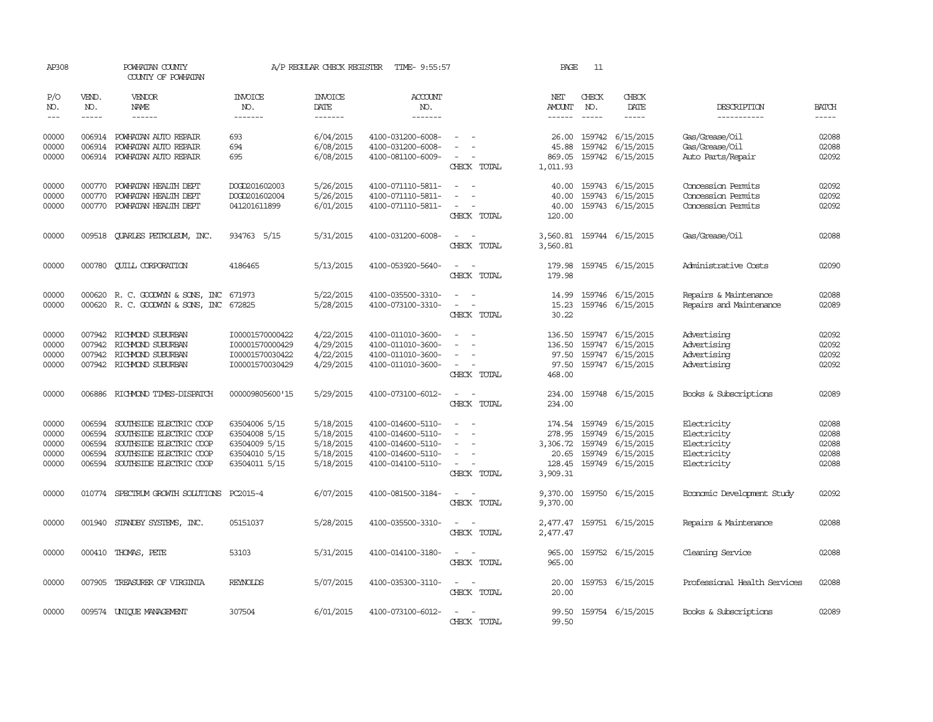| AP308                                     |                                      | POWHATAN COUNTY<br>COUNTY OF POWHATAN                                                                                                      |                                                                                   | A/P REGULAR CHECK REGISTER                                    | TIME- 9:55:57                                                                                         |                                                                                                                             | PAGE                                                        | 11                                   |                                                                              |                                                                         |                                           |
|-------------------------------------------|--------------------------------------|--------------------------------------------------------------------------------------------------------------------------------------------|-----------------------------------------------------------------------------------|---------------------------------------------------------------|-------------------------------------------------------------------------------------------------------|-----------------------------------------------------------------------------------------------------------------------------|-------------------------------------------------------------|--------------------------------------|------------------------------------------------------------------------------|-------------------------------------------------------------------------|-------------------------------------------|
| P/O<br>NO.<br>$---$                       | VEND.<br>NO.<br>$- - - - -$          | VENDOR<br>NAME<br>$- - - - - -$                                                                                                            | <b>INVOICE</b><br>NO.<br>-------                                                  | <b>INVOICE</b><br><b>DATE</b><br>-------                      | <b>ACCOUNT</b><br>NO.<br>-------                                                                      |                                                                                                                             | NET<br>AMOUNT<br>$- - - - - -$                              | CHECK<br>NO.<br>$- - - - -$          | CHECK<br>DATE<br>-----                                                       | DESCRIPTION<br>-----------                                              | <b>BATCH</b><br>$- - - - -$               |
| 00000<br>00000<br>00000                   | 006914<br>006914                     | POWHATAN AUTO REPAIR<br>POWHATAN AUTO REPAIR<br>006914 POWHATAN AUTO REPAIR                                                                | 693<br>694<br>695                                                                 | 6/04/2015<br>6/08/2015<br>6/08/2015                           | 4100-031200-6008-<br>4100-031200-6008-<br>4100-081100-6009-                                           | CHECK TOTAL                                                                                                                 | 26.00<br>45.88<br>869.05<br>1,011.93                        | 159742                               | 159742 6/15/2015<br>6/15/2015<br>159742 6/15/2015                            | Gas/Grease/Oil<br>Gas/Grease/Oil<br>Auto Parts/Repair                   | 02088<br>02088<br>02092                   |
| 00000<br>00000<br>00000                   | 000770<br>000770                     | POWHATAN HEALTH DEPT<br>POWHATAN HEALTH DEPT<br>000770 POWHATAN HEALTH DEPT                                                                | DOGD201602003<br>DOGD201602004<br>041201611899                                    | 5/26/2015<br>5/26/2015<br>6/01/2015                           | 4100-071110-5811-<br>4100-071110-5811-<br>4100-071110-5811-                                           | $\overline{\phantom{a}}$<br>$\overline{\phantom{a}}$<br>$\overline{\phantom{a}}$<br>$\sim$ $\sim$<br>CHECK TOTAL            | 40.00<br>40.00<br>40.00<br>120.00                           |                                      | 159743 6/15/2015<br>159743 6/15/2015<br>159743 6/15/2015                     | Concession Permits<br>Concession Permits<br>Concession Permits          | 02092<br>02092<br>02092                   |
| 00000                                     |                                      | 009518 CUARLES PETROLEUM, INC.                                                                                                             | 934763 5/15                                                                       | 5/31/2015                                                     | 4100-031200-6008-                                                                                     | CHECK TOTAL                                                                                                                 | 3,560.81<br>3,560.81                                        |                                      | 159744 6/15/2015                                                             | Gas/Grease/0il                                                          | 02088                                     |
| 00000                                     | 000780                               | <b>OUILL CORPORATION</b>                                                                                                                   | 4186465                                                                           | 5/13/2015                                                     | 4100-053920-5640-                                                                                     | CHECK TOTAL                                                                                                                 | 179.98<br>179.98                                            |                                      | 159745 6/15/2015                                                             | Administrative Costs                                                    | 02090                                     |
| 00000<br>00000                            | 000620                               | R. C. GOODWYN & SONS, INC<br>000620 R. C. GOODWYN & SONS, INC                                                                              | 671973<br>672825                                                                  | 5/22/2015<br>5/28/2015                                        | 4100-035500-3310-<br>4100-073100-3310-                                                                | CHECK TOTAL                                                                                                                 | 14.99<br>15.23<br>30.22                                     |                                      | 159746 6/15/2015<br>159746 6/15/2015                                         | Repairs & Maintenance<br>Repairs and Maintenance                        | 02088<br>02089                            |
| 00000<br>00000<br>00000<br>00000          | 007942<br>007942<br>007942           | RICHMOND SUBURBAN<br>RICHMOND SUBURBAN<br>RICHMOND SUBURBAN<br>007942 RICHMOND SUBURBAN                                                    | I00001570000422<br>I00001570000429<br>I00001570030422<br>I00001570030429          | 4/22/2015<br>4/29/2015<br>4/22/2015<br>4/29/2015              | 4100-011010-3600-<br>4100-011010-3600-<br>4100-011010-3600-<br>4100-011010-3600-                      | $\overline{\phantom{a}}$<br>CHECK TOTAL                                                                                     | 136.50<br>136.50<br>97.50<br>97.50<br>468.00                |                                      | 159747 6/15/2015<br>159747 6/15/2015<br>159747 6/15/2015<br>159747 6/15/2015 | Advertising<br>Advertising<br>Advertising<br>Advertising                | 02092<br>02092<br>02092<br>02092          |
| 00000                                     |                                      | 006886 RICHMOND TIMES-DISPATCH                                                                                                             | 000009805600'15                                                                   | 5/29/2015                                                     | 4100-073100-6012-                                                                                     | CHECK TOTAL                                                                                                                 | 234.00<br>234.00                                            |                                      | 159748 6/15/2015                                                             | Books & Subscriptions                                                   | 02089                                     |
| 00000<br>00000<br>00000<br>00000<br>00000 | 006594<br>006594<br>006594<br>006594 | SOUTHSIDE ELECTRIC COOP<br>SOUTHSIDE ELECTRIC COOP<br>SOUTHSIDE ELECTRIC COOP<br>SOUTHSIDE ELECTRIC COOP<br>006594 SOUTHSIDE ELECTRIC COOP | 63504006 5/15<br>63504008 5/15<br>63504009 5/15<br>63504010 5/15<br>63504011 5/15 | 5/18/2015<br>5/18/2015<br>5/18/2015<br>5/18/2015<br>5/18/2015 | 4100-014600-5110-<br>4100-014600-5110-<br>4100-014600-5110-<br>4100-014600-5110-<br>4100-014100-5110- | $\sim$<br>CHECK TOTAL                                                                                                       | 174.54<br>278.95<br>3,306.72<br>20.65<br>128.45<br>3,909.31 | 159749<br>159749<br>159749<br>159749 | 6/15/2015<br>6/15/2015<br>6/15/2015<br>6/15/2015<br>159749 6/15/2015         | Electricity<br>Electricity<br>Electricity<br>Electricity<br>Electricity | 02088<br>02088<br>02088<br>02088<br>02088 |
| 00000                                     |                                      | 010774 SPECTRUM GROWIH SOLUTIONS PC2015-4                                                                                                  |                                                                                   | 6/07/2015                                                     | 4100-081500-3184-                                                                                     | $\frac{1}{2} \left( \frac{1}{2} \right) \left( \frac{1}{2} \right) = \frac{1}{2} \left( \frac{1}{2} \right)$<br>CHECK TOTAL | 9,370.00<br>9,370.00                                        |                                      | 159750 6/15/2015                                                             | Economic Development Study                                              | 02092                                     |
| 00000                                     |                                      | 001940 STANDBY SYSTEMS, INC.                                                                                                               | 05151037                                                                          | 5/28/2015                                                     | 4100-035500-3310-                                                                                     | $\sim$<br>CHECK TOTAL                                                                                                       | 2,477.47                                                    |                                      | 2,477.47 159751 6/15/2015                                                    | Repairs & Maintenance                                                   | 02088                                     |
| 00000                                     |                                      | 000410 THOMAS, PETE                                                                                                                        | 53103                                                                             | 5/31/2015                                                     | 4100-014100-3180-                                                                                     | $\frac{1}{2} \left( \frac{1}{2} \right) \left( \frac{1}{2} \right) = \frac{1}{2} \left( \frac{1}{2} \right)$<br>CHECK TOTAL | 965.00<br>965.00                                            |                                      | 159752 6/15/2015                                                             | Cleaning Service                                                        | 02088                                     |
| 00000                                     | 007905                               | TREASURER OF VIRGINIA                                                                                                                      | <b>REYNOLDS</b>                                                                   | 5/07/2015                                                     | 4100-035300-3110-                                                                                     | CHECK TOTAL                                                                                                                 | 20.00<br>20.00                                              |                                      | 159753 6/15/2015                                                             | Professional Health Services                                            | 02088                                     |
| 00000                                     |                                      | 009574 UNIQUE MANAGEMENT                                                                                                                   | 307504                                                                            | 6/01/2015                                                     | 4100-073100-6012-                                                                                     | CHECK TOTAL                                                                                                                 | 99.50<br>99.50                                              |                                      | 159754 6/15/2015                                                             | Books & Subscriptions                                                   | 02089                                     |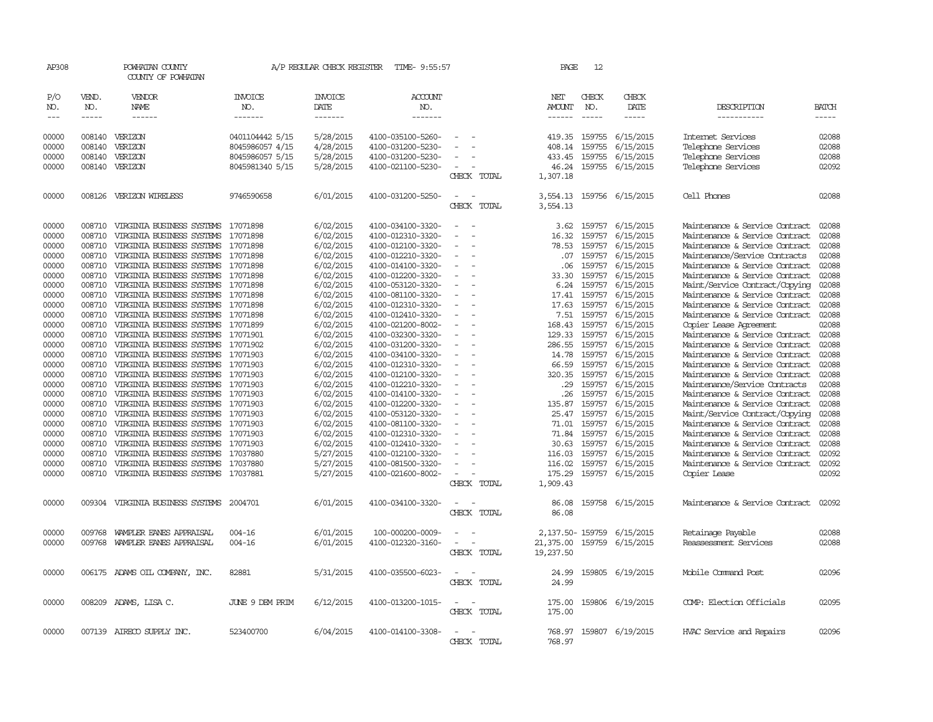| AP308         |              | POWHATAN COUNTY<br>COUNTY OF POWHATAN |                       | A/P REGULAR CHECK REGISTER | TIME- 9:55:57     |                               | PAGE              | 12            |                  |                                |              |
|---------------|--------------|---------------------------------------|-----------------------|----------------------------|-------------------|-------------------------------|-------------------|---------------|------------------|--------------------------------|--------------|
| P/O<br>NO.    | VEND.<br>NO. | <b>VENDOR</b><br><b>NAME</b>          | <b>INVOICE</b><br>NO. | <b>INVOICE</b><br>DATE     | ACCOUNT<br>NO.    |                               | NET<br>AMOUNT     | CHECK<br>NO.  | CHECK<br>DATE    | DESCRIPTION                    | <b>BATCH</b> |
| $\frac{1}{2}$ | $- - - - -$  | ------                                | -------               | -------                    | -------           |                               |                   | $\frac{1}{2}$ | -----            | -----------                    | $- - - - -$  |
| 00000         |              | 008140 VERIZON                        | 0401104442 5/15       | 5/28/2015                  | 4100-035100-5260- |                               | 419.35            | 159755        | 6/15/2015        | Internet Services              | 02088        |
| 00000         | 008140       | VERIZON                               | 8045986057 4/15       | 4/28/2015                  | 4100-031200-5230- |                               | 408.14            | 159755        | 6/15/2015        | Telephone Services             | 02088        |
| 00000         | 008140       | VERIZON                               | 8045986057 5/15       | 5/28/2015                  | 4100-031200-5230- |                               | 433.45            | 159755        | 6/15/2015        | Telephone Services             | 02088        |
|               |              | 008140 VERIZON                        | 8045981340 5/15       |                            | 4100-021100-5230- | $\overline{\phantom{a}}$      |                   |               |                  | Telephone Services             | 02092        |
| 00000         |              |                                       |                       | 5/28/2015                  |                   | CHECK TOTAL                   | 46.24<br>1,307.18 |               | 159755 6/15/2015 |                                |              |
| 00000         |              | 008126 VERIZON WIRELESS               | 9746590658            | 6/01/2015                  | 4100-031200-5250- |                               | 3,554.13          |               | 159756 6/15/2015 | Cell Phones                    | 02088        |
|               |              |                                       |                       |                            |                   | CHECK TOTAL                   | 3,554.13          |               |                  |                                |              |
| 00000         | 008710       | VIRGINIA BUSINESS SYSTEMS 17071898    |                       | 6/02/2015                  | 4100-034100-3320- |                               | 3.62              |               | 159757 6/15/2015 | Maintenance & Service Contract | 02088        |
| 00000         | 008710       | VIRGINIA BUSINESS SYSTEMS             | 17071898              | 6/02/2015                  | 4100-012310-3320- |                               | 16.32             | 159757        | 6/15/2015        | Maintenance & Service Contract | 02088        |
| 00000         | 008710       | VIRGINIA BUSINESS SYSTEMS             | 17071898              | 6/02/2015                  | 4100-012100-3320- | $\sim$                        | 78.53             | 159757        | 6/15/2015        | Maintenance & Service Contract | 02088        |
| 00000         | 008710       | VIRGINIA BUSINESS SYSTEMS             | 17071898              | 6/02/2015                  | 4100-012210-3320- | $\equiv$                      | .07               | 159757        | 6/15/2015        | Maintenance/Service Contracts  | 02088        |
| 00000         | 008710       | VIRGINIA BUSINESS SYSTEMS             | 17071898              | 6/02/2015                  | 4100-014100-3320- |                               | .06               | 159757        | 6/15/2015        | Maintenance & Service Contract | 02088        |
| 00000         | 008710       | VIRGINIA BUSINESS SYSTEMS 17071898    |                       | 6/02/2015                  | 4100-012200-3320- |                               | 33.30             | 159757        | 6/15/2015        | Maintenance & Service Contract | 02088        |
| 00000         | 008710       | VIRGINIA BUSINESS SYSTEMS             | 17071898              | 6/02/2015                  | 4100-053120-3320- |                               | 6.24              | 159757        | 6/15/2015        | Maint/Service Contract/Copying | 02088        |
| 00000         | 008710       | VIRGINIA BUSINESS SYSTEMS             | 17071898              |                            | 4100-081100-3320- | $\sim$                        | 17.41             | 159757        |                  | Maintenance & Service Contract | 02088        |
|               |              |                                       |                       | 6/02/2015                  |                   |                               |                   |               | 6/15/2015        |                                |              |
| 00000         | 008710       | VIRGINIA BUSINESS SYSTEMS 17071898    |                       | 6/02/2015                  | 4100-012310-3320- |                               | 17.63             | 159757        | 6/15/2015        | Maintenance & Service Contract | 02088        |
| 00000         | 008710       | VIRGINIA BUSINESS SYSTEMS 17071898    |                       | 6/02/2015                  | 4100-012410-3320- | $\overline{\phantom{a}}$      | 7.51              | 159757        | 6/15/2015        | Maintenance & Service Contract | 02088        |
| 00000         | 008710       | VIRGINIA BUSINESS SYSTEMS 17071899    |                       | 6/02/2015                  | 4100-021200-8002- | $\overline{\phantom{a}}$      | 168.43            | 159757        | 6/15/2015        | Copier Lease Agreement         | 02088        |
| 00000         | 008710       | VIRGINIA BUSINESS SYSTEMS             | 17071901              | 6/02/2015                  | 4100-032300-3320- |                               | 129.33            | 159757        | 6/15/2015        | Maintenance & Service Contract | 02088        |
| 00000         | 008710       | VIRGINIA BUSINESS SYSTEMS             | 17071902              | 6/02/2015                  | 4100-031200-3320- |                               | 286.55            | 159757        | 6/15/2015        | Maintenance & Service Contract | 02088        |
| 00000         | 008710       | VIRGINIA BUSINESS SYSTEMS             | 17071903              | 6/02/2015                  | 4100-034100-3320- | $\equiv$                      | 14.78             | 159757        | 6/15/2015        | Maintenance & Service Contract | 02088        |
| 00000         | 008710       | VIRGINIA BUSINESS SYSTEMS             | 17071903              | 6/02/2015                  | 4100-012310-3320- |                               | 66.59             | 159757        | 6/15/2015        | Maintenance & Service Contract | 02088        |
| 00000         | 008710       | VIRGINIA BUSINESS SYSTEMS             | 17071903              | 6/02/2015                  | 4100-012100-3320- |                               | 320.35            | 159757        | 6/15/2015        | Maintenance & Service Contract | 02088        |
| 00000         | 008710       | VIRGINIA BUSINESS SYSTEMS             | 17071903              | 6/02/2015                  | 4100-012210-3320- | $\equiv$                      | .29               | 159757        | 6/15/2015        | Maintenance/Service Contracts  | 02088        |
| 00000         | 008710       | VIRGINIA BUSINESS SYSTEMS             | 17071903              | 6/02/2015                  | 4100-014100-3320- |                               | .26               | 159757        | 6/15/2015        | Maintenance & Service Contract | 02088        |
| 00000         | 008710       | VIRGINIA BUSINESS SYSTEMS 17071903    |                       | 6/02/2015                  | 4100-012200-3320- | $\equiv$                      | 135.87            | 159757        | 6/15/2015        | Maintenance & Service Contract | 02088        |
| 00000         | 008710       | VIRGINIA BUSINESS SYSTEMS 17071903    |                       | 6/02/2015                  | 4100-053120-3320- |                               | 25.47             | 159757        | 6/15/2015        | Maint/Service Contract/Copying | 02088        |
| 00000         | 008710       | VIRGINIA BUSINESS SYSTEMS 17071903    |                       | 6/02/2015                  | 4100-081100-3320- | $\sim$                        |                   | 71.01 159757  | 6/15/2015        | Maintenance & Service Contract | 02088        |
| 00000         | 008710       | VIRGINIA BUSINESS SYSTEMS             | 17071903              | 6/02/2015                  | 4100-012310-3320- | $\equiv$                      | 71.84             | 159757        | 6/15/2015        | Maintenance & Service Contract | 02088        |
| 00000         | 008710       | VIRGINIA BUSINESS SYSTEMS             | 17071903              | 6/02/2015                  | 4100-012410-3320- |                               | 30.63             | 159757        | 6/15/2015        | Maintenance & Service Contract | 02088        |
| 00000         | 008710       | VIRGINIA BUSINESS SYSTEMS             | 17037880              | 5/27/2015                  | 4100-012100-3320- |                               | 116.03            | 159757        | 6/15/2015        | Maintenance & Service Contract | 02092        |
| 00000         | 008710       | VIRGINIA BUSINESS SYSTEMS             | 17037880              | 5/27/2015                  | 4100-081500-3320- |                               | 116.02            | 159757        | 6/15/2015        | Maintenance & Service Contract | 02092        |
| 00000         | 008710       | VIRGINIA BUSINESS SYSTEMS             | 17037881              | 5/27/2015                  | 4100-021600-8002- |                               | 175.29            | 159757        | 6/15/2015        | Copier Lease                   | 02092        |
|               |              |                                       |                       |                            |                   | CHECK TOTAL                   | 1,909.43          |               |                  |                                |              |
| 00000         |              | 009304 VIRGINIA BUSINESS SYSTEMS      | 2004701               | 6/01/2015                  | 4100-034100-3320- |                               | 86.08             |               | 159758 6/15/2015 | Maintenance & Service Contract | 02092        |
|               |              |                                       |                       |                            |                   | CHECK TOTAL                   | 86.08             |               |                  |                                |              |
| 00000         | 009768       | WAMPLER EANES APPRAISAL               | $004 - 16$            | 6/01/2015                  | 100-000200-0009-  |                               | 2,137.50-159759   |               | 6/15/2015        | Retainage Payable              | 02088        |
| 00000         | 009768       | WAMPLER EANES APPRAISAL               | $004 - 16$            | 6/01/2015                  | 4100-012320-3160- |                               | 21,375.00         | 159759        | 6/15/2015        | Reassessment Services          | 02088        |
|               |              |                                       |                       |                            |                   | CHECK TOTAL                   | 19,237.50         |               |                  |                                |              |
| 00000         |              | 006175 ADAMS OIL COMPANY, INC.        | 82881                 | 5/31/2015                  | 4100-035500-6023- |                               | 24.99             |               | 159805 6/19/2015 | Mobile Command Post            | 02096        |
|               |              |                                       |                       |                            |                   | CHECK TOTAL                   | 24.99             |               |                  |                                |              |
| 00000         |              | 008209 ADAMS, LISA C.                 | JUNE 9 DEM PRIM       | 6/12/2015                  | 4100-013200-1015- |                               | 175.00            |               | 159806 6/19/2015 | COMP: Election Officials       | 02095        |
|               |              |                                       |                       |                            |                   | CHECK TOTAL                   | 175.00            |               |                  |                                |              |
| 00000         |              | 007139 AIRECO SUPPLY INC.             | 523400700             | 6/04/2015                  | 4100-014100-3308- |                               | 768.97            |               | 159807 6/19/2015 | HVAC Service and Repairs       | 02096        |
|               |              |                                       |                       |                            |                   | <b>CHFICK</b><br><b>TOTAL</b> | 768.97            |               |                  |                                |              |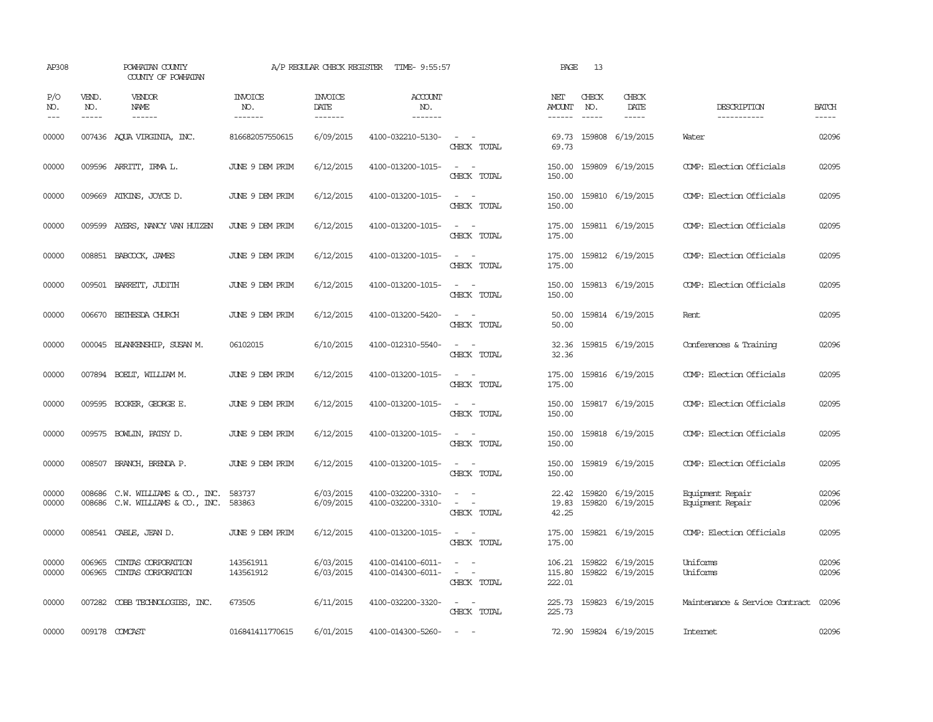| AP308               |                             | POWHATAN COUNTY<br>COUNTY OF POWHATAN                                |                                  | A/P REGULAR CHECK REGISTER        | TIME- 9:55:57                          |                                                                                                                                          | PAGE                       | 13           |                                            |                                      |                       |
|---------------------|-----------------------------|----------------------------------------------------------------------|----------------------------------|-----------------------------------|----------------------------------------|------------------------------------------------------------------------------------------------------------------------------------------|----------------------------|--------------|--------------------------------------------|--------------------------------------|-----------------------|
| P/O<br>NO.<br>$---$ | VEND.<br>NO.<br>$- - - - -$ | VENDOR<br>NAME<br>------                                             | <b>INVOICE</b><br>NO.<br>------- | <b>INVOICE</b><br>DATE<br>------- | <b>ACCOUNT</b><br>NO.<br>-------       |                                                                                                                                          | NET<br>AMOUNT<br>------    | CHECK<br>NO. | CHECK<br>DATE                              | DESCRIPTION<br>-----------           | <b>BATCH</b><br>----- |
| 00000               |                             | 007436 AQUA VIRGINIA, INC.                                           | 816682057550615                  | 6/09/2015                         | 4100-032210-5130-                      | $\sim$ 10 $\sim$ 10 $\sim$<br>CHECK TOTAL                                                                                                | 69.73<br>69.73             |              | 159808 6/19/2015                           | Water                                | 02096                 |
| 00000               |                             | 009596 ARRITT, IRMA L.                                               | JUNE 9 DEM PRIM                  | 6/12/2015                         | 4100-013200-1015-                      | $\frac{1}{2} \left( \frac{1}{2} \right) \left( \frac{1}{2} \right) = \frac{1}{2} \left( \frac{1}{2} \right)$<br>CHECK TOTAL              | 150.00<br>150.00           |              | 159809 6/19/2015                           | COMP: Election Officials             | 02095                 |
| 00000               |                             | 009669 ATKINS, JOYCE D.                                              | JUNE 9 DEM PRIM                  | 6/12/2015                         | 4100-013200-1015-                      | $\sim$<br>CHECK TOTAL                                                                                                                    | 150.00<br>150.00           |              | 159810 6/19/2015                           | COMP: Election Officials             | 02095                 |
| 00000               |                             | 009599 AYERS, NANCY VAN HUIZEN                                       | JUNE 9 DEM PRIM                  | 6/12/2015                         | 4100-013200-1015-                      | $\sim$ 10 $\sim$ 10 $\sim$<br>CHECK TOTAL                                                                                                | 175.00<br>175.00           |              | 159811 6/19/2015                           | COMP: Election Officials             | 02095                 |
| 00000               |                             | 008851 BABCOCK, JAMES                                                | JUNE 9 DEM PRIM                  | 6/12/2015                         | 4100-013200-1015-                      | $\sim$ 10 $\sim$ 10 $\sim$<br>CHECK TOTAL                                                                                                | 175.00<br>175.00           |              | 159812 6/19/2015                           | COMP: Election Officials             | 02095                 |
| 00000               |                             | 009501 BARRETT, JUDITH                                               | JUNE 9 DEM PRIM                  | 6/12/2015                         | 4100-013200-1015-                      | $\frac{1}{2} \left( \frac{1}{2} \right) \left( \frac{1}{2} \right) \left( \frac{1}{2} \right) \left( \frac{1}{2} \right)$<br>CHECK TOTAL | 150.00<br>150.00           |              | 159813 6/19/2015                           | COMP: Election Officials             | 02095                 |
| 00000               | 006670                      | BETHESDA CHURCH                                                      | JUNE 9 DEM PRIM                  | 6/12/2015                         | 4100-013200-5420-                      | CHECK TOTAL                                                                                                                              | 50.00<br>50.00             |              | 159814 6/19/2015                           | Rent                                 | 02095                 |
| 00000               |                             | 000045 BLANKENSHIP, SUSAN M.                                         | 06102015                         | 6/10/2015                         | 4100-012310-5540-                      | $\sim$ 100 $\sim$<br>CHECK TOTAL                                                                                                         | 32.36<br>32.36             |              | 159815 6/19/2015                           | Conferences & Training               | 02096                 |
| 00000               |                             | 007894 BOELT, WILLIAM M.                                             | JUNE 9 DEM PRIM                  | 6/12/2015                         | 4100-013200-1015-                      | $\sim$ 100 $\sim$ 100 $\sim$<br>CHECK TOTAL                                                                                              | 175.00<br>175.00           |              | 159816 6/19/2015                           | COMP: Election Officials             | 02095                 |
| 00000               |                             | 009595 BOOKER, GEORGE E.                                             | JUNE 9 DEM PRIM                  | 6/12/2015                         | 4100-013200-1015-                      | $\sim$ $\sim$<br>CHECK TOTAL                                                                                                             | 150.00<br>150.00           |              | 159817 6/19/2015                           | COMP: Election Officials             | 02095                 |
| 00000               |                             | 009575 BOWLIN, PATSY D.                                              | JUNE 9 DEM PRIM                  | 6/12/2015                         | 4100-013200-1015-                      | $\sim$ 100 $\sim$ 100 $\sim$<br>CHECK TOTAL                                                                                              | 150.00<br>150.00           |              | 159818 6/19/2015                           | COMP: Election Officials             | 02095                 |
| 00000               |                             | 008507 BRANCH, BRENDA P.                                             | JUNE 9 DEM PRIM                  | 6/12/2015                         | 4100-013200-1015-                      | CHECK TOTAL                                                                                                                              | 150.00<br>150.00           |              | 159819 6/19/2015                           | COMP: Election Officials             | 02095                 |
| 00000<br>00000      |                             | 008686 C.W. WILLIAMS & CO., INC.<br>008686 C.W. WILLIAMS & CO., INC. | 583737<br>583863                 | 6/03/2015<br>6/09/2015            | 4100-032200-3310-<br>4100-032200-3310- | $\omega_{\rm{max}}$ and $\omega_{\rm{max}}$<br>CHECK TOTAL                                                                               | 19.83<br>42.25             |              | 22.42 159820 6/19/2015<br>159820 6/19/2015 | Equipment Repair<br>Equipment Repair | 02096<br>02096        |
| 00000               |                             | 008541 CABLE, JEAN D.                                                | JUNE 9 DEM PRIM                  | 6/12/2015                         | 4100-013200-1015-                      | $\omega_{\rm{max}}$ and $\omega_{\rm{max}}$<br>CHECK TOTAL                                                                               | 175.00<br>175.00           |              | 159821 6/19/2015                           | COMP: Election Officials             | 02095                 |
| 00000<br>00000      | 006965<br>006965            | CINIAS CORPORATION<br>CINIAS CORPORATION                             | 143561911<br>143561912           | 6/03/2015<br>6/03/2015            | 4100-014100-6011-<br>4100-014300-6011- | $\overline{\phantom{a}}$<br>$\equiv$<br>CHECK TOTAL                                                                                      | 106.21<br>115.80<br>222.01 |              | 159822 6/19/2015<br>159822 6/19/2015       | Uniforms<br>Uniforms                 | 02096<br>02096        |
| 00000               | 007282                      | COBB TECHNOLOGIES, INC.                                              | 673505                           | 6/11/2015                         | 4100-032200-3320-                      | $\sim$ $\sim$<br>CHECK TOTAL                                                                                                             | 225.73<br>225.73           |              | 159823 6/19/2015                           | Maintenance & Service Contract       | 02096                 |
| 00000               |                             | 009178 COMCAST                                                       | 016841411770615                  | 6/01/2015                         | 4100-014300-5260-                      | $\sim$ $-$                                                                                                                               |                            |              | 72.90 159824 6/19/2015                     | Intemet                              | 02096                 |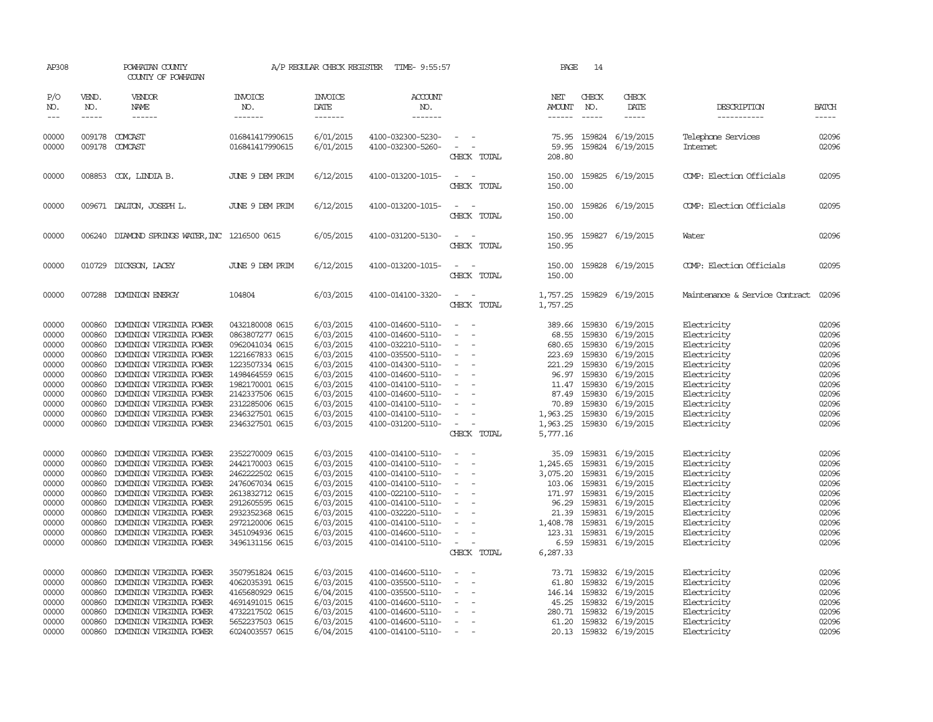| AP308                                                                                           |                                                                                                            | POWHATAN COUNTY<br>COUNTY OF POWHATAN                                                                                                                                                                                                                                                                 |                                                                                                                                                                                                               |                                                                                                                                             | A/P REGULAR CHECK REGISTER TIME- 9:55:57                                                                                                                                                                                            |                                                                                                                                           | PAGE                                                                                                                  | 14                                                                                     |                                                                                                                                                                                        |                                                                                                                                                                   |                                                                                                 |
|-------------------------------------------------------------------------------------------------|------------------------------------------------------------------------------------------------------------|-------------------------------------------------------------------------------------------------------------------------------------------------------------------------------------------------------------------------------------------------------------------------------------------------------|---------------------------------------------------------------------------------------------------------------------------------------------------------------------------------------------------------------|---------------------------------------------------------------------------------------------------------------------------------------------|-------------------------------------------------------------------------------------------------------------------------------------------------------------------------------------------------------------------------------------|-------------------------------------------------------------------------------------------------------------------------------------------|-----------------------------------------------------------------------------------------------------------------------|----------------------------------------------------------------------------------------|----------------------------------------------------------------------------------------------------------------------------------------------------------------------------------------|-------------------------------------------------------------------------------------------------------------------------------------------------------------------|-------------------------------------------------------------------------------------------------|
| P/O<br>NO.<br>$---$                                                                             | VEND.<br>NO.<br>$\frac{1}{2}$                                                                              | VENDOR<br>NAME<br>$- - - - - -$                                                                                                                                                                                                                                                                       | <b>INVOICE</b><br>NO.<br>-------                                                                                                                                                                              | <b>INVOICE</b><br>DATE<br>-------                                                                                                           | <b>ACCOUNT</b><br>NO.<br>-------                                                                                                                                                                                                    |                                                                                                                                           | NET<br>AMOUNT<br>$- - - - - -$                                                                                        | CHECK<br>NO.<br>$\frac{1}{2}$                                                          | CHECK<br>DATE<br>-----                                                                                                                                                                 | DESCRIPTION<br>-----------                                                                                                                                        | <b>BATCH</b><br>-----                                                                           |
| 00000<br>00000                                                                                  | 009178                                                                                                     | 009178 COMCAST<br>COMCAST                                                                                                                                                                                                                                                                             | 016841417990615<br>016841417990615                                                                                                                                                                            | 6/01/2015<br>6/01/2015                                                                                                                      | 4100-032300-5230-<br>4100-032300-5260-                                                                                                                                                                                              | CHECK TOTAL                                                                                                                               | 75.95<br>59.95<br>208.80                                                                                              | 159824                                                                                 | 159824 6/19/2015<br>6/19/2015                                                                                                                                                          | Telephone Services<br>Internet                                                                                                                                    | 02096<br>02096                                                                                  |
| 00000                                                                                           |                                                                                                            | 008853 COX, LINDIA B.                                                                                                                                                                                                                                                                                 | JUNE 9 DEM PRIM                                                                                                                                                                                               | 6/12/2015                                                                                                                                   | 4100-013200-1015-                                                                                                                                                                                                                   | CHECK TOTAL                                                                                                                               | 150.00<br>150.00                                                                                                      |                                                                                        | 159825 6/19/2015                                                                                                                                                                       | COMP: Election Officials                                                                                                                                          | 02095                                                                                           |
| 00000                                                                                           |                                                                                                            | 009671 DALTON, JOSEPH L.                                                                                                                                                                                                                                                                              | JUNE 9 DEM PRIM                                                                                                                                                                                               | 6/12/2015                                                                                                                                   | 4100-013200-1015-                                                                                                                                                                                                                   | $\overline{\phantom{a}}$<br>. —<br>CHECK TOTAL                                                                                            | 150.00<br>150.00                                                                                                      |                                                                                        | 159826 6/19/2015                                                                                                                                                                       | COMP: Election Officials                                                                                                                                          | 02095                                                                                           |
| 00000                                                                                           | 006240                                                                                                     | DIAMOND SPRINGS WATER, INC 1216500 0615                                                                                                                                                                                                                                                               |                                                                                                                                                                                                               | 6/05/2015                                                                                                                                   | 4100-031200-5130-                                                                                                                                                                                                                   | CHECK TOTAL                                                                                                                               | 150.95<br>150.95                                                                                                      |                                                                                        | 159827 6/19/2015                                                                                                                                                                       | Water                                                                                                                                                             | 02096                                                                                           |
| 00000                                                                                           |                                                                                                            | 010729 DICKSON, LACEY                                                                                                                                                                                                                                                                                 | JUNE 9 DEM PRIM                                                                                                                                                                                               | 6/12/2015                                                                                                                                   | 4100-013200-1015-                                                                                                                                                                                                                   | CHECK TOTAL                                                                                                                               | 150.00<br>150.00                                                                                                      |                                                                                        | 159828 6/19/2015                                                                                                                                                                       | COMP: Election Officials                                                                                                                                          | 02095                                                                                           |
| 00000                                                                                           | 007288                                                                                                     | DOMINION ENERGY                                                                                                                                                                                                                                                                                       | 104804                                                                                                                                                                                                        | 6/03/2015                                                                                                                                   | 4100-014100-3320-                                                                                                                                                                                                                   | CHECK TOTAL                                                                                                                               | 1,757.25<br>1,757.25                                                                                                  |                                                                                        | 159829 6/19/2015                                                                                                                                                                       | Maintenance & Service Contract                                                                                                                                    | 02096                                                                                           |
| 00000<br>00000<br>00000<br>00000<br>00000<br>00000<br>00000<br>00000<br>00000<br>00000<br>00000 | 000860<br>000860<br>000860<br>000860<br>000860<br>000860<br>000860<br>000860<br>000860<br>000860<br>000860 | DOMINION VIRGINIA POWER<br>DOMINION VIRGINIA POWER<br>DOMINION VIRGINIA POWER<br>DOMINION VIRGINIA POWER<br>DOMINION VIRGINIA POWER<br>DOMINION VIRGINIA POWER<br>DOMINION VIRGINIA POWER<br>DOMINION VIRGINIA POWER<br>DOMINION VIRGINIA POWER<br>DOMINION VIRGINIA POWER<br>DOMINION VIRGINIA POWER | 0432180008 0615<br>0863807277 0615<br>0962041034 0615<br>1221667833 0615<br>1223507334 0615<br>1498464559 0615<br>1982170001 0615<br>2142337506 0615<br>2312285006 0615<br>2346327501 0615<br>2346327501 0615 | 6/03/2015<br>6/03/2015<br>6/03/2015<br>6/03/2015<br>6/03/2015<br>6/03/2015<br>6/03/2015<br>6/03/2015<br>6/03/2015<br>6/03/2015<br>6/03/2015 | 4100-014600-5110-<br>4100-014600-5110-<br>4100-032210-5110-<br>4100-035500-5110-<br>4100-014300-5110-<br>4100-014600-5110-<br>4100-014100-5110-<br>4100-014600-5110-<br>4100-014100-5110-<br>4100-014100-5110-<br>4100-031200-5110- | $\equiv$<br>$\overline{\phantom{a}}$<br>$\equiv$<br>$\sim$<br>CHECK TOTAL                                                                 | 389.66<br>68.55<br>680.65<br>223.69<br>221.29<br>96.97<br>11.47<br>87.49<br>70.89<br>1,963.25<br>1,963.25<br>5,777.16 | 159830<br>159830<br>159830<br>159830<br>159830<br>159830<br>159830<br>159830<br>159830 | 159830 6/19/2015<br>6/19/2015<br>6/19/2015<br>6/19/2015<br>6/19/2015<br>6/19/2015<br>6/19/2015<br>6/19/2015<br>6/19/2015<br>6/19/2015<br>159830 6/19/2015                              | Electricity<br>Electricity<br>Electricity<br>Electricity<br>Electricity<br>Electricity<br>Electricity<br>Electricity<br>Electricity<br>Electricity<br>Electricity | 02096<br>02096<br>02096<br>02096<br>02096<br>02096<br>02096<br>02096<br>02096<br>02096<br>02096 |
| 00000<br>00000<br>00000<br>00000<br>00000<br>00000<br>00000<br>00000<br>00000<br>00000          | 000860<br>000860<br>000860<br>000860<br>000860<br>000860<br>000860<br>000860<br>000860<br>000860           | DOMINION VIRGINIA POWER<br>DOMINION VIRGINIA POWER<br>DOMINION VIRGINIA POWER<br>DOMINION VIRGINIA POWER<br>DOMINION VIRGINIA POWER<br>DOMINION VIRGINIA POWER<br>DOMINION VIRGINIA POWER<br>DOMINION VIRGINIA POWER<br>DOMINION VIRGINIA POWER<br>DOMINION VIRGINIA POWER                            | 2352270009 0615<br>2442170003 0615<br>2462222502 0615<br>2476067034 0615<br>2613832712 0615<br>2912605595 0615<br>2932352368 0615<br>2972120006 0615<br>3451094936 0615<br>3496131156 0615                    | 6/03/2015<br>6/03/2015<br>6/03/2015<br>6/03/2015<br>6/03/2015<br>6/03/2015<br>6/03/2015<br>6/03/2015<br>6/03/2015<br>6/03/2015              | 4100-014100-5110-<br>4100-014100-5110-<br>4100-014100-5110-<br>4100-014100-5110-<br>4100-022100-5110-<br>4100-014100-5110-<br>4100-032220-5110-<br>4100-014100-5110-<br>4100-014600-5110-<br>4100-014100-5110-                      | $\sim$<br>$\overline{\phantom{a}}$<br>÷,<br>$\overline{\phantom{a}}$<br>$\equiv$<br>$\sim$<br>$\sim$<br>$\equiv$<br>$\sim$<br>CHECK TOTAL | 35.09<br>1,245.65<br>3,075.20<br>103.06<br>171.97<br>96.29<br>21.39<br>1,408.78<br>123.31<br>6.59<br>6,287.33         | 159831<br>159831                                                                       | 159831 6/19/2015<br>159831 6/19/2015<br>6/19/2015<br>6/19/2015<br>159831 6/19/2015<br>159831 6/19/2015<br>159831 6/19/2015<br>159831 6/19/2015<br>159831 6/19/2015<br>159831 6/19/2015 | Electricity<br>Electricity<br>Electricity<br>Electricity<br>Electricity<br>Electricity<br>Electricity<br>Electricity<br>Electricity<br>Electricity                | 02096<br>02096<br>02096<br>02096<br>02096<br>02096<br>02096<br>02096<br>02096<br>02096          |
| 00000<br>00000<br>00000<br>00000<br>00000<br>00000<br>00000                                     | 000860<br>000860<br>000860<br>000860<br>000860<br>000860                                                   | DOMINION VIRGINIA POWER<br>DOMINION VIRGINIA POWER<br>DOMINION VIRGINIA POWER<br>DOMINION VIRGINIA POWER<br>DOMINION VIRGINIA POWER<br>DOMINION VIRGINIA POWER<br>000860 DOMINION VIRGINIA POWER                                                                                                      | 3507951824 0615<br>4062035391 0615<br>4165680929 0615<br>4691491015 0615<br>4732217502 0615<br>5652237503 0615<br>6024003557 0615                                                                             | 6/03/2015<br>6/03/2015<br>6/04/2015<br>6/03/2015<br>6/03/2015<br>6/03/2015<br>6/04/2015                                                     | 4100-014600-5110-<br>4100-035500-5110-<br>4100-035500-5110-<br>4100-014600-5110-<br>4100-014600-5110-<br>4100-014600-5110-<br>4100-014100-5110-                                                                                     | $\equiv$<br>$\equiv$<br>$\overline{\phantom{a}}$<br>$\sim$                                                                                | 73.71<br>61.80<br>146.14<br>45.25<br>280.71<br>61.20                                                                  | 159832<br>159832<br>159832<br>159832<br>159832                                         | 159832 6/19/2015<br>6/19/2015<br>6/19/2015<br>6/19/2015<br>6/19/2015<br>6/19/2015<br>20.13 159832 6/19/2015                                                                            | Electricity<br>Electricity<br>Electricity<br>Electricity<br>Electricity<br>Electricity<br>Electricity                                                             | 02096<br>02096<br>02096<br>02096<br>02096<br>02096<br>02096                                     |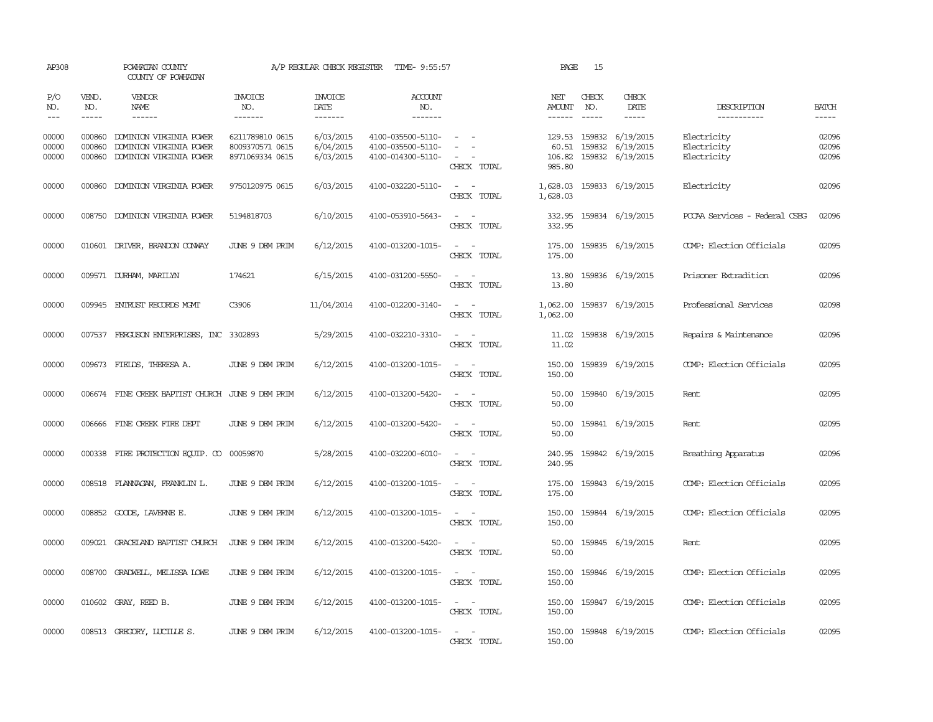| AP308                       |                             | POWHATAN COUNTY<br>COUNTY OF POWHATAN                                         |                                                       | A/P REGULAR CHECK REGISTER               | TIME- 9:55:57                                               |                                                                                                                             | PAGE<br>15                                                      |                                                          |                                           |                         |
|-----------------------------|-----------------------------|-------------------------------------------------------------------------------|-------------------------------------------------------|------------------------------------------|-------------------------------------------------------------|-----------------------------------------------------------------------------------------------------------------------------|-----------------------------------------------------------------|----------------------------------------------------------|-------------------------------------------|-------------------------|
| P/O<br>NO.<br>$\frac{1}{2}$ | VEND.<br>NO.<br>$- - - - -$ | <b>VENDOR</b><br><b>NAME</b><br>------                                        | <b>INVOICE</b><br>NO.<br>-------                      | <b>INVOICE</b><br><b>DATE</b><br>------- | <b>ACCOUNT</b><br>NO.<br>-------                            |                                                                                                                             | CHECK<br>NET<br>AMOUNT<br>NO.<br>$- - - - - -$<br>$\frac{1}{2}$ | CHECK<br>DATE<br>-----                                   | DESCRIPTION<br>-----------                | <b>BATCH</b><br>-----   |
| 00000<br>00000<br>00000     | 000860<br>000860<br>000860  | DOMINION VIRGINIA POWER<br>DOMINION VIRGINIA POWER<br>DOMINION VIRGINIA POWER | 6211789810 0615<br>8009370571 0615<br>8971069334 0615 | 6/03/2015<br>6/04/2015<br>6/03/2015      | 4100-035500-5110-<br>4100-035500-5110-<br>4100-014300-5110- | $\sim$ $ \sim$<br>$\sim$<br>CHECK TOTAL                                                                                     | 60.51 159832<br>106.82<br>985.80                                | 129.53 159832 6/19/2015<br>6/19/2015<br>159832 6/19/2015 | Electricity<br>Electricity<br>Electricity | 02096<br>02096<br>02096 |
| 00000                       | 000860                      | DOMINION VIRGINIA POWER                                                       | 9750120975 0615                                       | 6/03/2015                                | 4100-032220-5110-                                           | CHECK TOTAL                                                                                                                 | 1,628.03<br>1,628.03                                            | 159833 6/19/2015                                         | Electricity                               | 02096                   |
| 00000                       | 008750                      | DOMINION VIRGINIA POWER                                                       | 5194818703                                            | 6/10/2015                                | 4100-053910-5643-                                           | $\sim$<br>CHECK TOTAL                                                                                                       | 332.95<br>332.95                                                | 159834 6/19/2015                                         | PCCAA Services - Federal CSBG             | 02096                   |
| 00000                       |                             | 010601 DRIVER, BRANDON CONWAY                                                 | JUNE 9 DEM PRIM                                       | 6/12/2015                                | 4100-013200-1015-                                           | $\omega_{\rm{max}}$ and $\omega_{\rm{max}}$<br>CHECK TOTAL                                                                  | 175.00<br>175.00                                                | 159835 6/19/2015                                         | COMP: Election Officials                  | 02095                   |
| 00000                       |                             | 009571 DURHAM, MARILYN                                                        | 174621                                                | 6/15/2015                                | 4100-031200-5550-                                           | $\sim$ $ \sim$<br>CHECK TOTAL                                                                                               | 13.80<br>13.80                                                  | 159836 6/19/2015                                         | Prisoner Extradition                      | 02096                   |
| 00000                       |                             | 009945 ENTRUST RECORDS MGMT                                                   | C3906                                                 | 11/04/2014                               | 4100-012200-3140-                                           | $\sim$<br>$\sim$<br>CHECK TOTAL                                                                                             | 1,062.00<br>1,062.00                                            | 159837 6/19/2015                                         | Professional Services                     | 02098                   |
| 00000                       |                             | 007537 FERGUSON ENTERPRISES, INC 3302893                                      |                                                       | 5/29/2015                                | 4100-032210-3310-                                           | CHECK TOTAL                                                                                                                 | 11.02<br>11.02                                                  | 159838 6/19/2015                                         | Repairs & Maintenance                     | 02096                   |
| 00000                       |                             | 009673 FIELDS, THERESA A.                                                     | JUNE 9 DEM PRIM                                       | 6/12/2015                                | 4100-013200-1015-                                           | $\sim$<br>$\sim$<br>CHECK TOTAL                                                                                             | 150.00<br>150.00                                                | 159839 6/19/2015                                         | COMP: Election Officials                  | 02095                   |
| 00000                       |                             | 006674 FINE CREEK BAPTIST CHURCH JUNE 9 DEM PRIM                              |                                                       | 6/12/2015                                | 4100-013200-5420-                                           | $\frac{1}{2} \left( \frac{1}{2} \right) \left( \frac{1}{2} \right) = \frac{1}{2} \left( \frac{1}{2} \right)$<br>CHECK TOTAL | 50.00<br>50.00                                                  | 159840 6/19/2015                                         | Rent                                      | 02095                   |
| 00000                       |                             | 006666 FINE CREEK FIRE DEPT                                                   | JUNE 9 DEM PRIM                                       | 6/12/2015                                | 4100-013200-5420-                                           | $\sim$<br>CHECK TOTAL                                                                                                       | 50.00<br>50.00                                                  | 159841 6/19/2015                                         | Rent                                      | 02095                   |
| 00000                       |                             | 000338 FIRE PROTECTION EQUIP. CO                                              | 00059870                                              | 5/28/2015                                | 4100-032200-6010-                                           | CHECK TOTAL                                                                                                                 | 240.95<br>240.95                                                | 159842 6/19/2015                                         | Breathing Apparatus                       | 02096                   |
| 00000                       |                             | 008518 FLANAGAN, FRANKLIN L.                                                  | JUNE 9 DEM PRIM                                       | 6/12/2015                                | 4100-013200-1015-                                           | CHECK TOTAL                                                                                                                 | 175.00<br>175.00                                                | 159843 6/19/2015                                         | COMP: Election Officials                  | 02095                   |
| 00000                       | 008852                      | GOODE, LAVERNE E.                                                             | JUNE 9 DEM PRIM                                       | 6/12/2015                                | 4100-013200-1015-                                           | CHECK TOTAL                                                                                                                 | 150.00<br>150.00                                                | 159844 6/19/2015                                         | COMP: Election Officials                  | 02095                   |
| 00000                       | 009021                      | GRACELAND BAPTIST CHURCH                                                      | JUNE 9 DEM PRIM                                       | 6/12/2015                                | 4100-013200-5420-                                           | CHECK TOTAL                                                                                                                 | 50.00<br>50.00                                                  | 159845 6/19/2015                                         | Rent                                      | 02095                   |
| 00000                       |                             | 008700 GRADWELL, MELISSA LOWE                                                 | JUNE 9 DEM PRIM                                       | 6/12/2015                                | 4100-013200-1015-                                           | $\sim$<br>CHECK TOTAL                                                                                                       | 150.00<br>150.00                                                | 159846 6/19/2015                                         | COMP: Election Officials                  | 02095                   |
| 00000                       |                             | 010602 GRAY, REED B.                                                          | JUNE 9 DEM PRIM                                       | 6/12/2015                                | 4100-013200-1015-                                           | $\frac{1}{2} \left( \frac{1}{2} \right) \left( \frac{1}{2} \right) = \frac{1}{2} \left( \frac{1}{2} \right)$<br>CHECK TOTAL | 150.00<br>150.00                                                | 159847 6/19/2015                                         | COMP: Election Officials                  | 02095                   |
| 00000                       |                             | 008513 GREGORY, LUCILLE S.                                                    | JUNE 9 DEM PRIM                                       | 6/12/2015                                | 4100-013200-1015-                                           | $\sim$<br>$\sim$<br>CHECK TOTAL                                                                                             | 150.00<br>150.00                                                | 159848 6/19/2015                                         | COMP: Election Officials                  | 02095                   |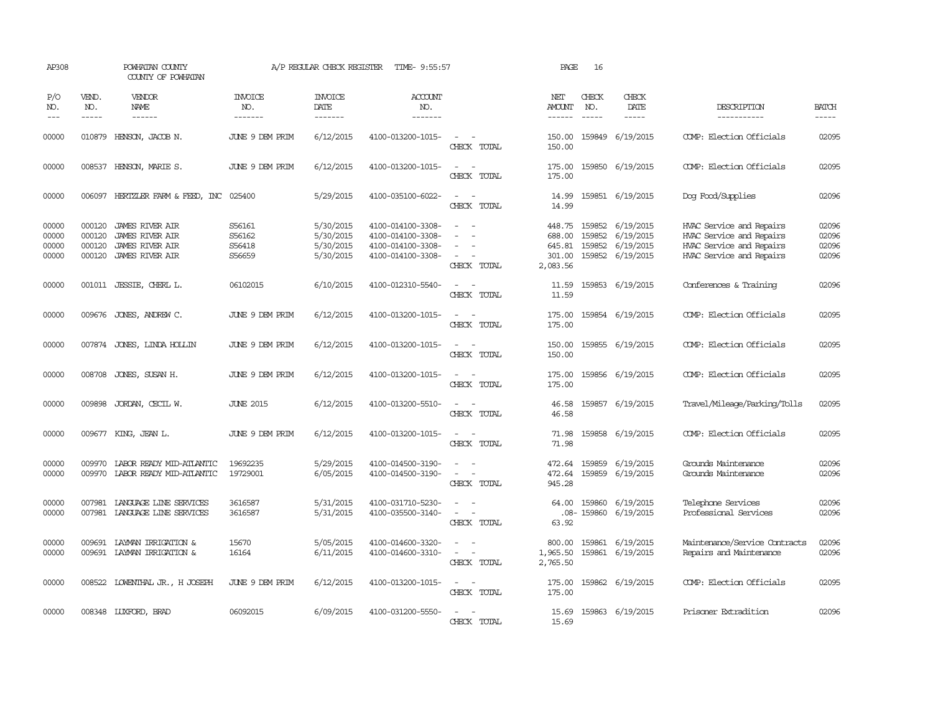| AP308                            |                                      | POWHATAN COUNTY<br>COUNTY OF POWHATAN                                                                |                                      | A/P REGULAR CHECK REGISTER                       | TIME- 9:55:57                                                                    |                                                             | PAGE                                             | 16                            |                                                                       |                                                                                                              |                                  |
|----------------------------------|--------------------------------------|------------------------------------------------------------------------------------------------------|--------------------------------------|--------------------------------------------------|----------------------------------------------------------------------------------|-------------------------------------------------------------|--------------------------------------------------|-------------------------------|-----------------------------------------------------------------------|--------------------------------------------------------------------------------------------------------------|----------------------------------|
| P/O<br>NO.<br>$---$              | VEND.<br>NO.<br>$- - - - -$          | VENDOR<br>NAME<br>$- - - - - -$                                                                      | <b>INVOICE</b><br>NO.<br>-------     | <b>INVOICE</b><br><b>DATE</b><br>-------         | <b>ACCOUNT</b><br>NO.<br>-------                                                 |                                                             | NET<br>AMOUNT<br>$- - - - - -$                   | CHECK<br>NO.<br>$\frac{1}{2}$ | CHECK<br>DATE<br>$- - - - -$                                          | DESCRIPTION<br>-----------                                                                                   | <b>BATCH</b><br>-----            |
| 00000                            | 010879                               | HENSON, JACOB N.                                                                                     | JUNE 9 DEM PRIM                      | 6/12/2015                                        | 4100-013200-1015-                                                                | $\sim$<br>CHECK TOTAL                                       | 150.00<br>150.00                                 | 159849                        | 6/19/2015                                                             | COMP: Election Officials                                                                                     | 02095                            |
| 00000                            |                                      | 008537 HENSON, MARIE S.                                                                              | JUNE 9 DEM PRIM                      | 6/12/2015                                        | 4100-013200-1015-                                                                | $\sim$<br>CHECK TOTAL                                       | 175.00<br>175.00                                 | 159850                        | 6/19/2015                                                             | COMP: Election Officials                                                                                     | 02095                            |
| 00000                            | 006097                               | HERTZLER FARM & FEED, INC                                                                            | 025400                               | 5/29/2015                                        | 4100-035100-6022-                                                                | $\equiv$<br>CHECK TOTAL                                     | 14.99<br>14.99                                   |                               | 159851 6/19/2015                                                      | Dog Food/Supplies                                                                                            | 02096                            |
| 00000<br>00000<br>00000<br>00000 | 000120<br>000120<br>000120<br>000120 | <b>JAMES RIVER AIR</b><br><b>JAMES RIVER AIR</b><br><b>JAMES RIVER AIR</b><br><b>JAMES RIVER AIR</b> | S56161<br>S56162<br>S56418<br>S56659 | 5/30/2015<br>5/30/2015<br>5/30/2015<br>5/30/2015 | 4100-014100-3308-<br>4100-014100-3308-<br>4100-014100-3308-<br>4100-014100-3308- | $\sim$<br>$\sim$<br>$\overline{\phantom{a}}$<br>CHECK TOTAL | 448.75<br>688.00<br>645.81<br>301.00<br>2,083.56 | 159852                        | 159852 6/19/2015<br>6/19/2015<br>159852 6/19/2015<br>159852 6/19/2015 | HVAC Service and Repairs<br>HVAC Service and Repairs<br>HVAC Service and Repairs<br>HVAC Service and Repairs | 02096<br>02096<br>02096<br>02096 |
| 00000                            |                                      | 001011 JESSIE, CHERL L.                                                                              | 06102015                             | 6/10/2015                                        | 4100-012310-5540-                                                                | $\equiv$<br>$\overline{\phantom{a}}$<br>CHECK TOTAL         | 11.59<br>11.59                                   |                               | 159853 6/19/2015                                                      | Conferences & Training                                                                                       | 02096                            |
| 00000                            |                                      | 009676 JONES, ANDREW C.                                                                              | JUNE 9 DEM PRIM                      | 6/12/2015                                        | 4100-013200-1015-                                                                | $\sim$ $\sim$<br>CHECK TOTAL                                | 175.00<br>175.00                                 |                               | 159854 6/19/2015                                                      | COMP: Election Officials                                                                                     | 02095                            |
| 00000                            |                                      | 007874 JONES, LINDA HOLLIN                                                                           | JUNE 9 DEM PRIM                      | 6/12/2015                                        | 4100-013200-1015-                                                                | $\sim$<br>$\sim$<br>CHECK TOTAL                             | 150.00<br>150.00                                 |                               | 159855 6/19/2015                                                      | COMP: Election Officials                                                                                     | 02095                            |
| 00000                            | 008708                               | JONES, SUSAN H.                                                                                      | JUNE 9 DEM PRIM                      | 6/12/2015                                        | 4100-013200-1015-                                                                | $\sim$ $\sim$<br>CHECK TOTAL                                | 175.00<br>175.00                                 |                               | 159856 6/19/2015                                                      | COMP: Election Officials                                                                                     | 02095                            |
| 00000                            | 009898                               | JORDAN, CECIL W.                                                                                     | <b>JUNE 2015</b>                     | 6/12/2015                                        | 4100-013200-5510-                                                                | $\sim$<br>CHECK TOTAL                                       | 46.58<br>46.58                                   |                               | 159857 6/19/2015                                                      | Travel/Mileage/Parking/Tolls                                                                                 | 02095                            |
| 00000                            |                                      | 009677 KING, JEAN L.                                                                                 | JUNE 9 DEM PRIM                      | 6/12/2015                                        | 4100-013200-1015-                                                                | CHECK TOTAL                                                 | 71.98<br>71.98                                   |                               | 159858 6/19/2015                                                      | COMP: Election Officials                                                                                     | 02095                            |
| 00000<br>00000                   | 009970<br>009970                     | LABOR READY MID-ATLANTIC<br>LABOR READY MID-ATLANTIC                                                 | 19692235<br>19729001                 | 5/29/2015<br>6/05/2015                           | 4100-014500-3190-<br>4100-014500-3190-                                           | $\equiv$<br>CHECK TOTAL                                     | 472.64<br>472.64<br>945.28                       | 159859                        | 6/19/2015<br>159859 6/19/2015                                         | Grounds Maintenance<br>Grounds Maintenance                                                                   | 02096<br>02096                   |
| 00000<br>00000                   | 007981                               | LANGUAGE LINE SERVICES<br>007981 LANGLAGE LINE SERVICES                                              | 3616587<br>3616587                   | 5/31/2015<br>5/31/2015                           | 4100-031710-5230-<br>4100-035500-3140-                                           | $\sim$<br>CHECK TOTAL                                       | 64.00<br>63.92                                   | 159860                        | 6/19/2015<br>08-159860 6/19/2015                                      | Telephone Services<br>Professional Services                                                                  | 02096<br>02096                   |
| 00000<br>00000                   | 009691<br>009691                     | LAYMAN IRRIGATION &<br>LAYMAN IRRIGATION &                                                           | 15670<br>16164                       | 5/05/2015<br>6/11/2015                           | 4100-014600-3320-<br>4100-014600-3310-                                           | $\equiv$<br>CHECK TOTAL                                     | 800.00<br>1,965.50<br>2,765.50                   | 159861                        | 6/19/2015<br>159861 6/19/2015                                         | Maintenance/Service Contracts<br>Repairs and Maintenance                                                     | 02096<br>02096                   |
| 00000                            |                                      | 008522 LOWENTHAL JR., H JOSEPH                                                                       | JUNE 9 DEM PRIM                      | 6/12/2015                                        | 4100-013200-1015-                                                                | $\sim$ $-$<br>CHECK TOTAL                                   | 175.00<br>175.00                                 |                               | 159862 6/19/2015                                                      | COMP: Election Officials                                                                                     | 02095                            |
| 00000                            |                                      | 008348 LUXFORD, BRAD                                                                                 | 06092015                             | 6/09/2015                                        | 4100-031200-5550-                                                                | CHECK TOTAL                                                 | 15.69<br>15.69                                   |                               | 159863 6/19/2015                                                      | Prisoner Extradition                                                                                         | 02096                            |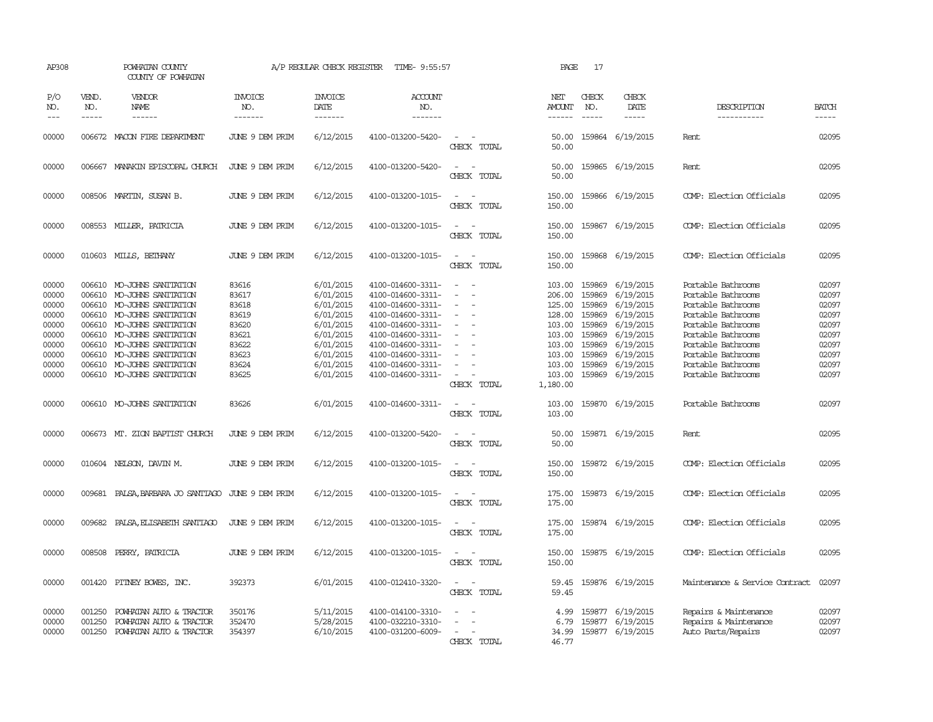| AP308                                                                                  |                                      | POWHATAN COUNTY<br>COUNTY OF POWHATAN                                                                                                                                                                                                                                        |                                                                                        | A/P REGULAR CHECK REGISTER                                                                                                     | TIME- 9:55:57                                                                                                                                                                                                  |                                                     | PAGE                                                                                                         | 17                                                                                               |                                                                                                                                |                                                                                                                                                                                                                          |                                                                                        |
|----------------------------------------------------------------------------------------|--------------------------------------|------------------------------------------------------------------------------------------------------------------------------------------------------------------------------------------------------------------------------------------------------------------------------|----------------------------------------------------------------------------------------|--------------------------------------------------------------------------------------------------------------------------------|----------------------------------------------------------------------------------------------------------------------------------------------------------------------------------------------------------------|-----------------------------------------------------|--------------------------------------------------------------------------------------------------------------|--------------------------------------------------------------------------------------------------|--------------------------------------------------------------------------------------------------------------------------------|--------------------------------------------------------------------------------------------------------------------------------------------------------------------------------------------------------------------------|----------------------------------------------------------------------------------------|
| P/O<br>NO.<br>$---$                                                                    | VEND.<br>NO.<br>$\frac{1}{2}$        | VENDOR<br>NAME<br>------                                                                                                                                                                                                                                                     | <b>INVOICE</b><br>NO.<br>-------                                                       | <b>INVOICE</b><br>DATE<br>-------                                                                                              | <b>ACCOUNT</b><br>NO.<br>-------                                                                                                                                                                               |                                                     | NET<br>AMOUNT<br>------                                                                                      | CHECK<br>NO.<br>$- - - - -$                                                                      | CHECK<br>DATE<br>$- - - - -$                                                                                                   | DESCRIPTION<br>-----------                                                                                                                                                                                               | <b>BATCH</b><br>-----                                                                  |
| 00000                                                                                  |                                      | 006672 MACON FIRE DEPARTMENT                                                                                                                                                                                                                                                 | JUNE 9 DEM PRIM                                                                        | 6/12/2015                                                                                                                      | 4100-013200-5420-                                                                                                                                                                                              | CHECK TOTAL                                         | 50.00<br>50.00                                                                                               |                                                                                                  | 159864 6/19/2015                                                                                                               | Rent                                                                                                                                                                                                                     | 02095                                                                                  |
| 00000                                                                                  |                                      | 006667 MANAKIN EPISCOPAL CHURCH                                                                                                                                                                                                                                              | JUNE 9 DEM PRIM                                                                        | 6/12/2015                                                                                                                      | 4100-013200-5420-                                                                                                                                                                                              | $\overline{\phantom{0}}$<br>CHECK TOTAL             | 50.00<br>50.00                                                                                               |                                                                                                  | 159865 6/19/2015                                                                                                               | Rent                                                                                                                                                                                                                     | 02095                                                                                  |
| 00000                                                                                  |                                      | 008506 MARTIN, SUSAN B.                                                                                                                                                                                                                                                      | JUNE 9 DEM PRIM                                                                        | 6/12/2015                                                                                                                      | 4100-013200-1015-                                                                                                                                                                                              | $\sim$<br>$\sim$<br>CHECK TOTAL                     | 150.00<br>150.00                                                                                             |                                                                                                  | 159866 6/19/2015                                                                                                               | COMP: Election Officials                                                                                                                                                                                                 | 02095                                                                                  |
| 00000                                                                                  |                                      | 008553 MILLER, PATRICIA                                                                                                                                                                                                                                                      | JUNE 9 DEM PRIM                                                                        | 6/12/2015                                                                                                                      | 4100-013200-1015-                                                                                                                                                                                              | CHECK TOTAL                                         | 150.00<br>150.00                                                                                             |                                                                                                  | 159867 6/19/2015                                                                                                               | COMP: Election Officials                                                                                                                                                                                                 | 02095                                                                                  |
| 00000                                                                                  |                                      | 010603 MILLS, BETHANY                                                                                                                                                                                                                                                        | JUNE 9 DEM PRIM                                                                        | 6/12/2015                                                                                                                      | 4100-013200-1015-                                                                                                                                                                                              | $\overline{a}$<br>CHECK TOTAL                       | 150.00<br>150.00                                                                                             |                                                                                                  | 159868 6/19/2015                                                                                                               | COMP: Election Officials                                                                                                                                                                                                 | 02095                                                                                  |
| 00000<br>00000<br>00000<br>00000<br>00000<br>00000<br>00000<br>00000<br>00000<br>00000 | 006610<br>006610<br>006610<br>006610 | MO-JOHNS SANITATION<br>MO-JOHNS SANITATION<br>MO-JOHNS SANITATION<br>006610 MO-JOHNS SANITATION<br>006610 MO-JOHNS SANITATION<br>006610 MO-JOHNS SANITATION<br>MO-JOHNS SANITATION<br>006610 MO-JOHNS SANITATION<br>006610 MO-JOHNS SANITATION<br>006610 MO-JOHNS SANITATION | 83616<br>83617<br>83618<br>83619<br>83620<br>83621<br>83622<br>83623<br>83624<br>83625 | 6/01/2015<br>6/01/2015<br>6/01/2015<br>6/01/2015<br>6/01/2015<br>6/01/2015<br>6/01/2015<br>6/01/2015<br>6/01/2015<br>6/01/2015 | 4100-014600-3311-<br>4100-014600-3311-<br>4100-014600-3311-<br>4100-014600-3311-<br>4100-014600-3311-<br>4100-014600-3311-<br>4100-014600-3311-<br>4100-014600-3311-<br>4100-014600-3311-<br>4100-014600-3311- | $\overline{\phantom{a}}$<br>$\equiv$<br>CHECK TOTAL | 103.00<br>206.00<br>125.00<br>128.00<br>103.00<br>103.00<br>103.00<br>103.00<br>103.00<br>103.00<br>1,180.00 | 159869<br>159869<br>159869<br>159869<br>159869<br>159869<br>159869<br>159869<br>159869<br>159869 | 6/19/2015<br>6/19/2015<br>6/19/2015<br>6/19/2015<br>6/19/2015<br>6/19/2015<br>6/19/2015<br>6/19/2015<br>6/19/2015<br>6/19/2015 | Portable Bathrooms<br>Portable Bathrooms<br>Portable Bathrooms<br>Portable Bathrooms<br>Portable Bathrooms<br>Portable Bathrooms<br>Portable Bathrooms<br>Portable Bathrooms<br>Portable Bathrooms<br>Portable Bathrooms | 02097<br>02097<br>02097<br>02097<br>02097<br>02097<br>02097<br>02097<br>02097<br>02097 |
| 00000                                                                                  |                                      | 006610 MO-JOHNS SANITATION                                                                                                                                                                                                                                                   | 83626                                                                                  | 6/01/2015                                                                                                                      | 4100-014600-3311-                                                                                                                                                                                              | CHECK TOTAL                                         | 103.00<br>103.00                                                                                             |                                                                                                  | 159870 6/19/2015                                                                                                               | Portable Bathrooms                                                                                                                                                                                                       | 02097                                                                                  |
| 00000                                                                                  |                                      | 006673 MT. ZION BAPTIST CHURCH                                                                                                                                                                                                                                               | JUNE 9 DEM PRIM                                                                        | 6/12/2015                                                                                                                      | 4100-013200-5420-                                                                                                                                                                                              | CHECK TOTAL                                         | 50.00<br>50.00                                                                                               |                                                                                                  | 159871 6/19/2015                                                                                                               | Rent                                                                                                                                                                                                                     | 02095                                                                                  |
| 00000                                                                                  |                                      | 010604 NELSON, DAVIN M.                                                                                                                                                                                                                                                      | JUNE 9 DEM PRIM                                                                        | 6/12/2015                                                                                                                      | 4100-013200-1015-                                                                                                                                                                                              | $\overline{\phantom{a}}$<br>CHECK TOTAL             | 150.00<br>150.00                                                                                             |                                                                                                  | 159872 6/19/2015                                                                                                               | COMP: Election Officials                                                                                                                                                                                                 | 02095                                                                                  |
| 00000                                                                                  |                                      | 009681 PALSA, BARBARA JO SANTIAGO JUNE 9 DEM PRIM                                                                                                                                                                                                                            |                                                                                        | 6/12/2015                                                                                                                      | 4100-013200-1015-                                                                                                                                                                                              | CHECK TOTAL                                         | 175.00<br>175.00                                                                                             |                                                                                                  | 159873 6/19/2015                                                                                                               | COMP: Election Officials                                                                                                                                                                                                 | 02095                                                                                  |
| 00000                                                                                  | 009682                               | PALSA, ELISABETH SANTIAGO                                                                                                                                                                                                                                                    | JUNE 9 DEM PRIM                                                                        | 6/12/2015                                                                                                                      | 4100-013200-1015-                                                                                                                                                                                              | CHECK TOTAL                                         | 175.00<br>175.00                                                                                             |                                                                                                  | 159874 6/19/2015                                                                                                               | COMP: Election Officials                                                                                                                                                                                                 | 02095                                                                                  |
| 00000                                                                                  | 008508                               | PERRY, PATRICIA                                                                                                                                                                                                                                                              | JUNE 9 DEM PRIM                                                                        | 6/12/2015                                                                                                                      | 4100-013200-1015-                                                                                                                                                                                              | - 14<br>$\overline{\phantom{a}}$<br>CHECK TOTAL     | 150.00<br>150.00                                                                                             |                                                                                                  | 159875 6/19/2015                                                                                                               | COMP: Election Officials                                                                                                                                                                                                 | 02095                                                                                  |
| 00000                                                                                  | 001420                               | PITNEY BOWES, INC.                                                                                                                                                                                                                                                           | 392373                                                                                 | 6/01/2015                                                                                                                      | 4100-012410-3320-                                                                                                                                                                                              | CHECK TOTAL                                         | 59.45<br>59.45                                                                                               |                                                                                                  | 159876 6/19/2015                                                                                                               | Maintenance & Service Contract                                                                                                                                                                                           | 02097                                                                                  |
| 00000<br>00000<br>00000                                                                | 001250<br>001250<br>001250           | POWHATAN AUTO & TRACTOR<br>POWHATAN AUTO & TRACTOR<br>POWHATAN AUTO & TRACTOR                                                                                                                                                                                                | 350176<br>352470<br>354397                                                             | 5/11/2015<br>5/28/2015<br>6/10/2015                                                                                            | 4100-014100-3310-<br>4100-032210-3310-<br>4100-031200-6009-                                                                                                                                                    | CHRCK TOTAL                                         | 4.99<br>6.79<br>34.99<br>46.77                                                                               |                                                                                                  | 159877 6/19/2015<br>159877 6/19/2015<br>159877 6/19/2015                                                                       | Repairs & Maintenance<br>Repairs & Maintenance<br>Auto Parts/Repairs                                                                                                                                                     | 02097<br>02097<br>02097                                                                |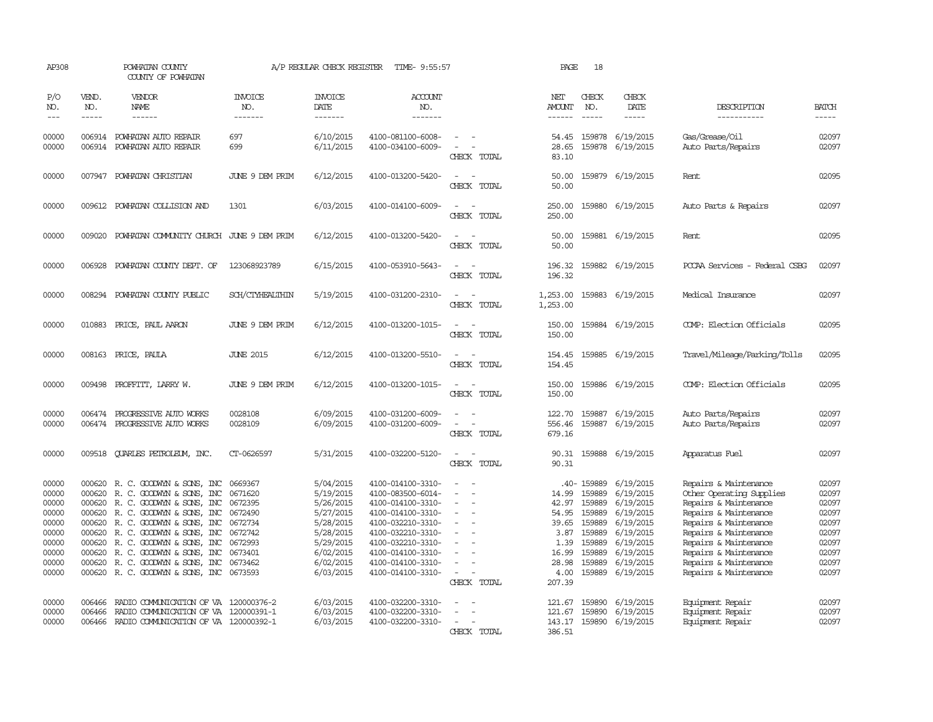| AP308                                                                                  |                                                          | POWHATAN COUNTY<br>COUNTY OF POWHATAN                                                                                                                                                                                                                                                                                                                                                                                                                                                        |                                  | A/P REGULAR CHECK REGISTER                                                                                                     | TIME- 9:55:57                                                                                                                                                                                                  |                                                                     | PAGE                                                                                 | 18                                                                                          |                                                                                                                                       |                                                                                                                                                                                                                                                           |                                                                                        |
|----------------------------------------------------------------------------------------|----------------------------------------------------------|----------------------------------------------------------------------------------------------------------------------------------------------------------------------------------------------------------------------------------------------------------------------------------------------------------------------------------------------------------------------------------------------------------------------------------------------------------------------------------------------|----------------------------------|--------------------------------------------------------------------------------------------------------------------------------|----------------------------------------------------------------------------------------------------------------------------------------------------------------------------------------------------------------|---------------------------------------------------------------------|--------------------------------------------------------------------------------------|---------------------------------------------------------------------------------------------|---------------------------------------------------------------------------------------------------------------------------------------|-----------------------------------------------------------------------------------------------------------------------------------------------------------------------------------------------------------------------------------------------------------|----------------------------------------------------------------------------------------|
| P/O<br>NO.<br>$- - -$                                                                  | VEND.<br>NO.<br>$\frac{1}{2}$                            | VENDOR<br>NAME<br>$\frac{1}{2} \left( \frac{1}{2} \right) \left( \frac{1}{2} \right) \left( \frac{1}{2} \right) \left( \frac{1}{2} \right) \left( \frac{1}{2} \right) \left( \frac{1}{2} \right) \left( \frac{1}{2} \right) \left( \frac{1}{2} \right) \left( \frac{1}{2} \right) \left( \frac{1}{2} \right) \left( \frac{1}{2} \right) \left( \frac{1}{2} \right) \left( \frac{1}{2} \right) \left( \frac{1}{2} \right) \left( \frac{1}{2} \right) \left( \frac{1}{2} \right) \left( \frac$ | <b>INVOICE</b><br>NO.<br>------- | <b>INVOICE</b><br>DATE<br>-------                                                                                              | ACCOUNT<br>NO.<br>-------                                                                                                                                                                                      |                                                                     | NET<br>AMOUNT<br>-------                                                             | CHECK<br>NO.<br>$\frac{1}{2}$                                                               | CHECK<br>DATE<br>$- - - - -$                                                                                                          | DESCRIPTION<br>-----------                                                                                                                                                                                                                                | <b>BATCH</b><br>$\frac{1}{2}$                                                          |
| 00000<br>00000                                                                         | 006914                                                   | 006914 POWHATAN AUTO REPAIR<br>POWHATAN AUTO REPAIR                                                                                                                                                                                                                                                                                                                                                                                                                                          | 697<br>699                       | 6/10/2015<br>6/11/2015                                                                                                         | 4100-081100-6008-<br>4100-034100-6009-                                                                                                                                                                         | $\overline{\phantom{a}}$<br>$\equiv$<br>CHECK TOTAL                 | 54.45<br>28.65<br>83.10                                                              | 159878                                                                                      | 159878 6/19/2015<br>6/19/2015                                                                                                         | Gas/Grease/Oil<br>Auto Parts/Repairs                                                                                                                                                                                                                      | 02097<br>02097                                                                         |
| 00000                                                                                  |                                                          | 007947 POWHATAN CHRISTIAN                                                                                                                                                                                                                                                                                                                                                                                                                                                                    | JUNE 9 DEM PRIM                  | 6/12/2015                                                                                                                      | 4100-013200-5420-                                                                                                                                                                                              | $\equiv$<br>CHECK TOTAL                                             | 50.00<br>50.00                                                                       |                                                                                             | 159879 6/19/2015                                                                                                                      | Rent                                                                                                                                                                                                                                                      | 02095                                                                                  |
| 00000                                                                                  | 009612                                                   | POWHATAN COLLISION AND                                                                                                                                                                                                                                                                                                                                                                                                                                                                       | 1301                             | 6/03/2015                                                                                                                      | 4100-014100-6009-                                                                                                                                                                                              | $\overline{\phantom{a}}$<br>$\overline{\phantom{a}}$<br>CHECK TOTAL | 250.00<br>250.00                                                                     |                                                                                             | 159880 6/19/2015                                                                                                                      | Auto Parts & Repairs                                                                                                                                                                                                                                      | 02097                                                                                  |
| 00000                                                                                  | 009020                                                   | POWHATAN COMMUNITY CHURCH JUNE 9 DEM PRIM                                                                                                                                                                                                                                                                                                                                                                                                                                                    |                                  | 6/12/2015                                                                                                                      | 4100-013200-5420-                                                                                                                                                                                              | CHECK TOTAL                                                         | 50.00<br>50.00                                                                       |                                                                                             | 159881 6/19/2015                                                                                                                      | Rent                                                                                                                                                                                                                                                      | 02095                                                                                  |
| 00000                                                                                  | 006928                                                   | POWHATAN COUNTY DEPT. OF                                                                                                                                                                                                                                                                                                                                                                                                                                                                     | 123068923789                     | 6/15/2015                                                                                                                      | 4100-053910-5643-                                                                                                                                                                                              | $\sim$ 100 $\mu$<br>CHECK TOTAL                                     | 196.32<br>196.32                                                                     |                                                                                             | 159882 6/19/2015                                                                                                                      | PCCAA Services - Federal CSBG                                                                                                                                                                                                                             | 02097                                                                                  |
| 00000                                                                                  | 008294                                                   | POWHATAN COUNTY PUBLIC                                                                                                                                                                                                                                                                                                                                                                                                                                                                       | SCH/CTYHEALTHIN                  | 5/19/2015                                                                                                                      | 4100-031200-2310-                                                                                                                                                                                              | $\sim$<br>$\overline{\phantom{a}}$<br>CHECK TOTAL                   | 1,253.00<br>1,253.00                                                                 |                                                                                             | 159883 6/19/2015                                                                                                                      | Medical Insurance                                                                                                                                                                                                                                         | 02097                                                                                  |
| 00000                                                                                  | 010883                                                   | PRICE, PAUL AARON                                                                                                                                                                                                                                                                                                                                                                                                                                                                            | JUNE 9 DEM PRIM                  | 6/12/2015                                                                                                                      | 4100-013200-1015-                                                                                                                                                                                              | CHECK TOTAL                                                         | 150.00<br>150.00                                                                     |                                                                                             | 159884 6/19/2015                                                                                                                      | COMP: Election Officials                                                                                                                                                                                                                                  | 02095                                                                                  |
| 00000                                                                                  | 008163                                                   | PRICE, PAULA                                                                                                                                                                                                                                                                                                                                                                                                                                                                                 | <b>JUNE 2015</b>                 | 6/12/2015                                                                                                                      | 4100-013200-5510-                                                                                                                                                                                              | $\sim$<br>CHECK TOTAL                                               | 154.45<br>154.45                                                                     |                                                                                             | 159885 6/19/2015                                                                                                                      | Travel/Mileage/Parking/Tolls                                                                                                                                                                                                                              | 02095                                                                                  |
| 00000                                                                                  | 009498                                                   | PROFFITT, LARRY W.                                                                                                                                                                                                                                                                                                                                                                                                                                                                           | JUNE 9 DEM PRIM                  | 6/12/2015                                                                                                                      | 4100-013200-1015-                                                                                                                                                                                              | $\sim$<br>CHECK TOTAL                                               | 150.00<br>150.00                                                                     |                                                                                             | 159886 6/19/2015                                                                                                                      | COMP: Election Officials                                                                                                                                                                                                                                  | 02095                                                                                  |
| 00000<br>00000                                                                         | 006474                                                   | PROGRESSIVE AUTO WORKS<br>006474 PROGRESSIVE AUTO WORKS                                                                                                                                                                                                                                                                                                                                                                                                                                      | 0028108<br>0028109               | 6/09/2015<br>6/09/2015                                                                                                         | 4100-031200-6009-<br>4100-031200-6009-                                                                                                                                                                         | $\equiv$<br>$\equiv$<br>CHECK TOTAL                                 | 122.70<br>556.46<br>679.16                                                           |                                                                                             | 159887 6/19/2015<br>159887 6/19/2015                                                                                                  | Auto Parts/Repairs<br>Auto Parts/Repairs                                                                                                                                                                                                                  | 02097<br>02097                                                                         |
| 00000                                                                                  | 009518                                                   | QUARLES PETROLEUM, INC.                                                                                                                                                                                                                                                                                                                                                                                                                                                                      | CT-0626597                       | 5/31/2015                                                                                                                      | 4100-032200-5120-                                                                                                                                                                                              | $\overline{\phantom{a}}$<br>CHECK TOTAL                             | 90.31<br>90.31                                                                       |                                                                                             | 159888 6/19/2015                                                                                                                      | Apparatus Fuel                                                                                                                                                                                                                                            | 02097                                                                                  |
| 00000<br>00000<br>00000<br>00000<br>00000<br>00000<br>00000<br>00000<br>00000<br>00000 | 000620<br>000620<br>000620<br>000620<br>000620<br>000620 | 000620 R. C. GOODWYN & SONS, INC 0669367<br>R. C. GOODWYN & SONS, INC 0671620<br>R. C. GOODWYN & SONS, INC 0672395<br>R. C. GOODWYN & SONS, INC<br>R. C. GOODWYN & SONS, INC 0672734<br>R. C. GOODWIN & SONS, INC 0672742<br>000620 R. C. GOODWYN & SONS, INC<br>R. C. GOODWYN & SONS, INC 0673401<br>000620 R.C. GOODWYN & SONS, INC 0673462<br>000620 R. C. GOODWYN & SONS, INC 0673593                                                                                                    | 0672490<br>0672993               | 5/04/2015<br>5/19/2015<br>5/26/2015<br>5/27/2015<br>5/28/2015<br>5/28/2015<br>5/29/2015<br>6/02/2015<br>6/02/2015<br>6/03/2015 | 4100-014100-3310-<br>4100-083500-6014-<br>4100-014100-3310-<br>4100-014100-3310-<br>4100-032210-3310-<br>4100-032210-3310-<br>4100-032210-3310-<br>4100-014100-3310-<br>4100-014100-3310-<br>4100-014100-3310- | $\equiv$<br>$\equiv$<br>$\sim$<br>$\equiv$<br>$\sim$<br>CHECK TOTAL | 14.99<br>42.97<br>54.95<br>39.65<br>3.87<br>1.39<br>16.99<br>28.98<br>4.00<br>207.39 | .40- 159889<br>159889<br>159889<br>159889<br>159889<br>159889<br>159889<br>159889<br>159889 | 6/19/2015<br>6/19/2015<br>6/19/2015<br>6/19/2015<br>159889 6/19/2015<br>6/19/2015<br>6/19/2015<br>6/19/2015<br>6/19/2015<br>6/19/2015 | Repairs & Maintenance<br>Other Operating Supplies<br>Repairs & Maintenance<br>Repairs & Maintenance<br>Repairs & Maintenance<br>Repairs & Maintenance<br>Repairs & Maintenance<br>Repairs & Maintenance<br>Repairs & Maintenance<br>Repairs & Maintenance | 02097<br>02097<br>02097<br>02097<br>02097<br>02097<br>02097<br>02097<br>02097<br>02097 |
| 00000<br>00000<br>00000                                                                | 006466<br>006466<br>006466                               | RADIO COMMUNICATION OF VA 120000376-2<br>RADIO COMUNICATION OF VA 120000391-1<br>RADIO COMUNICATION OF VA 120000392-1                                                                                                                                                                                                                                                                                                                                                                        |                                  | 6/03/2015<br>6/03/2015<br>6/03/2015                                                                                            | 4100-032200-3310-<br>4100-032200-3310-<br>4100-032200-3310-                                                                                                                                                    | $\equiv$<br>CHECK TOTAL                                             | 121.67<br>121.67<br>143.17<br>386.51                                                 | 159890<br>159890                                                                            | 6/19/2015<br>6/19/2015<br>159890 6/19/2015                                                                                            | Equipment Repair<br>Equipment Repair<br>Equipment Repair                                                                                                                                                                                                  | 02097<br>02097<br>02097                                                                |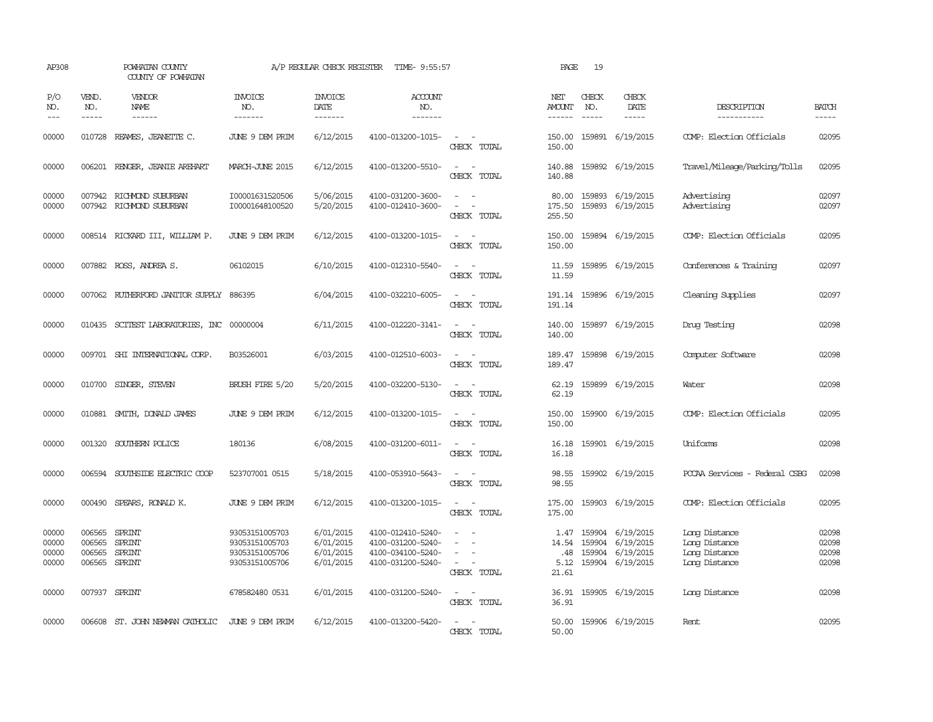| AP308                                                                                                                                                                                                                                                                                                                                                                                                      |                                             | POWHATAN COUNTY<br>COUNTY OF POWHATAN                |                                                                      | A/P REGULAR CHECK REGISTER                       | TIME- 9:55:57                                                                    |                                                                                 | PAGE                                  | 19                          |                                                                              |                                                                  |                                  |
|------------------------------------------------------------------------------------------------------------------------------------------------------------------------------------------------------------------------------------------------------------------------------------------------------------------------------------------------------------------------------------------------------------|---------------------------------------------|------------------------------------------------------|----------------------------------------------------------------------|--------------------------------------------------|----------------------------------------------------------------------------------|---------------------------------------------------------------------------------|---------------------------------------|-----------------------------|------------------------------------------------------------------------------|------------------------------------------------------------------|----------------------------------|
| P/O<br>NO.<br>$\frac{1}{2} \frac{1}{2} \frac{1}{2} \frac{1}{2} \frac{1}{2} \frac{1}{2} \frac{1}{2} \frac{1}{2} \frac{1}{2} \frac{1}{2} \frac{1}{2} \frac{1}{2} \frac{1}{2} \frac{1}{2} \frac{1}{2} \frac{1}{2} \frac{1}{2} \frac{1}{2} \frac{1}{2} \frac{1}{2} \frac{1}{2} \frac{1}{2} \frac{1}{2} \frac{1}{2} \frac{1}{2} \frac{1}{2} \frac{1}{2} \frac{1}{2} \frac{1}{2} \frac{1}{2} \frac{1}{2} \frac{$ | VEND.<br>NO.<br>$- - - - -$                 | VENDOR<br>NAME<br>$- - - - - -$                      | <b>INVOICE</b><br>NO.<br>-------                                     | <b>INVOICE</b><br><b>DATE</b><br>-------         | <b>ACCOUNT</b><br>NO.<br>-------                                                 |                                                                                 | NET<br><b>AMOUNT</b><br>$- - - - - -$ | CHECK<br>NO.<br>$- - - - -$ | CHECK<br>DATE<br>$- - - - -$                                                 | DESCRIPTION<br>-----------                                       | <b>BATCH</b><br>-----            |
| 00000                                                                                                                                                                                                                                                                                                                                                                                                      |                                             | 010728 REAMES, JEANETTE C.                           | JUNE 9 DEM PRIM                                                      | 6/12/2015                                        | 4100-013200-1015-                                                                | $\sim$<br>CHECK TOTAL                                                           | 150.00<br>150.00                      |                             | 159891 6/19/2015                                                             | COMP: Election Officials                                         | 02095                            |
| 00000                                                                                                                                                                                                                                                                                                                                                                                                      |                                             | 006201 RENGER, JEANIE AREHART                        | MARCH-JUNE 2015                                                      | 6/12/2015                                        | 4100-013200-5510-                                                                | $\sim$<br>$\sim$<br>CHECK TOTAL                                                 | 140.88<br>140.88                      |                             | 159892 6/19/2015                                                             | Travel/Mileage/Parking/Tolls                                     | 02095                            |
| 00000<br>00000                                                                                                                                                                                                                                                                                                                                                                                             |                                             | 007942 RICHMOND SUBURBAN<br>007942 RICHMOND SUBURBAN | 100001631520506<br>I00001648100520                                   | 5/06/2015<br>5/20/2015                           | 4100-031200-3600-<br>4100-012410-3600-                                           | $\sim$<br>$\equiv$<br>$\sim$<br>CHECK TOTAL                                     | 80.00<br>175.50<br>255.50             |                             | 159893 6/19/2015<br>159893 6/19/2015                                         | Advertising<br>Advertising                                       | 02097<br>02097                   |
| 00000                                                                                                                                                                                                                                                                                                                                                                                                      |                                             | 008514 RICKARD III, WILLIAM P.                       | JUNE 9 DEM PRIM                                                      | 6/12/2015                                        | 4100-013200-1015-                                                                | $\equiv$<br>CHECK TOTAL                                                         | 150.00<br>150.00                      |                             | 159894 6/19/2015                                                             | COMP: Election Officials                                         | 02095                            |
| 00000                                                                                                                                                                                                                                                                                                                                                                                                      |                                             | 007882 ROSS, ANDREA S.                               | 06102015                                                             | 6/10/2015                                        | 4100-012310-5540-                                                                | CHECK TOTAL                                                                     | 11.59<br>11.59                        |                             | 159895 6/19/2015                                                             | Conferences & Training                                           | 02097                            |
| 00000                                                                                                                                                                                                                                                                                                                                                                                                      | 007062                                      | RUIHERFORD JANITOR SUPPLY                            | 886395                                                               | 6/04/2015                                        | 4100-032210-6005-                                                                | $\overline{\phantom{a}}$<br>CHECK TOTAL                                         | 191.14<br>191.14                      |                             | 159896 6/19/2015                                                             | Cleaning Supplies                                                | 02097                            |
| 00000                                                                                                                                                                                                                                                                                                                                                                                                      |                                             | 010435 SCITEST LABORATORIES, INC                     | 00000004                                                             | 6/11/2015                                        | 4100-012220-3141-                                                                | CHECK TOTAL                                                                     | 140.00<br>140.00                      |                             | 159897 6/19/2015                                                             | Drug Testing                                                     | 02098                            |
| 00000                                                                                                                                                                                                                                                                                                                                                                                                      |                                             | 009701 SHI INTERNATIONAL CORP.                       | B03526001                                                            | 6/03/2015                                        | 4100-012510-6003-                                                                | $\sim$<br>CHECK TOTAL                                                           | 189.47<br>189.47                      |                             | 159898 6/19/2015                                                             | Computer Software                                                | 02098                            |
| 00000                                                                                                                                                                                                                                                                                                                                                                                                      | 010700                                      | SINGER, STEVEN                                       | BRUSH FIRE 5/20                                                      | 5/20/2015                                        | 4100-032200-5130-                                                                | $\overline{\phantom{a}}$<br>CHECK TOTAL                                         | 62.19<br>62.19                        |                             | 159899 6/19/2015                                                             | Water                                                            | 02098                            |
| 00000                                                                                                                                                                                                                                                                                                                                                                                                      |                                             | 010881 SMITH, DONALD JAMES                           | JUNE 9 DEM PRIM                                                      | 6/12/2015                                        | 4100-013200-1015-                                                                | $\equiv$<br>CHECK TOTAL                                                         | 150.00<br>150.00                      |                             | 159900 6/19/2015                                                             | COMP: Election Officials                                         | 02095                            |
| 00000                                                                                                                                                                                                                                                                                                                                                                                                      |                                             | 001320 SOUTHERN POLICE                               | 180136                                                               | 6/08/2015                                        | 4100-031200-6011-                                                                | $\sim$<br>$\sim$<br>CHECK TOTAL                                                 | 16.18<br>16.18                        |                             | 159901 6/19/2015                                                             | Uniforms                                                         | 02098                            |
| 00000                                                                                                                                                                                                                                                                                                                                                                                                      |                                             | 006594 SOUTHSIDE ELECTRIC COOP                       | 523707001 0515                                                       | 5/18/2015                                        | 4100-053910-5643-                                                                | $\sim$<br>- -<br>CHECK TOTAL                                                    | 98.55<br>98.55                        |                             | 159902 6/19/2015                                                             | PCCAA Services - Federal CSBG                                    | 02098                            |
| 00000                                                                                                                                                                                                                                                                                                                                                                                                      |                                             | 000490 SPEARS, RONALD K.                             | JUNE 9 DEM PRIM                                                      | 6/12/2015                                        | 4100-013200-1015-                                                                | $\overline{\phantom{a}}$<br>$\sim$<br>CHECK TOTAL                               | 175.00<br>175.00                      |                             | 159903 6/19/2015                                                             | COMP: Election Officials                                         | 02095                            |
| 00000<br>00000<br>00000<br>00000                                                                                                                                                                                                                                                                                                                                                                           | 006565<br>006565<br>006565<br>006565 SPRINT | SPRINT<br>SPRINT<br>SPRINT                           | 93053151005703<br>93053151005703<br>93053151005706<br>93053151005706 | 6/01/2015<br>6/01/2015<br>6/01/2015<br>6/01/2015 | 4100-012410-5240-<br>4100-031200-5240-<br>4100-034100-5240-<br>4100-031200-5240- | $\equiv$<br>$\overline{\phantom{a}}$<br>$\overline{\phantom{a}}$<br>CHECK TOTAL | 1.47<br>14.54<br>.48<br>5.12<br>21.61 |                             | 159904 6/19/2015<br>159904 6/19/2015<br>159904 6/19/2015<br>159904 6/19/2015 | Long Distance<br>Long Distance<br>Long Distance<br>Long Distance | 02098<br>02098<br>02098<br>02098 |
| 00000                                                                                                                                                                                                                                                                                                                                                                                                      | 007937 SPRINT                               |                                                      | 678582480 0531                                                       | 6/01/2015                                        | 4100-031200-5240-                                                                | $\sim$<br>CHECK TOTAL                                                           | 36.91<br>36.91                        |                             | 159905 6/19/2015                                                             | Long Distance                                                    | 02098                            |
| 00000                                                                                                                                                                                                                                                                                                                                                                                                      |                                             | 006608 ST. JOHN NEWPAN CATHOLIC                      | JUNE 9 DEM PRIM                                                      | 6/12/2015                                        | 4100-013200-5420-                                                                | CHECK TOTAL                                                                     | 50.00<br>50.00                        |                             | 159906 6/19/2015                                                             | Rent                                                             | 02095                            |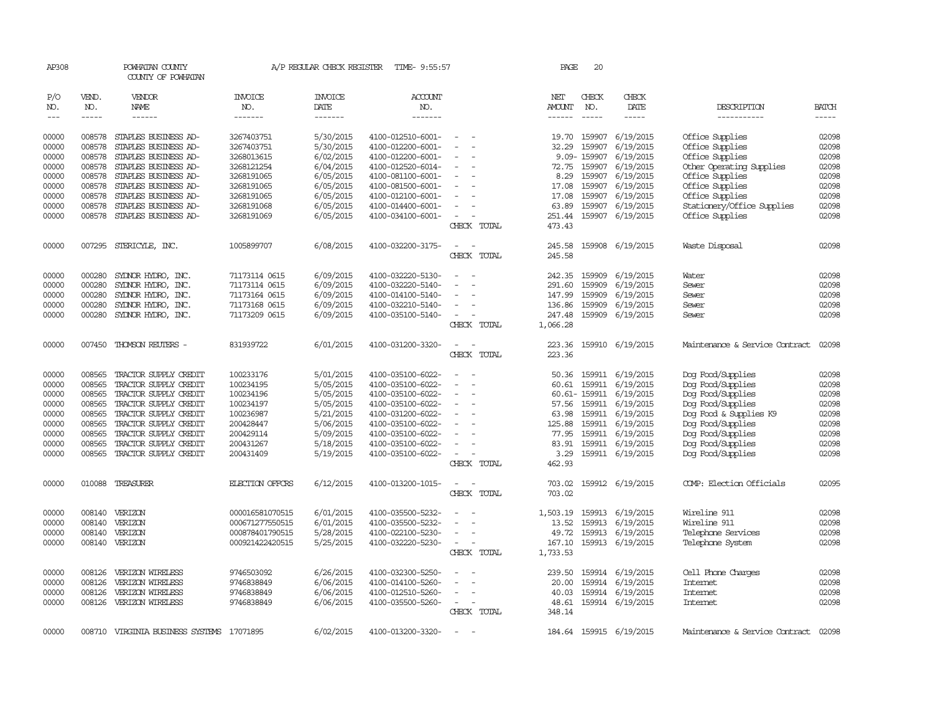| AP308                                                                         |                                                                                        | POWHATAN COUNTY<br>COUNTY OF POWHATAN                                                                                                                                                                                         |                                                                                                                            | A/P REGULAR CHECK REGISTER                                                                                        | TIME- 9:55:57                                                                                                                                                                             |                                                           | PAGE                                                                           | 20                                                                                          |                                                                                                                                                     |                                                                                                                                                                                                |                                                                               |
|-------------------------------------------------------------------------------|----------------------------------------------------------------------------------------|-------------------------------------------------------------------------------------------------------------------------------------------------------------------------------------------------------------------------------|----------------------------------------------------------------------------------------------------------------------------|-------------------------------------------------------------------------------------------------------------------|-------------------------------------------------------------------------------------------------------------------------------------------------------------------------------------------|-----------------------------------------------------------|--------------------------------------------------------------------------------|---------------------------------------------------------------------------------------------|-----------------------------------------------------------------------------------------------------------------------------------------------------|------------------------------------------------------------------------------------------------------------------------------------------------------------------------------------------------|-------------------------------------------------------------------------------|
| P/O<br>NO.<br>$---$                                                           | VEND.<br>NO.<br>-----                                                                  | VENDOR<br>NAME<br>------                                                                                                                                                                                                      | <b>INVOICE</b><br>NO.<br>-------                                                                                           | <b>INVOICE</b><br>DATE<br>-------                                                                                 | <b>ACCOUNT</b><br>NO.<br>-------                                                                                                                                                          |                                                           | NET<br>AMOUNT<br>------                                                        | CHECK<br>NO.<br>$- - - - -$                                                                 | CHECK<br>DATE<br>-----                                                                                                                              | DESCRIPTION<br>-----------                                                                                                                                                                     | <b>BATCH</b><br>-----                                                         |
| 00000<br>00000<br>00000<br>00000<br>00000<br>00000<br>00000<br>00000<br>00000 | 008578<br>008578<br>008578<br>008578<br>008578<br>008578<br>008578<br>008578<br>008578 | STAPLES BUSINESS AD-<br>STAPLES BUSINESS AD-<br>STAPLES BUSINESS AD-<br>STAPLES BUSINESS AD-<br>STAPLES BUSINESS AD-<br>STAPLES BUSINESS AD-<br>STAPLES BUSINESS AD-<br>STAPLES BUSINESS AD-<br>STAPLES BUSINESS AD-          | 3267403751<br>3267403751<br>3268013615<br>3268121254<br>3268191065<br>3268191065<br>3268191065<br>3268191068<br>3268191069 | 5/30/2015<br>5/30/2015<br>6/02/2015<br>6/04/2015<br>6/05/2015<br>6/05/2015<br>6/05/2015<br>6/05/2015<br>6/05/2015 | 4100-012510-6001-<br>4100-012200-6001-<br>4100-012200-6001-<br>4100-012520-6014-<br>4100-081100-6001-<br>4100-081500-6001-<br>4100-012100-6001-<br>4100-014400-6001-<br>4100-034100-6001- | $\equiv$<br>$\equiv$<br>$\sim$<br>$\equiv$<br>CHECK TOTAL | 19.70<br>32.29<br>72.75<br>8.29<br>17.08<br>17.08<br>63.89<br>251.44<br>473.43 | 159907<br>159907<br>9.09-159907<br>159907<br>159907<br>159907<br>159907<br>159907<br>159907 | 6/19/2015<br>6/19/2015<br>6/19/2015<br>6/19/2015<br>6/19/2015<br>6/19/2015<br>6/19/2015<br>6/19/2015<br>6/19/2015                                   | Office Supplies<br>Office Supplies<br>Office Supplies<br>Other Operating Supplies<br>Office Supplies<br>Office Supplies<br>Office Supplies<br>Stationery/Office Supplies<br>Office Supplies    | 02098<br>02098<br>02098<br>02098<br>02098<br>02098<br>02098<br>02098<br>02098 |
| 00000                                                                         |                                                                                        | 007295 STERICYLE, INC.                                                                                                                                                                                                        | 1005899707                                                                                                                 | 6/08/2015                                                                                                         | 4100-032200-3175-                                                                                                                                                                         | CHECK TOTAL                                               | 245.58<br>245.58                                                               |                                                                                             | 159908 6/19/2015                                                                                                                                    | Waste Disposal                                                                                                                                                                                 | 02098                                                                         |
| 00000<br>00000<br>00000<br>00000<br>00000                                     | 000280<br>000280<br>000280<br>000280                                                   | SYDNOR HYDRO, INC.<br>SYDNOR HYDRO, INC.<br>SYLNOR HYDRO, INC.<br>SYDNOR HYDRO, INC.<br>000280 SYDNOR HYDRO, INC.                                                                                                             | 71173114 0615<br>71173114 0615<br>71173164 0615<br>71173168 0615<br>71173209 0615                                          | 6/09/2015<br>6/09/2015<br>6/09/2015<br>6/09/2015<br>6/09/2015                                                     | 4100-032220-5130-<br>4100-032220-5140-<br>4100-014100-5140-<br>4100-032210-5140-<br>4100-035100-5140-                                                                                     | $\equiv$<br>$\equiv$<br>CHECK TOTAL                       | 242.35<br>291.60<br>147.99<br>136.86<br>247.48<br>1,066.28                     | 159909<br>159909<br>159909<br>159909                                                        | 6/19/2015<br>6/19/2015<br>6/19/2015<br>6/19/2015<br>159909 6/19/2015                                                                                | Water<br>Sewer<br>Sewer<br>Sewer<br>Sewer                                                                                                                                                      | 02098<br>02098<br>02098<br>02098<br>02098                                     |
| 00000                                                                         | 007450                                                                                 | THOMSON REUTERS -                                                                                                                                                                                                             | 831939722                                                                                                                  | 6/01/2015                                                                                                         | 4100-031200-3320-                                                                                                                                                                         | $\overline{\phantom{a}}$<br>CHECK TOTAL                   | 223.36<br>223.36                                                               |                                                                                             | 159910 6/19/2015                                                                                                                                    | Maintenance & Service Contract                                                                                                                                                                 | 02098                                                                         |
| 00000<br>00000<br>00000<br>00000<br>00000<br>00000<br>00000<br>00000<br>00000 | 008565<br>008565<br>008565<br>008565<br>008565<br>008565<br>008565<br>008565<br>008565 | TRACTOR SUPPLY CREDIT<br>TRACTOR SUPPLY CREDIT<br>TRACTOR SUPPLY CREDIT<br>TRACTOR SUPPLY CREDIT<br>TRACTOR SUPPLY CREDIT<br>TRACTOR SUPPLY CREDIT<br>TRACTOR SUPPLY CREDIT<br>TRACTOR SUPPLY CREDIT<br>TRACTOR SUPPLY CREDIT | 100233176<br>100234195<br>100234196<br>100234197<br>100236987<br>200428447<br>200429114<br>200431267<br>200431409          | 5/01/2015<br>5/05/2015<br>5/05/2015<br>5/05/2015<br>5/21/2015<br>5/06/2015<br>5/09/2015<br>5/18/2015<br>5/19/2015 | 4100-035100-6022-<br>4100-035100-6022-<br>4100-035100-6022-<br>4100-035100-6022-<br>4100-031200-6022-<br>4100-035100-6022-<br>4100-035100-6022-<br>4100-035100-6022-<br>4100-035100-6022- | $\equiv$<br>CHECK TOTAL                                   | 50.36<br>60.61<br>63.98<br>125.88<br>77.95<br>83.91<br>3.29<br>462.93          | 159911<br>57.56 159911<br>159911<br>159911<br>159911                                        | 159911 6/19/2015<br>6/19/2015<br>60.61-159911 6/19/2015<br>6/19/2015<br>6/19/2015<br>6/19/2015<br>159911 6/19/2015<br>6/19/2015<br>159911 6/19/2015 | Dog Food/Supplies<br>Dog Food/Supplies<br>Dog Food/Supplies<br>Dog Food/Supplies<br>Dog Food & Supplies K9<br>Dog Food/Supplies<br>Dog Food/Supplies<br>Dog Food/Supplies<br>Dog Food/Supplies | 02098<br>02098<br>02098<br>02098<br>02098<br>02098<br>02098<br>02098<br>02098 |
| 00000                                                                         |                                                                                        | 010088 TREASURER                                                                                                                                                                                                              | <b>ELECTION OFFORS</b>                                                                                                     | 6/12/2015                                                                                                         | 4100-013200-1015-                                                                                                                                                                         | CHECK TOTAL                                               | 703.02<br>703.02                                                               |                                                                                             | 159912 6/19/2015                                                                                                                                    | COMP: Election Officials                                                                                                                                                                       | 02095                                                                         |
| 00000<br>00000<br>00000<br>00000                                              | 008140<br>008140<br>008140                                                             | VERIZON<br>VERIZON<br>VERIZON<br>008140 VERIZON                                                                                                                                                                               | 000016581070515<br>000671277550515<br>000878401790515<br>000921422420515                                                   | 6/01/2015<br>6/01/2015<br>5/28/2015<br>5/25/2015                                                                  | 4100-035500-5232-<br>4100-035500-5232-<br>4100-022100-5230-<br>4100-032220-5230-                                                                                                          | $\overline{\phantom{a}}$<br>CHECK TOTAL                   | 1,503.19<br>13.52<br>49.72<br>167.10<br>1,733.53                               | 159913<br>159913                                                                            | 159913 6/19/2015<br>6/19/2015<br>6/19/2015<br>159913 6/19/2015                                                                                      | Wireline 911<br>Wireline 911<br>Telephone Services<br>Telephone System                                                                                                                         | 02098<br>02098<br>02098<br>02098                                              |
| 00000<br>00000<br>00000<br>00000                                              | 008126<br>008126<br>008126<br>008126                                                   | VERIZON WIRELESS<br>VERIZON WIRELESS<br>VERIZON WIRELESS<br>VERIZON WIRELESS                                                                                                                                                  | 9746503092<br>9746838849<br>9746838849<br>9746838849                                                                       | 6/26/2015<br>6/06/2015<br>6/06/2015<br>6/06/2015                                                                  | 4100-032300-5250-<br>4100-014100-5260-<br>4100-012510-5260-<br>4100-035500-5260-                                                                                                          | CHECK TOTAL                                               | 239.50<br>20.00<br>40.03<br>48.61<br>348.14                                    |                                                                                             | 159914 6/19/2015<br>159914 6/19/2015<br>159914 6/19/2015<br>159914 6/19/2015                                                                        | Cell Phone Charges<br>Internet<br><b>Internet</b><br>Internet                                                                                                                                  | 02098<br>02098<br>02098<br>02098                                              |
| 00000                                                                         |                                                                                        | 008710 VIRGINIA BUSINESS SYSTEMS 17071895                                                                                                                                                                                     |                                                                                                                            | 6/02/2015                                                                                                         | 4100-013200-3320-                                                                                                                                                                         | $\sim$                                                    |                                                                                |                                                                                             | 184.64 159915 6/19/2015                                                                                                                             | Maintenance & Service Contract                                                                                                                                                                 | 02098                                                                         |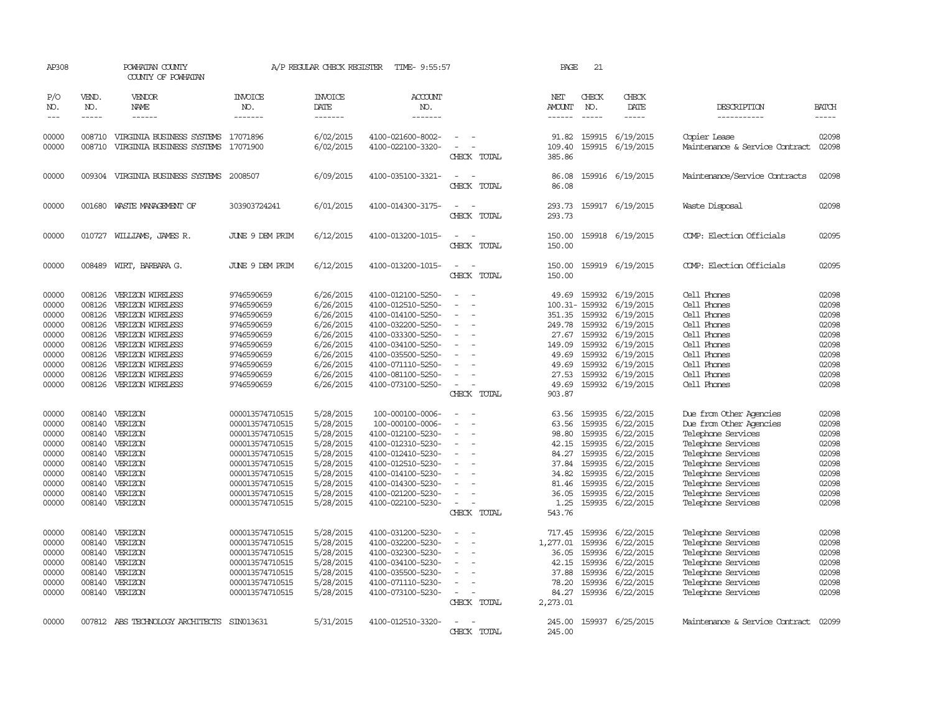| AP308          |                  | POWHATAN COUNTY<br>COUNTY OF POWHATAN                           |                          | A/P REGULAR CHECK REGISTER | TIME- 9:55:57                          |                                    | PAGE             | 21            |                                      |                                                |                |
|----------------|------------------|-----------------------------------------------------------------|--------------------------|----------------------------|----------------------------------------|------------------------------------|------------------|---------------|--------------------------------------|------------------------------------------------|----------------|
| P/O<br>NO.     | VEND.<br>NO.     | VENDOR<br>NAME                                                  | <b>INVOICE</b><br>NO.    | <b>INVOICE</b><br>DATE     | <b>ACCOUNT</b><br>NO.                  |                                    | NET<br>AMOUNT    | CHECK<br>NO.  | CHECK<br>DATE                        | DESCRIPTION                                    | <b>BATCH</b>   |
| $- - -$        | $\frac{1}{2}$    | ------                                                          | -------                  | -------                    | -------                                |                                    | ------           | $\frac{1}{2}$ | -----                                | -----------                                    | -----          |
| 00000<br>00000 | 008710<br>008710 | VIRGINIA BUSINESS SYSTEMS 17071896<br>VIRGINIA BUSINESS SYSTEMS | 17071900                 | 6/02/2015<br>6/02/2015     | 4100-021600-8002-<br>4100-022100-3320- | $\overline{\phantom{a}}$<br>$\sim$ | 91.82<br>109.40  | 159915        | 159915 6/19/2015<br>6/19/2015        | Copier Lease<br>Maintenance & Service Contract | 02098<br>02098 |
|                |                  |                                                                 |                          |                            |                                        | CHECK TOTAL                        | 385.86           |               |                                      |                                                |                |
| 00000          | 009304           | VIRGINIA BUSINESS SYSTEMS                                       | 2008507                  | 6/09/2015                  | 4100-035100-3321-                      | CHECK TOTAL                        | 86.08<br>86.08   |               | 159916 6/19/2015                     | Maintenance/Service Contracts                  | 02098          |
|                |                  |                                                                 |                          |                            |                                        |                                    |                  |               |                                      |                                                | 02098          |
| 00000          | 001680           | WASTE MANAGEMENT OF                                             | 303903724241             | 6/01/2015                  | 4100-014300-3175-                      | CHECK TOTAL                        | 293.73<br>293.73 |               | 159917 6/19/2015                     | Waste Disposal                                 |                |
| 00000          |                  | 010727 WILLIAMS, JAMES R.                                       | JUNE 9 DEM PRIM          | 6/12/2015                  | 4100-013200-1015-                      | $\equiv$<br>CHECK TOTAL            | 150.00<br>150.00 |               | 159918 6/19/2015                     | COMP: Election Officials                       | 02095          |
| 00000          | 008489           | WIRT, BARBARA G.                                                | JUNE 9 DEM PRIM          | 6/12/2015                  | 4100-013200-1015-                      | $\equiv$<br>CHECK TOTAL            | 150.00<br>150.00 |               | 159919 6/19/2015                     | COMP: Election Officials                       | 02095          |
|                |                  |                                                                 |                          |                            |                                        |                                    |                  |               |                                      |                                                |                |
| 00000          | 008126           | VERIZON WIRELESS                                                | 9746590659               | 6/26/2015                  | 4100-012100-5250-                      |                                    | 49.69            |               | 159932 6/19/2015                     | Cell Phones                                    | 02098          |
| 00000          | 008126           | VERIZON WIRELESS                                                | 9746590659               | 6/26/2015                  | 4100-012510-5250-                      | $\equiv$                           |                  |               | 100.31-159932 6/19/2015              | Cell Phones                                    | 02098          |
| 00000          | 008126           | VERIZON WIRELESS                                                | 9746590659               | 6/26/2015                  | 4100-014100-5250-                      |                                    | 351.35           | 159932        | 6/19/2015                            | Cell Phones                                    | 02098          |
| 00000          | 008126           | VERIZON WIRELESS                                                | 9746590659               | 6/26/2015                  | 4100-032200-5250-                      |                                    | 249.78           |               | 159932 6/19/2015                     | Cell Phones                                    | 02098          |
| 00000          | 008126           | VERIZON WIRELESS                                                | 9746590659               | 6/26/2015                  | 4100-033300-5250-                      |                                    | 27.67            |               | 159932 6/19/2015                     | Cell Phones                                    | 02098          |
| 00000          | 008126<br>008126 | VERIZON WIRELESS                                                | 9746590659               | 6/26/2015                  | 4100-034100-5250-                      |                                    | 149.09           | 159932        | 6/19/2015                            | Cell Phones                                    | 02098<br>02098 |
| 00000<br>00000 | 008126           | VERIZON WIRELESS<br>VERIZON WIRELESS                            | 9746590659               | 6/26/2015<br>6/26/2015     | 4100-035500-5250-<br>4100-071110-5250- |                                    | 49.69            |               | 159932 6/19/2015<br>159932 6/19/2015 | Cell Phones<br>Cell Phones                     | 02098          |
| 00000          | 008126           | VERIZON WIRELESS                                                | 9746590659<br>9746590659 | 6/26/2015                  | 4100-081100-5250-                      |                                    | 49.69<br>27.53   |               | 159932 6/19/2015                     | Cell Phones                                    | 02098          |
| 00000          | 008126           | VERIZON WIRELESS                                                | 9746590659               | 6/26/2015                  | 4100-073100-5250-                      |                                    | 49.69            |               | 159932 6/19/2015                     | Cell Phones                                    | 02098          |
|                |                  |                                                                 |                          |                            |                                        | CHECK TOTAL                        | 903.87           |               |                                      |                                                |                |
| 00000          |                  | 008140 VERIZON                                                  | 000013574710515          | 5/28/2015                  | 100-000100-0006-                       |                                    | 63.56            |               | 159935 6/22/2015                     | Due from Other Agencies                        | 02098          |
| 00000          | 008140           | VERIZON                                                         | 000013574710515          | 5/28/2015                  | 100-000100-0006-                       |                                    | 63.56            | 159935        | 6/22/2015                            | Due from Other Agencies                        | 02098          |
| 00000          | 008140           | VERIZON                                                         | 000013574710515          | 5/28/2015                  | 4100-012100-5230-                      |                                    | 98.80            | 159935        | 6/22/2015                            | Telephone Services                             | 02098          |
| 00000          | 008140           | VERIZON                                                         | 000013574710515          | 5/28/2015                  | 4100-012310-5230-                      |                                    | 42.15            |               | 159935 6/22/2015                     | Telephone Services                             | 02098          |
| 00000          | 008140           | VERIZON                                                         | 000013574710515          | 5/28/2015                  | 4100-012410-5230-                      |                                    | 84.27            | 159935        | 6/22/2015                            | Telephone Services                             | 02098          |
| 00000          | 008140           | VERIZON                                                         | 000013574710515          | 5/28/2015                  | 4100-012510-5230-                      |                                    | 37.84            | 159935        | 6/22/2015                            | Telephone Services                             | 02098          |
| 00000          |                  | 008140 VERIZON                                                  | 000013574710515          | 5/28/2015                  | 4100-014100-5230-                      |                                    | 34.82            |               | 159935 6/22/2015                     | Telephone Services                             | 02098          |
| 00000          | 008140           | VERIZON                                                         | 000013574710515          | 5/28/2015                  | 4100-014300-5230-                      |                                    | 81.46            | 159935        | 6/22/2015                            | Telephone Services                             | 02098          |
| 00000          | 008140           | VERIZON                                                         | 000013574710515          | 5/28/2015                  | 4100-021200-5230-                      |                                    | 36.05            | 159935        | 6/22/2015                            | Telephone Services                             | 02098          |
| 00000          |                  | 008140 VERIZON                                                  | 000013574710515          | 5/28/2015                  | 4100-022100-5230-                      | $\equiv$<br>CHECK TOTAL            | 1.25<br>543.76   |               | 159935 6/22/2015                     | Telephone Services                             | 02098          |
|                |                  |                                                                 |                          |                            |                                        |                                    |                  |               |                                      |                                                |                |
| 00000          | 008140           | VERIZON                                                         | 000013574710515          | 5/28/2015                  | 4100-031200-5230-                      |                                    | 717.45           |               | 159936 6/22/2015                     | Telephone Services                             | 02098          |
| 00000          | 008140           | VERIZON                                                         | 000013574710515          | 5/28/2015                  | 4100-032200-5230-                      | $\equiv$                           | 1,277.01         | 159936        | 6/22/2015                            | Telephone Services                             | 02098          |
| 00000          | 008140           | VERIZON                                                         | 000013574710515          | 5/28/2015                  | 4100-032300-5230-                      |                                    | 36.05            |               | 159936 6/22/2015                     | Telephone Services                             | 02098          |
| 00000          | 008140           | VERIZON                                                         | 000013574710515          | 5/28/2015                  | 4100-034100-5230-                      |                                    | 42.15            |               | 159936 6/22/2015                     | Telephone Services                             | 02098          |
| 00000          | 008140           | VERIZON                                                         | 000013574710515          | 5/28/2015                  | 4100-035500-5230-                      |                                    | 37.88            |               | 159936 6/22/2015                     | Telephone Services                             | 02098          |
| 00000          | 008140           | VERIZON                                                         | 000013574710515          | 5/28/2015                  | 4100-071110-5230-                      |                                    | 78.20            | 159936        | 6/22/2015                            | Telephone Services                             | 02098          |
| 00000          |                  | 008140 VERIZON                                                  | 000013574710515          | 5/28/2015                  | 4100-073100-5230-                      | $\equiv$                           | 84.27            |               | 159936 6/22/2015                     | Telephone Services                             | 02098          |
|                |                  |                                                                 |                          |                            |                                        | CHECK TOTAL                        | 2,273.01         |               |                                      |                                                |                |
| 00000          |                  | 007812 ABS TECHNOLOGY ARCHITECTS                                | SIN013631                | 5/31/2015                  | 4100-012510-3320-                      |                                    | 245.00           |               | 159937 6/25/2015                     | Maintenance & Service Contract                 | 02099          |
|                |                  |                                                                 |                          |                            |                                        | CHECK TOTAL                        | 245.00           |               |                                      |                                                |                |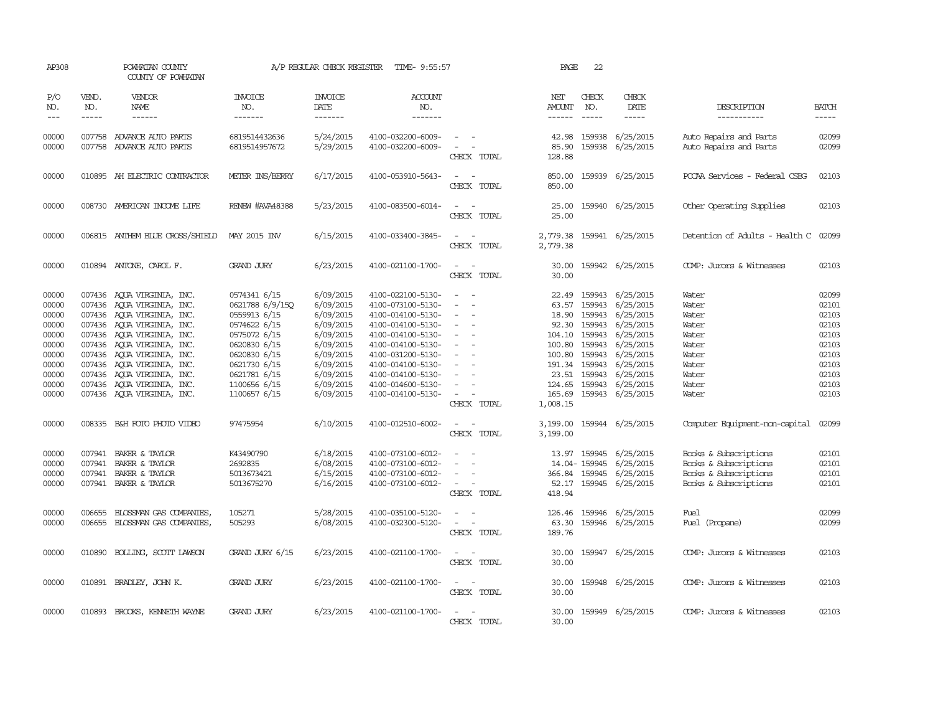| AP308                                                                                           |                             | POWHATAN COUNTY<br>COUNTY OF POWHATAN                                                                                                                                                                                                                                                                                                  |                                                                                                                                                                                 | A/P REGULAR CHECK REGISTER                                                                                                                  | TIME- 9:55:57                                                                                                                                                                                                                       |                                                                                                                                                                                 | PAGE                        | 22                            |                                                                                                                                                                                                                                                                                     |                                                                                                  |                                                                                                 |
|-------------------------------------------------------------------------------------------------|-----------------------------|----------------------------------------------------------------------------------------------------------------------------------------------------------------------------------------------------------------------------------------------------------------------------------------------------------------------------------------|---------------------------------------------------------------------------------------------------------------------------------------------------------------------------------|---------------------------------------------------------------------------------------------------------------------------------------------|-------------------------------------------------------------------------------------------------------------------------------------------------------------------------------------------------------------------------------------|---------------------------------------------------------------------------------------------------------------------------------------------------------------------------------|-----------------------------|-------------------------------|-------------------------------------------------------------------------------------------------------------------------------------------------------------------------------------------------------------------------------------------------------------------------------------|--------------------------------------------------------------------------------------------------|-------------------------------------------------------------------------------------------------|
| P/O<br>NO.<br>$---$                                                                             | VEND.<br>NO.<br>$- - - - -$ | <b>VENDOR</b><br>NAME<br>$- - - - - -$                                                                                                                                                                                                                                                                                                 | <b>INVOICE</b><br>NO.<br>-------                                                                                                                                                | <b>INVOICE</b><br>DATE<br>$- - - - - - -$                                                                                                   | <b>ACCOUNT</b><br>NO.<br>$- - - - - - -$                                                                                                                                                                                            |                                                                                                                                                                                 | NET<br>AMOUNT<br>------     | CHECK<br>NO.<br>$\frac{1}{2}$ | CHECK<br>DATE<br>$- - - - -$                                                                                                                                                                                                                                                        | DESCRIPTION<br>-----------                                                                       | <b>BATCH</b><br>-----                                                                           |
| 00000<br>00000                                                                                  |                             | 007758 ADVANCE AUTO PARTS<br>007758 ADVANCE AUTO PARTS                                                                                                                                                                                                                                                                                 | 6819514432636<br>6819514957672                                                                                                                                                  | 5/24/2015<br>5/29/2015                                                                                                                      | 4100-032200-6009-<br>4100-032200-6009-                                                                                                                                                                                              | CHECK TOTAL                                                                                                                                                                     | 42.98<br>85.90<br>128.88    |                               | 159938 6/25/2015<br>159938 6/25/2015                                                                                                                                                                                                                                                | Auto Repairs and Parts<br>Auto Repairs and Parts                                                 | 02099<br>02099                                                                                  |
| 00000                                                                                           |                             | 010895 AH ELECTRIC CONTRACTOR                                                                                                                                                                                                                                                                                                          | METER INS/BERRY                                                                                                                                                                 | 6/17/2015                                                                                                                                   | 4100-053910-5643-                                                                                                                                                                                                                   | $ -$<br>CHECK TOTAL                                                                                                                                                             | 850.00<br>850.00            |                               | 159939 6/25/2015                                                                                                                                                                                                                                                                    | PCCAA Services - Federal CSBG                                                                    | 02103                                                                                           |
| 00000                                                                                           |                             | 008730 AMERICAN INCOME LIFE                                                                                                                                                                                                                                                                                                            | RENEW #AVA48388                                                                                                                                                                 | 5/23/2015                                                                                                                                   | 4100-083500-6014-                                                                                                                                                                                                                   | $ -$<br>CHECK TOTAL                                                                                                                                                             | 25.00<br>25.00              |                               | 159940 6/25/2015                                                                                                                                                                                                                                                                    | Other Operating Supplies                                                                         | 02103                                                                                           |
| 00000                                                                                           |                             | 006815 ANTHEM BLUE CROSS/SHIELD                                                                                                                                                                                                                                                                                                        | MAY 2015 INV                                                                                                                                                                    | 6/15/2015                                                                                                                                   | 4100-033400-3845-                                                                                                                                                                                                                   | $ -$<br>CHECK TOTAL                                                                                                                                                             | 2,779.38                    |                               | 2,779.38 159941 6/25/2015                                                                                                                                                                                                                                                           | Detention of Adults - Health C 02099                                                             |                                                                                                 |
| 00000                                                                                           |                             | 010894 ANTONE, CAROL F.                                                                                                                                                                                                                                                                                                                | <b>GRAND JURY</b>                                                                                                                                                               | 6/23/2015                                                                                                                                   | 4100-021100-1700-                                                                                                                                                                                                                   | $\frac{1}{2} \left( \frac{1}{2} \right) \left( \frac{1}{2} \right) = \frac{1}{2} \left( \frac{1}{2} \right)$<br>CHECK TOTAL                                                     | 30.00<br>30.00              |                               | 159942 6/25/2015                                                                                                                                                                                                                                                                    | COMP: Jurors & Witnesses                                                                         | 02103                                                                                           |
| 00000<br>00000<br>00000<br>00000<br>00000<br>00000<br>00000<br>00000<br>00000<br>00000<br>00000 |                             | 007436 AQUA VIRGINIA, INC.<br>007436 AQUA VIRGINIA, INC.<br>007436 AOUA VIRGINIA, INC.<br>007436 AQUA VIRGINIA, INC.<br>007436 AQUA VIRGINIA, INC.<br>007436 AQUA VIRGINIA, INC.<br>007436 AQUA VIRGINIA, INC.<br>007436 AQUA VIRGINIA, INC.<br>007436 AQUA VIRGINIA, INC.<br>007436 AQUA VIRGINIA, INC.<br>007436 AQUA VIRGINIA, INC. | 0574341 6/15<br>0621788 6/9/150<br>0559913 6/15<br>0574622 6/15<br>0575072 6/15<br>0620830 6/15<br>0620830 6/15<br>0621730 6/15<br>0621781 6/15<br>1100656 6/15<br>1100657 6/15 | 6/09/2015<br>6/09/2015<br>6/09/2015<br>6/09/2015<br>6/09/2015<br>6/09/2015<br>6/09/2015<br>6/09/2015<br>6/09/2015<br>6/09/2015<br>6/09/2015 | 4100-022100-5130-<br>4100-073100-5130-<br>4100-014100-5130-<br>4100-014100-5130-<br>4100-014100-5130-<br>4100-014100-5130-<br>4100-031200-5130-<br>4100-014100-5130-<br>4100-014100-5130-<br>4100-014600-5130-<br>4100-014100-5130- | $\sim$<br>$\overline{\phantom{a}}$<br>$\sim$<br>$\overline{\phantom{a}}$<br>$\overline{\phantom{a}}$<br>$\overline{\phantom{a}}$<br>$\equiv$<br>$\sim$ 100 $\mu$<br>CHECK TOTAL | 22.49<br>100.80<br>1,008.15 |                               | 159943 6/25/2015<br>63.57 159943 6/25/2015<br>18.90 159943 6/25/2015<br>92.30 159943 6/25/2015<br>104.10 159943 6/25/2015<br>100.80 159943 6/25/2015<br>159943 6/25/2015<br>191.34 159943 6/25/2015<br>23.51 159943 6/25/2015<br>124.65 159943 6/25/2015<br>165.69 159943 6/25/2015 | Water<br>Water<br>Water<br>Water<br>Water<br>Water<br>Water<br>Water<br>Water<br>Water<br>Water  | 02099<br>02101<br>02103<br>02103<br>02103<br>02103<br>02103<br>02103<br>02103<br>02103<br>02103 |
| 00000                                                                                           |                             | 008335 B&H FOTO PHOTO VIDEO                                                                                                                                                                                                                                                                                                            | 97475954                                                                                                                                                                        | 6/10/2015                                                                                                                                   | 4100-012510-6002-                                                                                                                                                                                                                   | CHECK TOTAL                                                                                                                                                                     | 3,199.00                    |                               | 3,199.00 159944 6/25/2015                                                                                                                                                                                                                                                           | Computer Equipment-non-capital                                                                   | 02099                                                                                           |
| 00000<br>00000<br>00000<br>00000                                                                | 007941                      | 007941 BAKER & TAYLOR<br>BAKER & TAYLOR<br>007941 BAKER & TAYLOR<br>007941 BAKER & TAYLOR                                                                                                                                                                                                                                              | K43490790<br>2692835<br>5013673421<br>5013675270                                                                                                                                | 6/18/2015<br>6/08/2015<br>6/15/2015<br>6/16/2015                                                                                            | 4100-073100-6012-<br>4100-073100-6012-<br>4100-073100-6012-<br>4100-073100-6012-                                                                                                                                                    | $\sim$<br>$\overline{\phantom{a}}$<br>CHECK TOTAL                                                                                                                               | 52.17<br>418.94             |                               | 13.97 159945 6/25/2015<br>14.04-159945 6/25/2015<br>366.84 159945 6/25/2015<br>159945 6/25/2015                                                                                                                                                                                     | Books & Subscriptions<br>Books & Subscriptions<br>Books & Subscriptions<br>Books & Subscriptions | 02101<br>02101<br>02101<br>02101                                                                |
| 00000<br>00000                                                                                  | 006655                      | BLOSSMAN GAS COMPANIES,<br>006655 BLOSSMAN GAS COMPANIES,                                                                                                                                                                                                                                                                              | 105271<br>505293                                                                                                                                                                | 5/28/2015<br>6/08/2015                                                                                                                      | 4100-035100-5120-<br>4100-032300-5120-                                                                                                                                                                                              | $\frac{1}{2} \left( \frac{1}{2} \right) \left( \frac{1}{2} \right) = \frac{1}{2} \left( \frac{1}{2} \right)$<br>$\sim$ $ \sim$<br>CHECK TOTAL                                   | 126.46<br>189.76            |                               | 159946 6/25/2015<br>63.30 159946 6/25/2015                                                                                                                                                                                                                                          | Fuel<br>Fuel (Propane)                                                                           | 02099<br>02099                                                                                  |
| 00000                                                                                           |                             | 010890 BOLLING, SCOTT LAWSON                                                                                                                                                                                                                                                                                                           | GRAND JURY 6/15                                                                                                                                                                 | 6/23/2015                                                                                                                                   | 4100-021100-1700-                                                                                                                                                                                                                   | $\sim$ $\sim$<br>CHECK TOTAL                                                                                                                                                    | 30.00                       |                               | 30.00 159947 6/25/2015                                                                                                                                                                                                                                                              | COMP: Jurors & Witnesses                                                                         | 02103                                                                                           |
| 00000                                                                                           |                             | 010891 BRADLEY, JOHN K.                                                                                                                                                                                                                                                                                                                | <b>GRAND JURY</b>                                                                                                                                                               | 6/23/2015                                                                                                                                   | 4100-021100-1700-                                                                                                                                                                                                                   | $\sim$<br>CHECK TOTAL                                                                                                                                                           | 30.00<br>30.00              |                               | 159948 6/25/2015                                                                                                                                                                                                                                                                    | COMP: Jurors & Witnesses                                                                         | 02103                                                                                           |
| 00000                                                                                           |                             | 010893 BROOKS, KENNETH WAYNE                                                                                                                                                                                                                                                                                                           | <b>GRAND JURY</b>                                                                                                                                                               | 6/23/2015                                                                                                                                   | 4100-021100-1700-                                                                                                                                                                                                                   | CHECK TOTAL                                                                                                                                                                     | 30.00<br>30.00              |                               | 159949 6/25/2015                                                                                                                                                                                                                                                                    | COMP: Jurors & Witnesses                                                                         | 02103                                                                                           |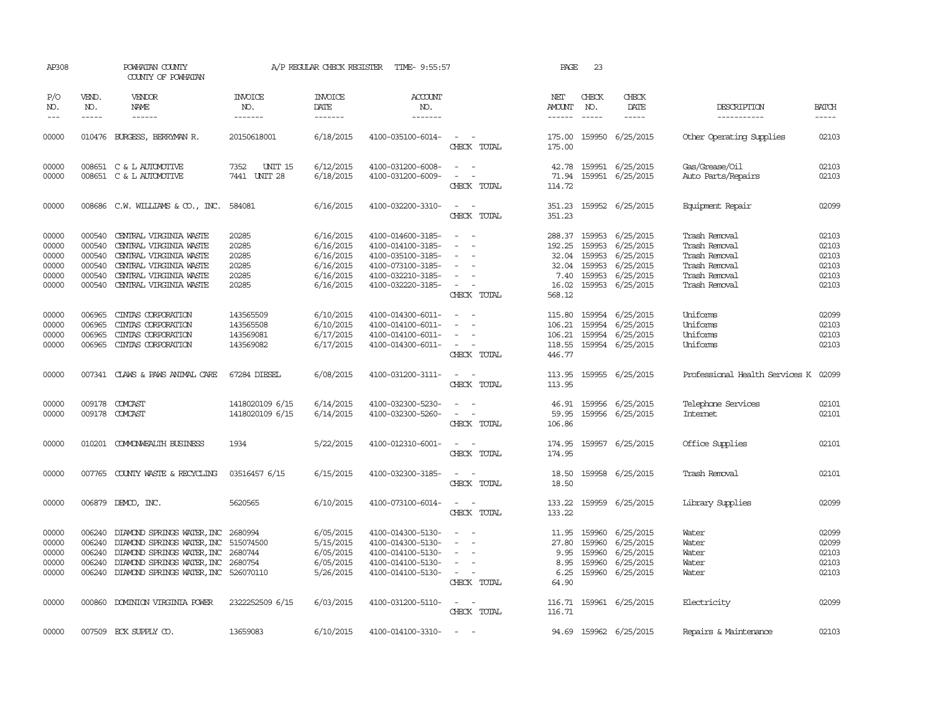| AP308                                              |                                                                                                                                                                                                                                                                                                                                                                                                                                                                         | POWHATAN COUNTY<br>COUNTY OF POWHATAN                                                                                                                                                            |                                                    | A/P REGULAR CHECK REGISTER                                                 | TIME- 9:55:57                                                                                                              |                                                                                                                                                                                     | PAGE                                                 | 23                              |                                                                                                                            |                                                                                                    |                                                    |
|----------------------------------------------------|-------------------------------------------------------------------------------------------------------------------------------------------------------------------------------------------------------------------------------------------------------------------------------------------------------------------------------------------------------------------------------------------------------------------------------------------------------------------------|--------------------------------------------------------------------------------------------------------------------------------------------------------------------------------------------------|----------------------------------------------------|----------------------------------------------------------------------------|----------------------------------------------------------------------------------------------------------------------------|-------------------------------------------------------------------------------------------------------------------------------------------------------------------------------------|------------------------------------------------------|---------------------------------|----------------------------------------------------------------------------------------------------------------------------|----------------------------------------------------------------------------------------------------|----------------------------------------------------|
| P/O<br>NO.<br>$---$                                | VEND.<br>NO.<br>$\begin{tabular}{ccccc} \multicolumn{2}{c }{\multicolumn{2}{c }{\multicolumn{2}{c }{\multicolumn{2}{c}}{\hspace{-2.2cm}}}} \multicolumn{2}{c }{\multicolumn{2}{c }{\hspace{-2.2cm}}\hline} \multicolumn{2}{c }{\hspace{-2.2cm}}\hline \multicolumn{2}{c }{\hspace{-2.2cm}}\hline \multicolumn{2}{c }{\hspace{-2.2cm}}\hline \multicolumn{2}{c }{\hspace{-2.2cm}}\hline \multicolumn{2}{c }{\hspace{-2.2cm}}\hline \multicolumn{2}{c }{\hspace{-2.2cm}}$ | VENDOR<br>NAME                                                                                                                                                                                   | <b>INVOICE</b><br>NO.<br>-------                   | <b>INVOICE</b><br>DATE<br>-------                                          | <b>ACCOUNT</b><br>NO.<br>-------                                                                                           |                                                                                                                                                                                     | NET<br><b>AMOUNT</b><br>------                       | CHECK<br>NO.<br>$\frac{1}{2}$   | CHECK<br>DATE<br>$- - - - -$                                                                                               | DESCRIPTION<br>-----------                                                                         | <b>BATCH</b><br>-----                              |
| 00000                                              |                                                                                                                                                                                                                                                                                                                                                                                                                                                                         | 010476 BURGESS, BERRYMAN R.                                                                                                                                                                      | 20150618001                                        | 6/18/2015                                                                  | 4100-035100-6014-                                                                                                          | $ -$<br>CHECK TOTAL                                                                                                                                                                 | 175.00<br>175.00                                     |                                 | 159950 6/25/2015                                                                                                           | Other Operating Supplies                                                                           | 02103                                              |
| 00000<br>00000                                     |                                                                                                                                                                                                                                                                                                                                                                                                                                                                         | 008651 C & L AUTOMOTTVE<br>008651 C & L AUTOMOTIVE                                                                                                                                               | <b>UNIT 15</b><br>7352<br>7441 UNIT 28             | 6/12/2015<br>6/18/2015                                                     | 4100-031200-6008-<br>4100-031200-6009-                                                                                     | $\frac{1}{2} \left( \frac{1}{2} \right) \left( \frac{1}{2} \right) = \frac{1}{2} \left( \frac{1}{2} \right)$<br>$\overline{\phantom{a}}$<br>$\overline{\phantom{a}}$<br>CHECK TOTAL | 71.94<br>114.72                                      |                                 | 42.78 159951 6/25/2015<br>159951 6/25/2015                                                                                 | Gas/Grease/0il<br>Auto Parts/Repairs                                                               | 02103<br>02103                                     |
| 00000                                              |                                                                                                                                                                                                                                                                                                                                                                                                                                                                         | 008686 C.W. WILLIAMS & CO., INC.                                                                                                                                                                 | 584081                                             | 6/16/2015                                                                  | 4100-032200-3310-                                                                                                          | $\sim$<br>CHECK TOTAL                                                                                                                                                               | 351.23<br>351.23                                     |                                 | 159952 6/25/2015                                                                                                           | Equipment Repair                                                                                   | 02099                                              |
| 00000<br>00000<br>00000<br>00000<br>00000<br>00000 | 000540<br>000540<br>000540<br>000540<br>000540                                                                                                                                                                                                                                                                                                                                                                                                                          | CENTRAL VIRGINIA WASTE<br>CENTRAL VIRGINIA WASTE<br>CENTRAL VIRGINIA WASTE<br>CENTRAL VIRGINIA WASTE<br>CENTRAL VIRGINIA WASTE<br>000540 CENTRAL VIRGINIA WASTE                                  | 20285<br>20285<br>20285<br>20285<br>20285<br>20285 | 6/16/2015<br>6/16/2015<br>6/16/2015<br>6/16/2015<br>6/16/2015<br>6/16/2015 | 4100-014600-3185-<br>4100-014100-3185-<br>4100-035100-3185-<br>4100-073100-3185-<br>4100-032210-3185-<br>4100-032220-3185- | $\sim$<br>$\sim$ 100 $\mu$<br>CHECK TOTAL                                                                                                                                           | 288.37<br>192.25<br>32.04<br>7.40<br>16.02<br>568.12 |                                 | 159953 6/25/2015<br>159953 6/25/2015<br>159953 6/25/2015<br>32.04 159953 6/25/2015<br>159953 6/25/2015<br>159953 6/25/2015 | Trash Removal<br>Trash Removal<br>Trash Removal<br>Trash Removal<br>Trash Removal<br>Trash Removal | 02103<br>02103<br>02103<br>02103<br>02103<br>02103 |
| 00000<br>00000<br>00000<br>00000                   | 006965<br>006965<br>006965<br>006965                                                                                                                                                                                                                                                                                                                                                                                                                                    | CINIAS CORPORATION<br>CINIAS CORPORATION<br>CINIAS CORPORATION<br>CINIAS CORPORATION                                                                                                             | 143565509<br>143565508<br>143569081<br>143569082   | 6/10/2015<br>6/10/2015<br>6/17/2015<br>6/17/2015                           | 4100-014300-6011-<br>4100-014100-6011-<br>4100-014100-6011-<br>4100-014300-6011-                                           | $\overline{\phantom{a}}$<br>$\sim$<br>$\sim$ 100 $\mu$<br>CHECK TOTAL                                                                                                               | 106.21<br>118.55<br>446.77                           |                                 | 115.80 159954 6/25/2015<br>159954 6/25/2015<br>106.21 159954 6/25/2015<br>159954 6/25/2015                                 | Uniforms<br>Uniforms<br>Uniforms<br>Uniforms                                                       | 02099<br>02103<br>02103<br>02103                   |
| 00000                                              |                                                                                                                                                                                                                                                                                                                                                                                                                                                                         | 007341 CLAWS & PAWS ANIMAL CARE                                                                                                                                                                  | 67284 DIESEL                                       | 6/08/2015                                                                  | 4100-031200-3111-                                                                                                          | $\sim$<br>CHECK TOTAL                                                                                                                                                               | 113.95<br>113.95                                     |                                 | 159955 6/25/2015                                                                                                           | Professional Health Services K 02099                                                               |                                                    |
| 00000<br>00000                                     | 009178<br>009178                                                                                                                                                                                                                                                                                                                                                                                                                                                        | COMCAST<br>COMCAST                                                                                                                                                                               | 1418020109 6/15<br>1418020109 6/15                 | 6/14/2015<br>6/14/2015                                                     | 4100-032300-5230-<br>4100-032300-5260-                                                                                     | CHECK TOTAL                                                                                                                                                                         | 46.91<br>59.95<br>106.86                             |                                 | 159956 6/25/2015<br>159956 6/25/2015                                                                                       | Telephone Services<br>Internet                                                                     | 02101<br>02101                                     |
| 00000                                              |                                                                                                                                                                                                                                                                                                                                                                                                                                                                         | 010201 COMONWEALTH BUSINESS                                                                                                                                                                      | 1934                                               | 5/22/2015                                                                  | 4100-012310-6001-                                                                                                          | $\sim$<br>CHECK TOTAL                                                                                                                                                               | 174.95<br>174.95                                     |                                 | 159957 6/25/2015                                                                                                           | Office Supplies                                                                                    | 02101                                              |
| 00000                                              |                                                                                                                                                                                                                                                                                                                                                                                                                                                                         | 007765 COUNTY WASTE & RECYCLING                                                                                                                                                                  | 03516457 6/15                                      | 6/15/2015                                                                  | 4100-032300-3185-                                                                                                          | $\sim$ $-$<br>CHECK TOTAL                                                                                                                                                           | 18.50<br>18.50                                       |                                 | 159958 6/25/2015                                                                                                           | Trash Removal                                                                                      | 02101                                              |
| 00000                                              |                                                                                                                                                                                                                                                                                                                                                                                                                                                                         | 006879 DEMCO, INC.                                                                                                                                                                               | 5620565                                            | 6/10/2015                                                                  | 4100-073100-6014-                                                                                                          | $\sim$ $\sim$<br>CHECK TOTAL                                                                                                                                                        | 133.22                                               |                                 | 133.22 159959 6/25/2015                                                                                                    | Library Supplies                                                                                   | 02099                                              |
| 00000<br>00000<br>00000<br>00000<br>00000          | 006240                                                                                                                                                                                                                                                                                                                                                                                                                                                                  | 006240 DIAMOND SPRINGS WATER, INC 2680994<br>DIAMOND SPRINGS WATER, INC<br>006240 DIAMOND SPRINGS WATER, INC<br>006240 DIAMOND SPRINGS WATER, INC<br>006240 DIAMOND SPRINGS WATER, INC 526070110 | 515074500<br>2680744<br>2680754                    | 6/05/2015<br>5/15/2015<br>6/05/2015<br>6/05/2015<br>5/26/2015              | 4100-014300-5130-<br>4100-014300-5130-<br>4100-014100-5130-<br>4100-014100-5130-<br>4100-014100-5130-                      | $\sim$<br>$\overline{\phantom{a}}$<br>$\sim$<br>$\sim$<br>CHECK TOTAL                                                                                                               | 27.80<br>8.95<br>6.25<br>64.90                       | 159960<br>9.95 159960<br>159960 | 11.95 159960 6/25/2015<br>6/25/2015<br>6/25/2015<br>6/25/2015<br>159960 6/25/2015                                          | Water<br>Water<br>Water<br>Water<br>Water                                                          | 02099<br>02099<br>02103<br>02103<br>02103          |
| 00000                                              |                                                                                                                                                                                                                                                                                                                                                                                                                                                                         | 000860 DOMINION VIRGINIA POWER                                                                                                                                                                   | 2322252509 6/15                                    | 6/03/2015                                                                  | 4100-031200-5110-                                                                                                          | $\sim$ $ \sim$<br>CHECK TOTAL                                                                                                                                                       | 116.71                                               |                                 | 116.71 159961 6/25/2015                                                                                                    | Electricity                                                                                        | 02099                                              |
| 00000                                              |                                                                                                                                                                                                                                                                                                                                                                                                                                                                         | 007509 ECK SUPPLY CO.                                                                                                                                                                            | 13659083                                           | 6/10/2015                                                                  | 4100-014100-3310-                                                                                                          | $\sim$                                                                                                                                                                              |                                                      |                                 | 94.69 159962 6/25/2015                                                                                                     | Repairs & Maintenance                                                                              | 02103                                              |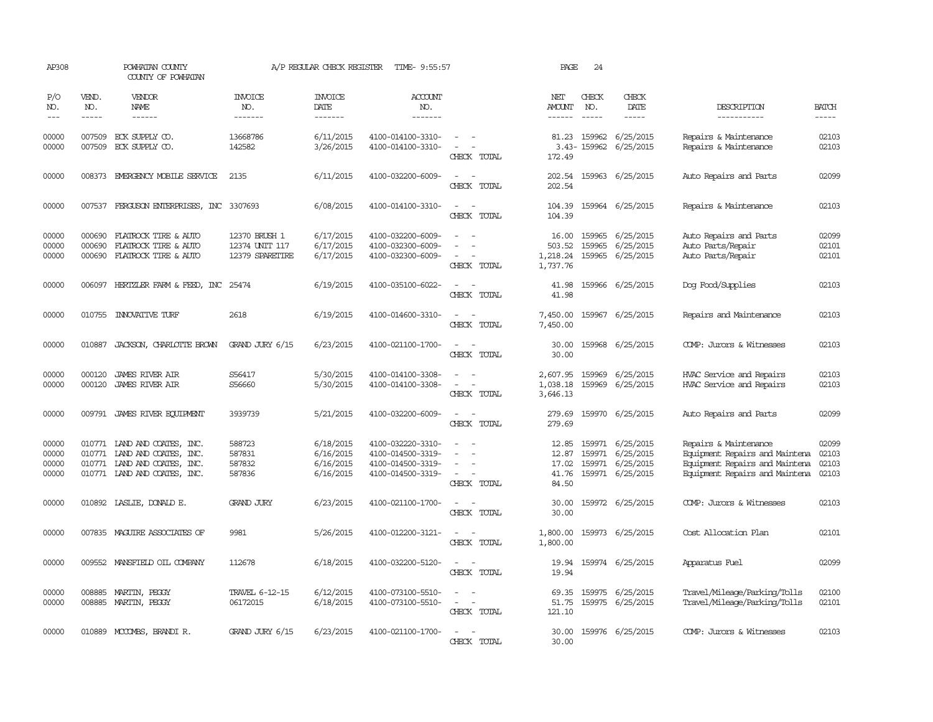| AP308                            |                             | POWHATAN COUNTY<br>COUNTY OF POWHATAN                                                                                        |                                                    | A/P REGULAR CHECK REGISTER                       | TIME- 9:55:57                                                                    |                                                                                                                             | PAGE                                    | 24                          |                                                                      |                                                                                                                             |                                  |
|----------------------------------|-----------------------------|------------------------------------------------------------------------------------------------------------------------------|----------------------------------------------------|--------------------------------------------------|----------------------------------------------------------------------------------|-----------------------------------------------------------------------------------------------------------------------------|-----------------------------------------|-----------------------------|----------------------------------------------------------------------|-----------------------------------------------------------------------------------------------------------------------------|----------------------------------|
| P/O<br>NO.<br>$---$              | VEND.<br>NO.<br>$- - - - -$ | VENDOR<br>NAME<br>$- - - - - -$                                                                                              | <b>INVOICE</b><br>NO.<br>-------                   | <b>INVOICE</b><br>DATE<br>-------                | <b>ACCOUNT</b><br>NO.<br>-------                                                 |                                                                                                                             | NET<br>AMOUNT<br>$- - - - - -$          | CHECK<br>NO.<br>$- - - - -$ | CHECK<br>DATE<br>-----                                               | DESCRIPTION<br>-----------                                                                                                  | <b>BATCH</b><br>$- - - - -$      |
| 00000<br>00000                   | 007509<br>007509            | ECK SUPPLY CO.<br>ECK SUPPLY CO.                                                                                             | 13668786<br>142582                                 | 6/11/2015<br>3/26/2015                           | 4100-014100-3310-<br>4100-014100-3310-                                           | $\overline{\phantom{a}}$<br>$\overline{\phantom{a}}$<br>CHECK TOTAL                                                         | 172.49                                  | 81.23 159962<br>3.43-159962 | 6/25/2015<br>6/25/2015                                               | Repairs & Maintenance<br>Repairs & Maintenance                                                                              | 02103<br>02103                   |
| 00000                            | 008373                      | EMERGENCY MOBILE SERVICE                                                                                                     | 2135                                               | 6/11/2015                                        | 4100-032200-6009-                                                                | CHECK TOTAL                                                                                                                 | 202.54<br>202.54                        |                             | 159963 6/25/2015                                                     | Auto Repairs and Parts                                                                                                      | 02099                            |
| 00000                            |                             | 007537 FERGUSON ENTERPRISES, INC 3307693                                                                                     |                                                    | 6/08/2015                                        | 4100-014100-3310-                                                                | $\overline{\phantom{a}}$<br>. —<br>CHECK TOTAL                                                                              | 104.39<br>104.39                        |                             | 159964 6/25/2015                                                     | Repairs & Maintenance                                                                                                       | 02103                            |
| 00000<br>00000<br>00000          | 000690<br>000690<br>000690  | FLATROCK TIRE & AUTO<br>FLATROCK TIRE & AUTO<br>FLATROCK TIRE & AUTO                                                         | 12370 BRUSH 1<br>12374 UNIT 117<br>12379 SPARETTRE | 6/17/2015<br>6/17/2015<br>6/17/2015              | 4100-032200-6009-<br>4100-032300-6009-<br>4100-032300-6009-                      | CHECK TOTAL                                                                                                                 | 16.00<br>503.52<br>1,218.24<br>1,737.76 | 159965<br>159965<br>159965  | 6/25/2015<br>6/25/2015<br>6/25/2015                                  | Auto Repairs and Parts<br>Auto Parts/Repair<br>Auto Parts/Repair                                                            | 02099<br>02101<br>02101          |
| 00000                            |                             | 006097 HERTZLER FARM & FEED, INC                                                                                             | 25474                                              | 6/19/2015                                        | 4100-035100-6022-                                                                | CHECK TOTAL                                                                                                                 | 41.98<br>41.98                          |                             | 159966 6/25/2015                                                     | Dog Food/Supplies                                                                                                           | 02103                            |
| 00000                            |                             | 010755 INNOVATIVE TURF                                                                                                       | 2618                                               | 6/19/2015                                        | 4100-014600-3310-                                                                | $\sim$<br>CHECK TOTAL                                                                                                       | 7,450.00<br>7,450.00                    |                             | 159967 6/25/2015                                                     | Repairs and Maintenance                                                                                                     | 02103                            |
| 00000                            | 010887                      | JACKSON, CHARLOTTE BROWN                                                                                                     | GRAND JURY 6/15                                    | 6/23/2015                                        | 4100-021100-1700-                                                                | $\equiv$<br>CHECK TOTAL                                                                                                     | 30.00<br>30.00                          |                             | 159968 6/25/2015                                                     | COMP: Jurors & Witnesses                                                                                                    | 02103                            |
| 00000<br>00000                   | 000120<br>000120            | <b>JAMES RIVER AIR</b><br><b>JAMES RIVER AIR</b>                                                                             | S56417<br>S56660                                   | 5/30/2015<br>5/30/2015                           | 4100-014100-3308-<br>4100-014100-3308-                                           | $\sim$<br>$\overline{\phantom{a}}$<br>CHECK TOTAL                                                                           | 2,607.95<br>1,038.18<br>3,646.13        | 159969                      | 6/25/2015<br>159969 6/25/2015                                        | HVAC Service and Repairs<br>HVAC Service and Repairs                                                                        | 02103<br>02103                   |
| 00000                            |                             | 009791 JAMES RIVER EQUIPMENT                                                                                                 | 3939739                                            | 5/21/2015                                        | 4100-032200-6009-                                                                | $\frac{1}{2} \left( \frac{1}{2} \right) \left( \frac{1}{2} \right) = \frac{1}{2} \left( \frac{1}{2} \right)$<br>CHECK TOTAL | 279.69<br>279.69                        |                             | 159970 6/25/2015                                                     | Auto Repairs and Parts                                                                                                      | 02099                            |
| 00000<br>00000<br>00000<br>00000 |                             | 010771 LAND AND COATES, INC.<br>010771 LAND AND COATES, INC.<br>010771 LAND AND COATES, INC.<br>010771 LAND AND COATES, INC. | 588723<br>587831<br>587832<br>587836               | 6/18/2015<br>6/16/2015<br>6/16/2015<br>6/16/2015 | 4100-032220-3310-<br>4100-014500-3319-<br>4100-014500-3319-<br>4100-014500-3319- | CHECK TOTAL                                                                                                                 | 12.87<br>17.02<br>41.76<br>84.50        | 159971<br>159971            | 12.85 159971 6/25/2015<br>6/25/2015<br>6/25/2015<br>159971 6/25/2015 | Repairs & Maintenance<br>Equipment Repairs and Maintena<br>Equipment Repairs and Maintena<br>Equipment Repairs and Maintena | 02099<br>02103<br>02103<br>02103 |
| 00000                            |                             | 010892 LASLIE, DONALD E.                                                                                                     | <b>GRAND JURY</b>                                  | 6/23/2015                                        | 4100-021100-1700-                                                                | CHECK TOTAL                                                                                                                 | 30.00<br>30.00                          |                             | 159972 6/25/2015                                                     | COMP: Jurors & Witnesses                                                                                                    | 02103                            |
| 00000                            |                             | 007835 MAGUIRE ASSOCIATES OF                                                                                                 | 9981                                               | 5/26/2015                                        | 4100-012200-3121-                                                                | $\overline{\phantom{a}}$<br>CHECK TOTAL                                                                                     | 1,800.00<br>1,800.00                    |                             | 159973 6/25/2015                                                     | Cost Allocation Plan                                                                                                        | 02101                            |
| 00000                            |                             | 009552 MANSFIELD OIL COMPANY                                                                                                 | 112678                                             | 6/18/2015                                        | 4100-032200-5120-                                                                | $\overline{\phantom{a}}$<br>CHECK TOTAL                                                                                     | 19.94<br>19.94                          |                             | 159974 6/25/2015                                                     | Apparatus Fuel                                                                                                              | 02099                            |
| 00000<br>00000                   | 008885                      | MARTIN, PEGGY<br>008885 MARTIN, PEGGY                                                                                        | <b>TRAVEL 6-12-15</b><br>06172015                  | 6/12/2015<br>6/18/2015                           | 4100-073100-5510-<br>4100-073100-5510-                                           | $\equiv$<br>$\overline{\phantom{a}}$<br>CHECK TOTAL                                                                         | 69.35<br>51.75<br>121.10                |                             | 159975 6/25/2015<br>159975 6/25/2015                                 | Travel/Mileage/Parking/Tolls<br>Travel/Mileage/Parking/Tolls                                                                | 02100<br>02101                   |
| 00000                            |                             | 010889 MCCOMBS, BRANDIR.                                                                                                     | GRAND JURY 6/15                                    | 6/23/2015                                        | 4100-021100-1700-                                                                | CHFICK<br><b>TOTAL</b>                                                                                                      | 30.00                                   |                             | 30.00 159976 6/25/2015                                               | COMP: Jurors & Witnesses                                                                                                    | 02103                            |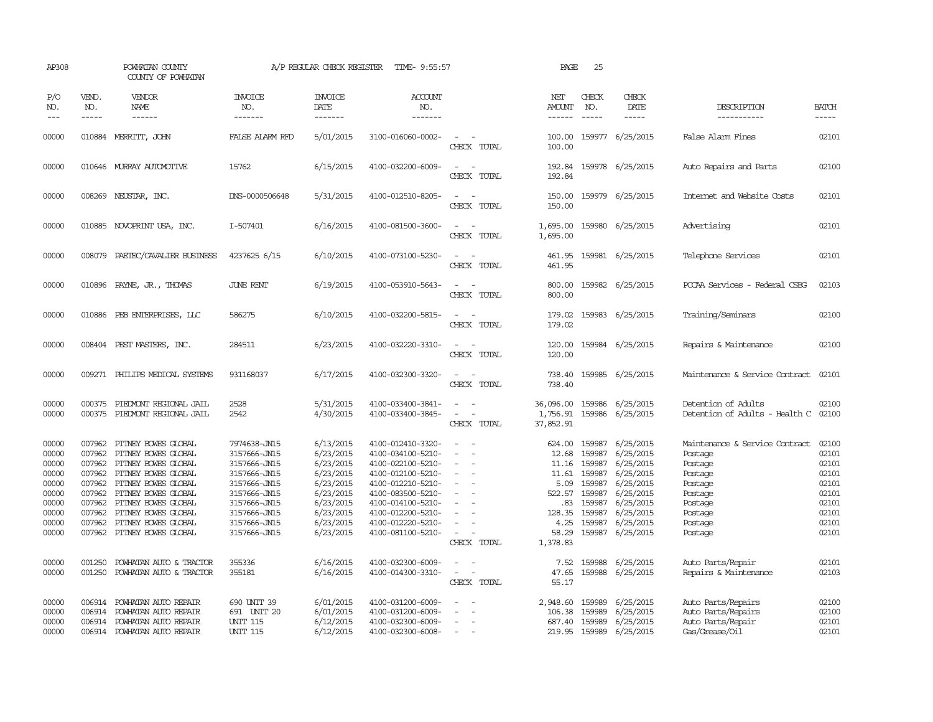| AP308                                                                                  |                                                                                        | POWHATAN COUNTY<br>COUNTY OF POWHATAN                                                                                                                                                                                                     |                                                                                                                                                              | A/P REGULAR CHECK REGISTER                                                                                                     | TIME- 9:55:57                                                                                                                                                                                                  |                                                     | PAGE                                                                                              | 25                                                                           |                                                                                                                                              |                                                                                                                                   |                                                                                        |
|----------------------------------------------------------------------------------------|----------------------------------------------------------------------------------------|-------------------------------------------------------------------------------------------------------------------------------------------------------------------------------------------------------------------------------------------|--------------------------------------------------------------------------------------------------------------------------------------------------------------|--------------------------------------------------------------------------------------------------------------------------------|----------------------------------------------------------------------------------------------------------------------------------------------------------------------------------------------------------------|-----------------------------------------------------|---------------------------------------------------------------------------------------------------|------------------------------------------------------------------------------|----------------------------------------------------------------------------------------------------------------------------------------------|-----------------------------------------------------------------------------------------------------------------------------------|----------------------------------------------------------------------------------------|
| P/O<br>NO.<br>$---$                                                                    | VEND.<br>NO.<br>$- - - - -$                                                            | VENDOR<br>NAME<br>$- - - - - -$                                                                                                                                                                                                           | <b>INVOICE</b><br>NO.<br>-------                                                                                                                             | <b>INVOICE</b><br>DATE<br>-------                                                                                              | <b>ACCOUNT</b><br>NO.<br>-------                                                                                                                                                                               |                                                     | NET<br><b>AMOUNT</b><br>$- - - - - -$                                                             | CHECK<br>NO.<br>$- - - - -$                                                  | CHECK<br>DATE<br>-----                                                                                                                       | DESCRIPTION<br>-----------                                                                                                        | <b>BATCH</b><br>-----                                                                  |
| 00000                                                                                  |                                                                                        | 010884 MERRITT, JOHN                                                                                                                                                                                                                      | FALSE ALARM RFD                                                                                                                                              | 5/01/2015                                                                                                                      | 3100-016060-0002-                                                                                                                                                                                              | CHECK TOTAL                                         | 100.00<br>100.00                                                                                  |                                                                              | 159977 6/25/2015                                                                                                                             | False Alarm Fines                                                                                                                 | 02101                                                                                  |
| 00000                                                                                  |                                                                                        | 010646 MURRAY AUTOMOTTVE                                                                                                                                                                                                                  | 15762                                                                                                                                                        | 6/15/2015                                                                                                                      | 4100-032200-6009-                                                                                                                                                                                              | $\equiv$<br>CHECK TOTAL                             | 192.84<br>192.84                                                                                  |                                                                              | 159978 6/25/2015                                                                                                                             | Auto Repairs and Parts                                                                                                            | 02100                                                                                  |
| 00000                                                                                  |                                                                                        | 008269 NEUSTAR, INC.                                                                                                                                                                                                                      | DNS-0000506648                                                                                                                                               | 5/31/2015                                                                                                                      | 4100-012510-8205-                                                                                                                                                                                              | CHECK TOTAL                                         | 150.00<br>150.00                                                                                  |                                                                              | 159979 6/25/2015                                                                                                                             | Internet and Website Costs                                                                                                        | 02101                                                                                  |
| 00000                                                                                  |                                                                                        | 010885 NOVOPRINT USA, INC.                                                                                                                                                                                                                | I-507401                                                                                                                                                     | 6/16/2015                                                                                                                      | 4100-081500-3600-                                                                                                                                                                                              | CHECK TOTAL                                         | 1,695.00<br>1,695.00                                                                              |                                                                              | 159980 6/25/2015                                                                                                                             | Advertising                                                                                                                       | 02101                                                                                  |
| 00000                                                                                  | 008079                                                                                 | PAETEC/CAVALIER BUSINESS                                                                                                                                                                                                                  | 4237625 6/15                                                                                                                                                 | 6/10/2015                                                                                                                      | 4100-073100-5230-                                                                                                                                                                                              | CHECK TOTAL                                         | 461.95<br>461.95                                                                                  |                                                                              | 159981 6/25/2015                                                                                                                             | Telephone Services                                                                                                                | 02101                                                                                  |
| 00000                                                                                  | 010896                                                                                 | PAYNE, JR., THOMAS                                                                                                                                                                                                                        | <b>JUNE RENT</b>                                                                                                                                             | 6/19/2015                                                                                                                      | 4100-053910-5643-                                                                                                                                                                                              | CHECK TOTAL                                         | 800.00<br>800.00                                                                                  |                                                                              | 159982 6/25/2015                                                                                                                             | PCCAA Services - Federal CSBG                                                                                                     | 02103                                                                                  |
| 00000                                                                                  | 010886                                                                                 | PEB ENTERPRISES, LLC                                                                                                                                                                                                                      | 586275                                                                                                                                                       | 6/10/2015                                                                                                                      | 4100-032200-5815-                                                                                                                                                                                              | CHECK TOTAL                                         | 179.02<br>179.02                                                                                  |                                                                              | 159983 6/25/2015                                                                                                                             | Training/Seminars                                                                                                                 | 02100                                                                                  |
| 00000                                                                                  |                                                                                        | 008404 PEST MASTERS, INC.                                                                                                                                                                                                                 | 284511                                                                                                                                                       | 6/23/2015                                                                                                                      | 4100-032220-3310-                                                                                                                                                                                              | CHECK TOTAL                                         | 120.00<br>120.00                                                                                  |                                                                              | 159984 6/25/2015                                                                                                                             | Repairs & Maintenance                                                                                                             | 02100                                                                                  |
| 00000                                                                                  |                                                                                        | 009271 PHILIPS MEDICAL SYSTEMS                                                                                                                                                                                                            | 931168037                                                                                                                                                    | 6/17/2015                                                                                                                      | 4100-032300-3320-                                                                                                                                                                                              | $\sim$<br>CHECK TOTAL                               | 738.40<br>738.40                                                                                  |                                                                              | 159985 6/25/2015                                                                                                                             | Maintenance & Service Contract                                                                                                    | 02101                                                                                  |
| 00000<br>00000                                                                         | 000375<br>000375                                                                       | PIEDMONT REGIONAL JAIL<br>PIEDMONT REGIONAL JAIL                                                                                                                                                                                          | 2528<br>2542                                                                                                                                                 | 5/31/2015<br>4/30/2015                                                                                                         | 4100-033400-3841-<br>4100-033400-3845-                                                                                                                                                                         | $\equiv$<br>$\overline{\phantom{a}}$<br>CHECK TOTAL | 36,096.00<br>1,756.91<br>37,852.91                                                                | 159986<br>159986                                                             | 6/25/2015<br>6/25/2015                                                                                                                       | Detention of Adults<br>Detention of Adults - Health C                                                                             | 02100<br>02100                                                                         |
| 00000<br>00000<br>00000<br>00000<br>00000<br>00000<br>00000<br>00000<br>00000<br>00000 | 007962<br>007962<br>007962<br>007962<br>007962<br>007962<br>007962<br>007962<br>007962 | PITNEY BOWES GLOBAL<br>PITNEY BOWES GLOBAL<br>PITNEY BOWES GLOBAL<br>PITNEY BOWES GLOBAL<br>PITNEY BOWES GLOBAL<br>PITNEY BOWES GLOBAL<br>PITNEY BOWES GLOBAL<br>PITNEY BOWES GLOBAL<br>PITNEY BOWES GLOBAL<br>007962 PITNEY BOWES GLOBAL | 7974638-JN15<br>3157666-JN15<br>3157666-JN15<br>3157666-JN15<br>3157666-JN15<br>3157666-JN15<br>3157666-JN15<br>3157666-JN15<br>3157666-JN15<br>3157666-JN15 | 6/13/2015<br>6/23/2015<br>6/23/2015<br>6/23/2015<br>6/23/2015<br>6/23/2015<br>6/23/2015<br>6/23/2015<br>6/23/2015<br>6/23/2015 | 4100-012410-3320-<br>4100-034100-5210-<br>4100-022100-5210-<br>4100-012100-5210-<br>4100-012210-5210-<br>4100-083500-5210-<br>4100-014100-5210-<br>4100-012200-5210-<br>4100-012220-5210-<br>4100-081100-5210- | $\equiv$<br>$\equiv$<br>CHECK TOTAL                 | 624.00<br>12.68<br>11.16<br>11.61<br>5.09<br>522.57<br>.83<br>128.35<br>4.25<br>58.29<br>1,378.83 | 159987<br>159987<br>159987<br>159987<br>159987<br>159987<br>159987<br>159987 | 6/25/2015<br>6/25/2015<br>159987 6/25/2015<br>6/25/2015<br>6/25/2015<br>6/25/2015<br>6/25/2015<br>6/25/2015<br>6/25/2015<br>159987 6/25/2015 | Maintenance & Service Contract<br>Postage<br>Postage<br>Postage<br>Postage<br>Postage<br>Postage<br>Postage<br>Postage<br>Postage | 02100<br>02101<br>02101<br>02101<br>02101<br>02101<br>02101<br>02101<br>02101<br>02101 |
| 00000<br>00000                                                                         | 001250<br>001250                                                                       | POWHATAN AUTO & TRACTOR<br>POWHATAN AUTO & TRACTOR                                                                                                                                                                                        | 355336<br>355181                                                                                                                                             | 6/16/2015<br>6/16/2015                                                                                                         | 4100-032300-6009-<br>4100-014300-3310-                                                                                                                                                                         | CHECK TOTAL                                         | 7.52<br>47.65<br>55.17                                                                            | 159988<br>159988                                                             | 6/25/2015<br>6/25/2015                                                                                                                       | Auto Parts/Repair<br>Repairs & Maintenance                                                                                        | 02101<br>02103                                                                         |
| 00000<br>00000<br>00000<br>00000                                                       | 006914<br>006914                                                                       | POWHATAN AUTO REPAIR<br>POWHATAN AUTO REPAIR<br>006914 POWHATAN AUTO REPAIR<br>006914 POWHATAN AUTO REPAIR                                                                                                                                | 690 UNIT 39<br>691 UNIT 20<br><b>UNIT 115</b><br><b>UNIT 115</b>                                                                                             | 6/01/2015<br>6/01/2015<br>6/12/2015<br>6/12/2015                                                                               | 4100-031200-6009-<br>4100-031200-6009-<br>4100-032300-6009-<br>4100-032300-6008-                                                                                                                               | $\sim$                                              | 2,948.60<br>106.38<br>687.40                                                                      | 159989<br>159989<br>159989<br>219.95 159989                                  | 6/25/2015<br>6/25/2015<br>6/25/2015<br>6/25/2015                                                                                             | Auto Parts/Repairs<br>Auto Parts/Repairs<br>Auto Parts/Repair<br>Gas/Grease/Oil                                                   | 02100<br>02100<br>02101<br>02101                                                       |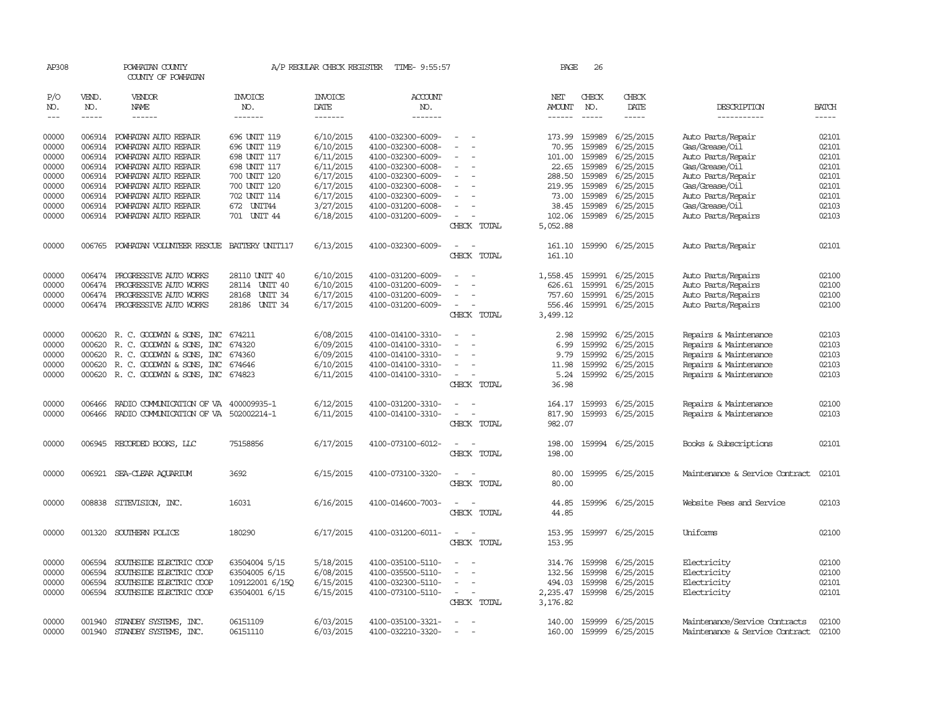| AP308                                     |                                                | POWHATAN COUNTY<br>COUNTY OF POWHATAN                                                                                                                             |                                                                              | A/P REGULAR CHECK REGISTER                                    | TIME- 9:55:57                                                                                         |                                                                                                                                                         | PAGE                                               | 26                                             |                                                                |                                                                                                                           |                                           |
|-------------------------------------------|------------------------------------------------|-------------------------------------------------------------------------------------------------------------------------------------------------------------------|------------------------------------------------------------------------------|---------------------------------------------------------------|-------------------------------------------------------------------------------------------------------|---------------------------------------------------------------------------------------------------------------------------------------------------------|----------------------------------------------------|------------------------------------------------|----------------------------------------------------------------|---------------------------------------------------------------------------------------------------------------------------|-------------------------------------------|
| P/O<br>NO.<br>$\frac{1}{2}$               | VEND.<br>NO.<br>$- - - - -$                    | VENDOR<br>NAME<br>------                                                                                                                                          | <b>INVOICE</b><br>NO.<br>-------                                             | <b>INVOICE</b><br>DATE<br>-------                             | ACCOUNT<br>NO.<br>-------                                                                             |                                                                                                                                                         | NET<br><b>AMOUNT</b><br>$- - - - - -$              | CHECK<br>NO.<br>$\frac{1}{2}$                  | CHECK<br>DATE<br>-----                                         | DESCRIPTION<br>-----------                                                                                                | <b>BATCH</b><br>$- - - - -$               |
| 00000<br>00000<br>00000<br>00000<br>00000 | 006914<br>006914<br>006914<br>006914<br>006914 | POWHATAN AUTO REPAIR<br>POWHATAN AUTO REPAIR<br>POWHATAN AUTO REPAIR<br>POWHATAN AUTO REPAIR<br>POWHATAN AUTO REPAIR                                              | 696 UNIT 119<br>696 UNIT 119<br>698 UNIT 117<br>698 UNIT 117<br>700 UNIT 120 | 6/10/2015<br>6/10/2015<br>6/11/2015<br>6/11/2015<br>6/17/2015 | 4100-032300-6009-<br>4100-032300-6008-<br>4100-032300-6009-<br>4100-032300-6008-<br>4100-032300-6009- | $\overline{\phantom{a}}$<br>$\overline{\phantom{a}}$                                                                                                    | 173.99<br>70.95<br>101.00<br>22.65<br>288.50       | 159989<br>159989<br>159989<br>159989<br>159989 | 6/25/2015<br>6/25/2015<br>6/25/2015<br>6/25/2015<br>6/25/2015  | Auto Parts/Repair<br>Gas/Grease/Oil<br>Auto Parts/Repair<br>Gas/Grease/Oil<br>Auto Parts/Repair                           | 02101<br>02101<br>02101<br>02101<br>02101 |
| 00000<br>00000<br>00000<br>00000          | 006914<br>006914<br>006914                     | POWHATAN AUTO REPAIR<br>POWHATAN AUTO REPAIR<br>POWHATAN AUTO REPAIR<br>006914 POWHATAN AUTO REPAIR                                                               | 700 UNIT 120<br>702 UNIT 114<br>672 UNIT44<br>701 UNIT 44                    | 6/17/2015<br>6/17/2015<br>3/27/2015<br>6/18/2015              | 4100-032300-6008-<br>4100-032300-6009-<br>4100-031200-6008-<br>4100-031200-6009-                      | $\sim$<br>$\overline{\phantom{a}}$<br>CHECK TOTAL                                                                                                       | 219.95<br>73.00<br>38.45<br>102.06<br>5,052.88     | 159989<br>159989<br>159989                     | 6/25/2015<br>6/25/2015<br>6/25/2015<br>159989 6/25/2015        | Gas/Grease/Oil<br>Auto Parts/Repair<br>Gas/Grease/Oil<br>Auto Parts/Repairs                                               | 02101<br>02101<br>02103<br>02103          |
| 00000                                     | 006765                                         | POWHATAN VOLUNIEER RESCUE                                                                                                                                         | BATTERY UNIT117                                                              | 6/13/2015                                                     | 4100-032300-6009-                                                                                     | CHECK TOTAL                                                                                                                                             | 161.10<br>161.10                                   |                                                | 159990 6/25/2015                                               | Auto Parts/Repair                                                                                                         | 02101                                     |
| 00000<br>00000<br>00000<br>00000          | 006474<br>006474<br>006474                     | PROGRESSIVE AUTO WORKS<br>PROGRESSIVE AUTO WORKS<br>PROGRESSIVE AUTO WORKS<br>006474 PROGRESSIVE AUTO WORKS                                                       | 28110 UNIT 40<br>28114 UNIT 40<br>28168 UNIT 34<br>28186 UNIT 34             | 6/10/2015<br>6/10/2015<br>6/17/2015<br>6/17/2015              | 4100-031200-6009-<br>4100-031200-6009-<br>4100-031200-6009-<br>4100-031200-6009-                      | $\overline{\phantom{a}}$<br>CHECK TOTAL                                                                                                                 | 1,558.45<br>626.61<br>757.60<br>556.46<br>3,499.12 | 159991<br>159991                               | 159991 6/25/2015<br>6/25/2015<br>6/25/2015<br>159991 6/25/2015 | Auto Parts/Repairs<br>Auto Parts/Repairs<br>Auto Parts/Repairs<br>Auto Parts/Repairs                                      | 02100<br>02100<br>02100<br>02100          |
| 00000<br>00000<br>00000<br>00000<br>00000 | 000620<br>000620                               | 000620 R. C. GOODWYN & SONS, INC<br>000620 R.C. GOODWYN & SONS, INC<br>R. C. GOODWYN & SONS, INC<br>R. C. GOODWYN & SONS, INC<br>000620 R. C. GOODWYN & SONS, INC | 674211<br>674320<br>674360<br>674646<br>674823                               | 6/08/2015<br>6/09/2015<br>6/09/2015<br>6/10/2015<br>6/11/2015 | 4100-014100-3310-<br>4100-014100-3310-<br>4100-014100-3310-<br>4100-014100-3310-<br>4100-014100-3310- | $\sim$<br>$\overline{\phantom{a}}$<br>$\overline{\phantom{a}}$<br>$\overline{\phantom{a}}$<br>$\overline{\phantom{a}}$<br>$\overline{a}$<br>CHECK TOTAL | 2.98<br>6.99<br>9.79<br>11.98<br>5.24<br>36.98     | 159992<br>159992<br>159992<br>159992<br>159992 | 6/25/2015<br>6/25/2015<br>6/25/2015<br>6/25/2015<br>6/25/2015  | Repairs & Maintenance<br>Repairs & Maintenance<br>Repairs & Maintenance<br>Repairs & Maintenance<br>Repairs & Maintenance | 02103<br>02103<br>02103<br>02103<br>02103 |
| 00000<br>00000                            | 006466<br>006466                               | RADIO COMMUNICATION OF VA 400009935-1<br>RADIO COMMUNICATION OF VA 502002214-1                                                                                    |                                                                              | 6/12/2015<br>6/11/2015                                        | 4100-031200-3310-<br>4100-014100-3310-                                                                | $\overline{\phantom{a}}$<br>CHECK TOTAL                                                                                                                 | 164.17<br>817.90<br>982.07                         | 159993                                         | 6/25/2015<br>159993 6/25/2015                                  | Repairs & Maintenance<br>Repairs & Maintenance                                                                            | 02100<br>02103                            |
| 00000                                     | 006945                                         | RECORDED BOOKS, LLC                                                                                                                                               | 75158856                                                                     | 6/17/2015                                                     | 4100-073100-6012-                                                                                     | CHECK TOTAL                                                                                                                                             | 198.00<br>198.00                                   |                                                | 159994 6/25/2015                                               | Books & Subscriptions                                                                                                     | 02101                                     |
| 00000                                     | 006921                                         | SEA-CLEAR AQUARIUM                                                                                                                                                | 3692                                                                         | 6/15/2015                                                     | 4100-073100-3320-                                                                                     | CHECK TOTAL                                                                                                                                             | 80.00<br>80.00                                     |                                                | 159995 6/25/2015                                               | Maintenance & Service Contract                                                                                            | 02101                                     |
| 00000                                     | 008838                                         | SITEVISION, INC.                                                                                                                                                  | 16031                                                                        | 6/16/2015                                                     | 4100-014600-7003-                                                                                     | $\overline{\phantom{a}}$<br>$\overline{\phantom{a}}$<br>CHECK TOTAL                                                                                     | 44.85<br>44.85                                     |                                                | 159996 6/25/2015                                               | Website Fees and Service                                                                                                  | 02103                                     |
| 00000                                     |                                                | 001320 SOUTHERN POLICE                                                                                                                                            | 180290                                                                       | 6/17/2015                                                     | 4100-031200-6011-                                                                                     | $\sim$<br>$\overline{\phantom{a}}$<br>CHECK TOTAL                                                                                                       | 153.95<br>153.95                                   |                                                | 159997 6/25/2015                                               | Uniforms                                                                                                                  | 02100                                     |
| 00000<br>00000<br>00000<br>00000          | 006594<br>006594<br>006594<br>006594           | SOUTHSIDE ELECTRIC COOP<br>SOUTHSIDE ELECTRIC COOP<br>SOUTHSIDE ELECTRIC COOP<br>SOUTHSIDE ELECTRIC COOP                                                          | 63504004 5/15<br>63504005 6/15<br>109122001 6/15Q<br>63504001 6/15           | 5/18/2015<br>6/08/2015<br>6/15/2015<br>6/15/2015              | 4100-035100-5110-<br>4100-035500-5110-<br>4100-032300-5110-<br>4100-073100-5110-                      | $\overline{\phantom{a}}$<br>$\overline{\phantom{a}}$<br>$\sim$<br>$\overline{\phantom{a}}$<br>CHECK TOTAL                                               | 314.76<br>132.56<br>494.03<br>2,235.47<br>3,176.82 | 159998<br>159998<br>159998<br>159998           | 6/25/2015<br>6/25/2015<br>6/25/2015<br>6/25/2015               | Electricity<br>Electricity<br>Electricity<br>Electricity                                                                  | 02100<br>02100<br>02101<br>02101          |
| 00000<br>00000                            | 001940<br>001940                               | STANDBY SYSTEMS, INC.<br>STANDBY SYSTEMS, INC.                                                                                                                    | 06151109<br>06151110                                                         | 6/03/2015<br>6/03/2015                                        | 4100-035100-3321-<br>4100-032210-3320-                                                                | $\sim$                                                                                                                                                  | 140.00                                             |                                                | 159999 6/25/2015<br>160.00 159999 6/25/2015                    | Maintenance/Service Contracts<br>Maintenance & Service Contract                                                           | 02100<br>02100                            |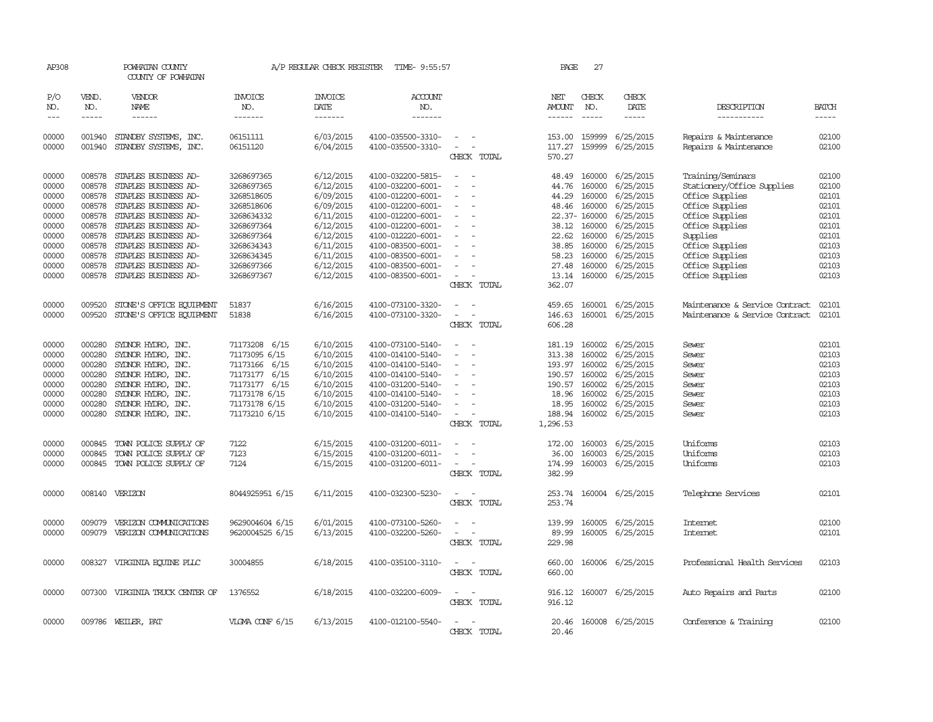| AP308          |                  | POWHATAN COUNTY<br>COUNTY OF POWHATAN          |                      | A/P REGULAR CHECK REGISTER | TIME- 9:55:57                          |                                                      | PAGE             | 27               |                         |                                                |                |
|----------------|------------------|------------------------------------------------|----------------------|----------------------------|----------------------------------------|------------------------------------------------------|------------------|------------------|-------------------------|------------------------------------------------|----------------|
| P/O<br>NO.     | VEND.<br>NO.     | VENDOR<br>NAME                                 | INVOICE<br>NO.       | <b>INVOICE</b><br>DATE     | <b>ACCOUNT</b><br>NO.                  |                                                      | NET<br>AMOUNT    | CHECK<br>NO.     | CHECK<br>DATE           | DESCRIPTION                                    | <b>BATCH</b>   |
| $---$          | $- - - - -$      | $- - - - - -$                                  | -------              | -------                    | -------                                |                                                      |                  | $- - - - -$      | -----                   | -----------                                    | -----          |
| 00000<br>00000 | 001940<br>001940 | STANDBY SYSTEMS, INC.<br>STANDBY SYSTEMS, INC. | 06151111<br>06151120 | 6/03/2015<br>6/04/2015     | 4100-035500-3310-<br>4100-035500-3310- | $\sim$                                               | 153.00<br>117.27 | 159999<br>159999 | 6/25/2015<br>6/25/2015  | Repairs & Maintenance<br>Repairs & Maintenance | 02100<br>02100 |
|                |                  |                                                |                      |                            |                                        | CHECK TOTAL                                          | 570.27           |                  |                         |                                                |                |
| 00000          | 008578           | STAPLES BUSINESS AD-                           | 3268697365           | 6/12/2015                  | 4100-032200-5815-                      |                                                      | 48.49            | 160000           | 6/25/2015               | Training/Seminars                              | 02100          |
| 00000          | 008578           | STAPLES BUSINESS AD-                           | 3268697365           | 6/12/2015                  | 4100-032200-6001-                      |                                                      | 44.76            | 160000           | 6/25/2015               | Stationery/Office Supplies                     | 02100          |
| 00000          | 008578           | STAPLES BUSINESS AD-                           | 3268518605           | 6/09/2015                  | 4100-012200-6001-                      |                                                      | 44.29            | 160000           | 6/25/2015               | Office Supplies                                | 02101          |
| 00000          | 008578           | STAPLES BUSINESS AD-                           | 3268518606           | 6/09/2015                  | 4100-012200-6001-                      | $\overline{\phantom{a}}$                             | 48.46            | 160000           | 6/25/2015               | Office Supplies                                | 02101          |
| 00000          | 008578           | STAPLES BUSINESS AD-                           | 3268634332           | 6/11/2015                  | 4100-012200-6001-                      | $\overline{\phantom{a}}$                             |                  | 22.37-160000     | 6/25/2015               | Office Supplies                                | 02101          |
| 00000          | 008578           | STAPLES BUSINESS AD-                           | 3268697364           | 6/12/2015                  | 4100-012200-6001-                      |                                                      |                  | 38.12 160000     | 6/25/2015               | Office Supplies                                | 02101          |
| 00000          | 008578           | STAPLES BUSINESS AD-                           | 3268697364           | 6/12/2015                  | 4100-012220-6001-                      | $\overline{\phantom{a}}$<br>$\overline{\phantom{a}}$ | 22.62            | 160000           | 6/25/2015               | Supplies                                       | 02101          |
| 00000          | 008578           | STAPLES BUSINESS AD-                           | 3268634343           | 6/11/2015                  | 4100-083500-6001-                      |                                                      | 38.85            | 160000           | 6/25/2015               | Office Supplies                                | 02103          |
| 00000          | 008578           | STAPLES BUSINESS AD-                           | 3268634345           | 6/11/2015                  | 4100-083500-6001-                      |                                                      | 58.23            | 160000           | 6/25/2015               | Office Supplies                                | 02103          |
| 00000          | 008578           | STAPLES BUSINESS AD-                           | 3268697366           | 6/12/2015                  | 4100-083500-6001-                      | $\overline{\phantom{a}}$                             | 27.48            | 160000           | 6/25/2015               | Office Supplies                                | 02103          |
| 00000          | 008578           | STAPLES BUSINESS AD-                           | 3268697367           | 6/12/2015                  | 4100-083500-6001-                      | $\sim$                                               | 13.14            | 160000           | 6/25/2015               | Office Supplies                                | 02103          |
|                |                  |                                                |                      |                            |                                        | CHECK TOTAL                                          | 362.07           |                  |                         |                                                |                |
| 00000          | 009520           | STONE'S OFFICE EQUIPMENT                       | 51837                | 6/16/2015                  | 4100-073100-3320-                      | $\sim$<br>$\sim$                                     |                  |                  | 459.65 160001 6/25/2015 | Maintenance & Service Contract                 | 02101          |
| 00000          | 009520           | STONE'S OFFICE EQUIPMENT                       | 51838                | 6/16/2015                  | 4100-073100-3320-                      | $\overline{\phantom{a}}$                             | 146.63           | 160001           | 6/25/2015               | Maintenance & Service Contract                 | 02101          |
|                |                  |                                                |                      |                            |                                        | CHECK TOTAL                                          | 606.28           |                  |                         |                                                |                |
| 00000          | 000280           | SYDNOR HYDRO, INC.                             | 71173208 6/15        | 6/10/2015                  | 4100-073100-5140-                      |                                                      | 181.19           | 160002           | 6/25/2015               | Sewer                                          | 02101          |
| 00000          | 000280           | SYDNOR HYDRO, INC.                             | 71173095 6/15        | 6/10/2015                  | 4100-014100-5140-                      |                                                      | 313.38           | 160002           | 6/25/2015               | Sewer                                          | 02103          |
| 00000          | 000280           | SYDNOR HYDRO, INC.                             | 71173166 6/15        | 6/10/2015                  | 4100-014100-5140-                      |                                                      | 193.97           | 160002           | 6/25/2015               | Sewer                                          | 02103          |
| 00000          | 000280           | SYDNOR HYDRO, INC.                             | 71173177 6/15        | 6/10/2015                  | 4100-014100-5140-                      | $\overline{\phantom{a}}$                             | 190.57           | 160002           | 6/25/2015               | Sewer                                          | 02103          |
| 00000          | 000280           | SYLNOR HYDRO, INC.                             | 71173177 6/15        | 6/10/2015                  | 4100-031200-5140-                      |                                                      | 190.57           | 160002           | 6/25/2015               | Sewer                                          | 02103          |
| 00000          | 000280           | SYDNOR HYDRO, INC.                             | 71173178 6/15        | 6/10/2015                  | 4100-014100-5140-                      |                                                      | 18.96            | 160002           | 6/25/2015               | Sewer                                          | 02103          |
| 00000          | 000280           | SYDNOR HYDRO, INC.                             | 71173178 6/15        | 6/10/2015                  | 4100-031200-5140-                      | $\equiv$                                             | 18.95            | 160002           | 6/25/2015               | Sewer                                          | 02103          |
| 00000          | 000280           | SYLNOR HYDRO, INC.                             | 71173210 6/15        | 6/10/2015                  | 4100-014100-5140-                      | $\sim$                                               | 188.94           | 160002           | 6/25/2015               | Sewer                                          | 02103          |
|                |                  |                                                |                      |                            |                                        | CHECK TOTAL                                          | 1,296.53         |                  |                         |                                                |                |
| 00000          | 000845           | TOWN POLICE SUPPLY OF                          | 7122                 | 6/15/2015                  | 4100-031200-6011-                      |                                                      | 172.00           | 160003           | 6/25/2015               | Uniforms                                       | 02103          |
| 00000          | 000845           | TOWN POLICE SUPPLY OF                          | 7123                 | 6/15/2015                  | 4100-031200-6011-                      |                                                      | 36.00            | 160003           | 6/25/2015               | Uniforms                                       | 02103          |
| 00000          |                  | 000845 TOWN POLICE SUPPLY OF                   | 7124                 | 6/15/2015                  | 4100-031200-6011-                      | $\sim$                                               | 174.99           |                  | 160003 6/25/2015        | Uniforms                                       | 02103          |
|                |                  |                                                |                      |                            |                                        | CHECK TOTAL                                          | 382.99           |                  |                         |                                                |                |
| 00000          |                  | 008140 VERIZON                                 | 8044925951 6/15      | 6/11/2015                  | 4100-032300-5230-                      |                                                      | 253.74           |                  | 160004 6/25/2015        | Telephone Services                             | 02101          |
|                |                  |                                                |                      |                            |                                        | CHECK TOTAL                                          | 253.74           |                  |                         |                                                |                |
|                |                  |                                                |                      | 6/01/2015                  |                                        |                                                      |                  |                  |                         |                                                |                |
| 00000<br>00000 | 009079<br>009079 | VERIZON COMUNICATIONS<br>VERIZON COMUNICATIONS | 9629004604 6/15      |                            | 4100-073100-5260-                      | $\sim$<br>$\overline{a}$                             | 139.99           | 160005           | 6/25/2015               | Internet                                       | 02100<br>02101 |
|                |                  |                                                | 9620004525 6/15      | 6/13/2015                  | 4100-032200-5260-                      | CHECK TOTAL                                          | 89.99<br>229.98  |                  | 160005 6/25/2015        | Internet                                       |                |
|                |                  |                                                |                      |                            |                                        |                                                      |                  |                  |                         |                                                |                |
| 00000          |                  | 008327 VIRGINIA EQUINE PLLC                    | 30004855             | 6/18/2015                  | 4100-035100-3110-                      | $\sim$                                               | 660.00           |                  | 160006 6/25/2015        | Professional Health Services                   | 02103          |
|                |                  |                                                |                      |                            |                                        | CHECK TOTAL                                          | 660.00           |                  |                         |                                                |                |
| 00000          |                  | 007300 VIRGINIA TRUCK CENTER OF                | 1376552              | 6/18/2015                  | 4100-032200-6009-                      | $\sim$                                               | 916.12           |                  | 160007 6/25/2015        | Auto Repairs and Parts                         | 02100          |
|                |                  |                                                |                      |                            |                                        | CHECK TOTAL                                          | 916.12           |                  |                         |                                                |                |
|                |                  |                                                |                      |                            |                                        |                                                      |                  |                  |                         |                                                |                |
| 00000          |                  | 009786 WEILER, PAT                             | VIGMA CONF 6/15      | 6/13/2015                  | 4100-012100-5540-                      | CHECK TOTAL                                          | 20.46            |                  | 20.46 160008 6/25/2015  | Conference & Training                          | 02100          |
|                |                  |                                                |                      |                            |                                        |                                                      |                  |                  |                         |                                                |                |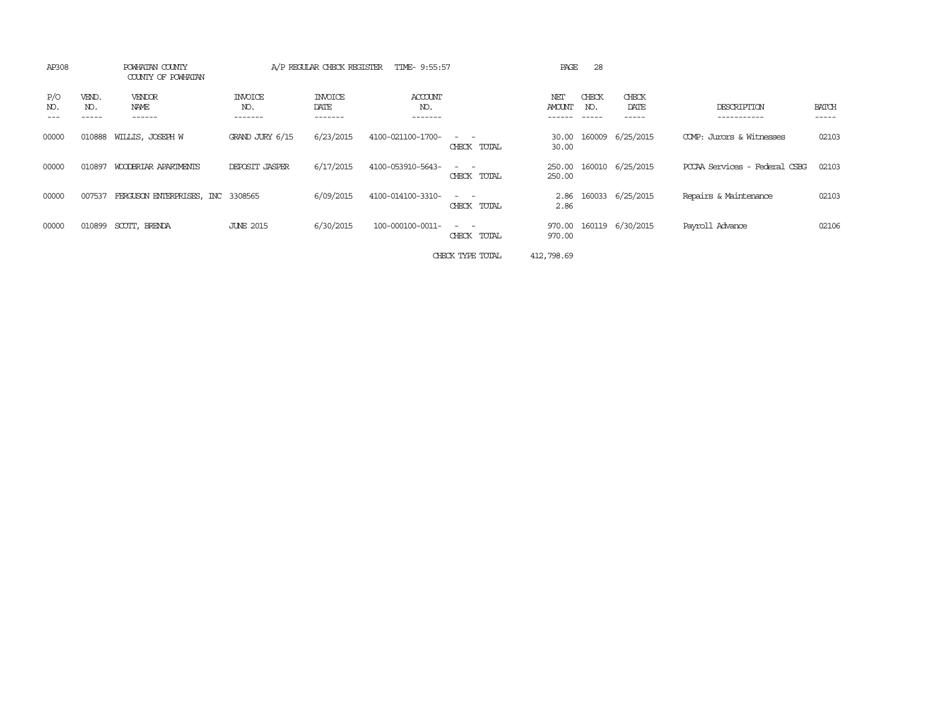| AP308      |                       | POWHATAN COUNTY<br>COUNTY OF POWHATAN |                           | A/P REGULAR CHECK REGISTER        | TIME- 9:55:57                    |                                                                                                                             | PAGE             | 28           |                        |                               |                       |
|------------|-----------------------|---------------------------------------|---------------------------|-----------------------------------|----------------------------------|-----------------------------------------------------------------------------------------------------------------------------|------------------|--------------|------------------------|-------------------------------|-----------------------|
| P/O<br>NO. | VEND.<br>NO.<br>----- | VENDOR<br>NAME<br>------              | INVOICE<br>NO.<br>------- | <b>INVOICE</b><br>DATE<br>------- | <b>ACCOUNT</b><br>NO.<br>------- |                                                                                                                             | NET<br>AMOUNT    | CHECK<br>NO. | CHECK<br>DATE<br>----- | DESCRIPTION<br>-----------    | <b>BATCH</b><br>----- |
| 00000      | 010888                | WILLIS, JOSEPH W                      | GRAND JURY 6/15           | 6/23/2015                         | 4100-021100-1700-                | $\sim$ $\sim$<br>CHECK TOTAL                                                                                                | 30.00<br>30.00   |              | 160009 6/25/2015       | COMP: Jurors & Witnesses      | 02103                 |
| 00000      | 010897                | WOODBRIAR APARIMENTS                  | DEPOSIT JASPER            | 6/17/2015                         | 4100-053910-5643-                | CHECK TOTAL                                                                                                                 | 250.00<br>250.00 |              | 160010 6/25/2015       | PCCAA Services - Federal CSBG | 02103                 |
| 00000      | 007537                | FERGUSON ENTERPRISES, INC 3308565     |                           | 6/09/2015                         | 4100-014100-3310-                | $\sim$ $\sim$<br>CHECK TOTAL                                                                                                | 2.86<br>2.86     |              | 160033 6/25/2015       | Repairs & Maintenance         | 02103                 |
| 00000      | 010899                | SCOTT, BRENDA                         | <b>JUNE 2015</b>          | 6/30/2015                         | 100-000100-0011-                 | $\frac{1}{2} \left( \frac{1}{2} \right) \left( \frac{1}{2} \right) = \frac{1}{2} \left( \frac{1}{2} \right)$<br>CHECK TOTAL | 970.00<br>970.00 |              | 160119 6/30/2015       | Payroll Advance               | 02106                 |
|            |                       |                                       |                           |                                   |                                  | CHECK TYPE TOTAL                                                                                                            | 412,798.69       |              |                        |                               |                       |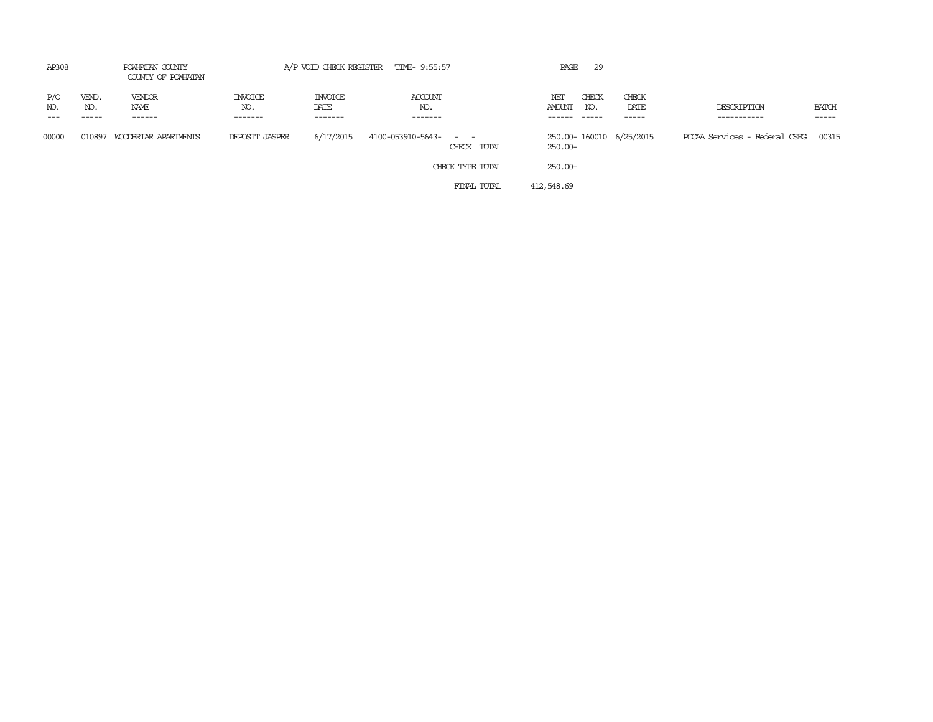| AP308      |                       | POWHATAN COUNTY<br>COUNTY OF POWHATAN |                                  |                            | A/P VOID CHECK REGISTER TIME- 9:55:57 | PAGE          | 29           |                         |                                     |                       |
|------------|-----------------------|---------------------------------------|----------------------------------|----------------------------|---------------------------------------|---------------|--------------|-------------------------|-------------------------------------|-----------------------|
| P/O<br>NO. | VEND.<br>NO.<br>----- | VENDOR<br>NAME<br>------              | <b>INVOICE</b><br>NO.<br>------- | INVOICE<br>DATE<br>------- | ACCOUNT<br>NO.<br>-------             | NET<br>AMOUNT | CHECK<br>NO. | CHECK<br>DATE<br>-----  | DESCRIPTION<br>-----------          | <b>BATCH</b><br>----- |
| 00000      | 010897                | WOODBRIAR APARIMENTS                  | DEPOSIT JASPER                   | 6/17/2015                  | 4100-053910-5643- - -<br>CHECK TOTAL  | $250.00 -$    |              | 250.00-160010 6/25/2015 | PCCAA Services - Federal CSBG 00315 |                       |
|            |                       |                                       |                                  |                            | CHECK TYPE TOTAL                      | $250.00 -$    |              |                         |                                     |                       |
|            |                       |                                       |                                  |                            | FINAL TOTAL                           | 412,548.69    |              |                         |                                     |                       |
|            |                       |                                       |                                  |                            |                                       |               |              |                         |                                     |                       |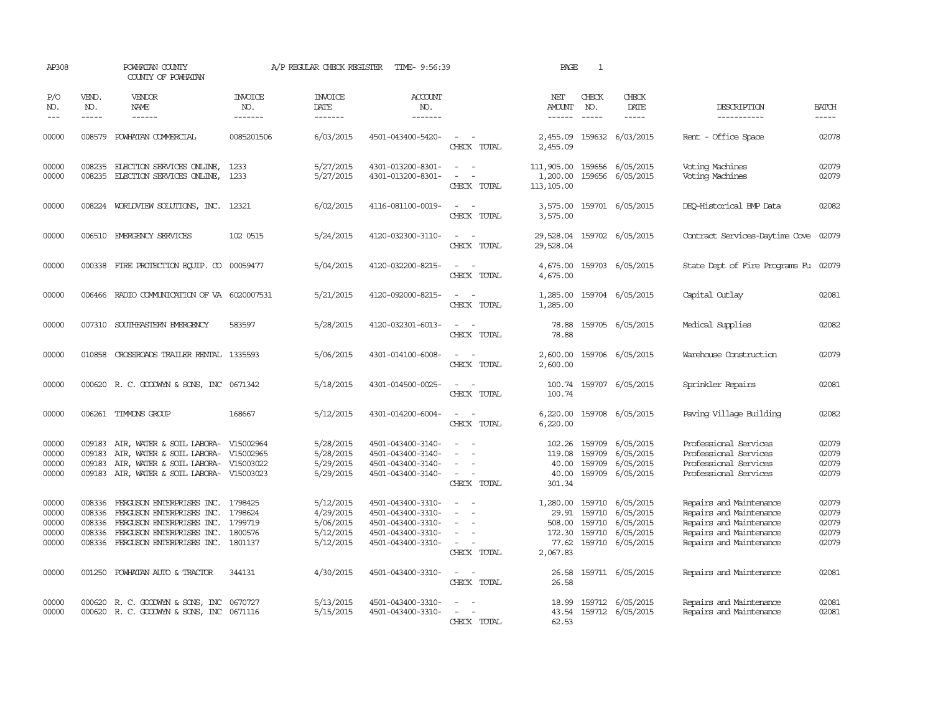| AP308                                     |                                      | POWHATAN COUNTY<br>COUNTY OF POWHATAN                                                                                                                        |                                          | A/P REGULAR CHECK REGISTER                                    | TIME- 9:56:39                                                                                         |                                                   | PAGE                                                       | $\mathbf{1}$                  |                                                                             |                                                                                                                                     |                                           |
|-------------------------------------------|--------------------------------------|--------------------------------------------------------------------------------------------------------------------------------------------------------------|------------------------------------------|---------------------------------------------------------------|-------------------------------------------------------------------------------------------------------|---------------------------------------------------|------------------------------------------------------------|-------------------------------|-----------------------------------------------------------------------------|-------------------------------------------------------------------------------------------------------------------------------------|-------------------------------------------|
| P/O<br>NO.<br>$\frac{1}{2}$               | VEND.<br>NO.<br>$- - - - -$          | VENDOR<br>NAME<br>$- - - - - -$                                                                                                                              | <b>INVOICE</b><br>NO.<br>-------         | <b>INVOICE</b><br>DATE<br>-------                             | <b>ACCOUNT</b><br>NO.<br>-------                                                                      |                                                   | NET<br>AMOUNT<br>$- - - - - -$                             | CHECK<br>NO.<br>$\frac{1}{2}$ | CHECK<br>DATE<br>-----                                                      | DESCRIPTION<br>-----------                                                                                                          | <b>BATCH</b><br>-----                     |
| 00000                                     | 008579                               | POWHATAN COMMERCIAL                                                                                                                                          | 0085201506                               | 6/03/2015                                                     | 4501-043400-5420-                                                                                     | $\sim$<br>CHECK TOTAL                             | 2,455.09<br>2,455.09                                       |                               | 159632 6/03/2015                                                            | Rent - Office Space                                                                                                                 | 02078                                     |
| 00000<br>00000                            | 008235<br>008235                     | ELECTION SERVICES ONLINE,<br>ELECTION SERVICES ONLINE,                                                                                                       | 1233<br>1233                             | 5/27/2015<br>5/27/2015                                        | 4301-013200-8301-<br>4301-013200-8301-                                                                | $\sim$ $ \sim$<br>$\sim$<br>CHECK TOTAL           | 111,905.00<br>1,200.00<br>113, 105.00                      |                               | 159656 6/05/2015<br>159656 6/05/2015                                        | Voting Machines<br>Voting Machines                                                                                                  | 02079<br>02079                            |
| 00000                                     |                                      | 008224 WORLDVIEW SOLUTIONS, INC. 12321                                                                                                                       |                                          | 6/02/2015                                                     | 4116-081100-0019-                                                                                     | CHECK TOTAL                                       | 3,575.00<br>3,575.00                                       |                               | 159701 6/05/2015                                                            | DEO-Historical BMP Data                                                                                                             | 02082                                     |
| 00000                                     | 006510                               | EMERGENCY SERVICES                                                                                                                                           | 102 0515                                 | 5/24/2015                                                     | 4120-032300-3110-                                                                                     | $\sim$<br>$\sim$<br>CHECK TOTAL                   | 29,528.04<br>29,528.04                                     |                               | 159702 6/05/2015                                                            | Contract Services-Daytime Cove                                                                                                      | 02079                                     |
| 00000                                     | 000338                               | FIRE PROTECTION EQUIP. CO                                                                                                                                    | 00059477                                 | 5/04/2015                                                     | 4120-032200-8215-                                                                                     | $\equiv$<br>CHECK TOTAL                           | 4,675.00<br>4,675.00                                       |                               | 159703 6/05/2015                                                            | State Dept of Fire Programs Fu                                                                                                      | 02079                                     |
| 00000                                     | 006466                               | RADIO COMMUNICATION OF VA 6020007531                                                                                                                         |                                          | 5/21/2015                                                     | 4120-092000-8215-                                                                                     | $\overline{\phantom{a}}$<br>$\sim$<br>CHECK TOTAL | 1,285.00<br>1,285.00                                       |                               | 159704 6/05/2015                                                            | Capital Outlay                                                                                                                      | 02081                                     |
| 00000                                     |                                      | 007310 SOUTHEASTERN EMERGENCY                                                                                                                                | 583597                                   | 5/28/2015                                                     | 4120-032301-6013-                                                                                     | $\sim$ 10 $\pm$<br>CHECK TOTAL                    | 78.88<br>78.88                                             |                               | 159705 6/05/2015                                                            | Medical Supplies                                                                                                                    | 02082                                     |
| 00000                                     |                                      | 010858 CROSSROADS TRAILER RENTAL 1335593                                                                                                                     |                                          | 5/06/2015                                                     | 4301-014100-6008-                                                                                     | $\sim$<br>CHECK TOTAL                             | 2,600.00<br>2,600.00                                       |                               | 159706 6/05/2015                                                            | Warehouse Construction                                                                                                              | 02079                                     |
| 00000                                     |                                      | 000620 R. C. GOODWYN & SONS, INC 0671342                                                                                                                     |                                          | 5/18/2015                                                     | 4301-014500-0025-                                                                                     | CHECK TOTAL                                       | 100.74                                                     |                               | 100.74 159707 6/05/2015                                                     | Sprinkler Repairs                                                                                                                   | 02081                                     |
| 00000                                     |                                      | 006261 TIMMONS GROUP                                                                                                                                         | 168667                                   | 5/12/2015                                                     | 4301-014200-6004-                                                                                     | CHECK TOTAL                                       | 6,220.00<br>6,220.00                                       |                               | 159708 6/05/2015                                                            | Paving Village Building                                                                                                             | 02082                                     |
| 00000<br>00000<br>00000<br>00000          | 009183<br>009183<br>009183           | AIR, WATER & SOIL LABORA-<br>AIR, WATER & SOIL LABORA- V15002965<br>AIR, WATER & SOIL LABORA-<br>009183 AIR, WATER & SOIL LABORA-                            | V15002964<br>V15003022<br>V15003023      | 5/28/2015<br>5/28/2015<br>5/29/2015<br>5/29/2015              | 4501-043400-3140-<br>4501-043400-3140-<br>4501-043400-3140-<br>4501-043400-3140-                      | $\equiv$<br>CHECK TOTAL                           | 102.26<br>119.08<br>40.00<br>40.00<br>301.34               | 159709<br>159709<br>159709    | 6/05/2015<br>6/05/2015<br>6/05/2015<br>159709 6/05/2015                     | Professional Services<br>Professional Services<br>Professional Services<br>Professional Services                                    | 02079<br>02079<br>02079<br>02079          |
| 00000<br>00000<br>00000<br>00000<br>00000 | 008336<br>008336<br>008336<br>008336 | FERGUSON ENTERPRISES INC.<br>FERGUSON ENTERPRISES INC.<br>FERGUSON ENTERPRISES INC.<br>FERGUSON ENTERPRISES INC.<br>008336 FERGUSON ENTERPRISES INC. 1801137 | 1798425<br>1798624<br>1799719<br>1800576 | 5/12/2015<br>4/29/2015<br>5/06/2015<br>5/12/2015<br>5/12/2015 | 4501-043400-3310-<br>4501-043400-3310-<br>4501-043400-3310-<br>4501-043400-3310-<br>4501-043400-3310- | CHECK TOTAL                                       | 1,280.00<br>29.91<br>508.00<br>172.30<br>77.62<br>2,067.83 | 159710<br>159710<br>159710    | 159710 6/05/2015<br>6/05/2015<br>6/05/2015<br>6/05/2015<br>159710 6/05/2015 | Repairs and Maintenance<br>Repairs and Maintenance<br>Repairs and Maintenance<br>Repairs and Maintenance<br>Repairs and Maintenance | 02079<br>02079<br>02079<br>02079<br>02079 |
| 00000                                     | 001250                               | POWHATAN AUTO & TRACTOR                                                                                                                                      | 344131                                   | 4/30/2015                                                     | 4501-043400-3310-                                                                                     | $\overline{\phantom{a}}$<br>- -<br>CHECK TOTAL    | 26.58<br>26.58                                             |                               | 159711 6/05/2015                                                            | Repairs and Maintenance                                                                                                             | 02081                                     |
| 00000<br>00000                            |                                      | 000620 R. C. GOODWYN & SONS, INC 0670727<br>000620 R. C. GOODWYN & SONS, INC 0671116                                                                         |                                          | 5/13/2015<br>5/15/2015                                        | 4501-043400-3310-<br>4501-043400-3310-                                                                | CHECK TOTAL                                       | 18.99<br>43.54<br>62.53                                    |                               | 159712 6/05/2015<br>159712 6/05/2015                                        | Repairs and Maintenance<br>Repairs and Maintenance                                                                                  | 02081<br>02081                            |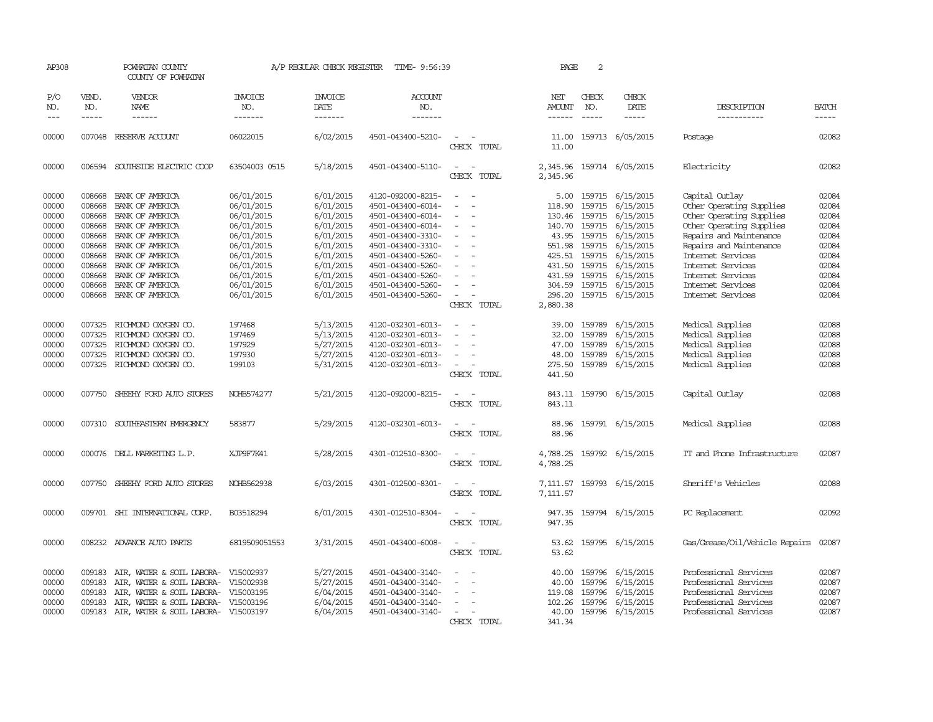| AP308                                                                                           |                                                | POWHATAN COUNTY<br>COUNTY OF POWHATAN                                                                                                                                                                                                                   |                                                                                                                                                        | A/P REGULAR CHECK REGISTER                                                                                                                  | TIME- 9:56:39                                                                                                                                                                                                                       |                                                                                                                    | PAGE                                                                                         | 2                                                                  |                                                                                                                                                                              |                                                                                                                                                                                                                                                                   |                                                                                                 |
|-------------------------------------------------------------------------------------------------|------------------------------------------------|---------------------------------------------------------------------------------------------------------------------------------------------------------------------------------------------------------------------------------------------------------|--------------------------------------------------------------------------------------------------------------------------------------------------------|---------------------------------------------------------------------------------------------------------------------------------------------|-------------------------------------------------------------------------------------------------------------------------------------------------------------------------------------------------------------------------------------|--------------------------------------------------------------------------------------------------------------------|----------------------------------------------------------------------------------------------|--------------------------------------------------------------------|------------------------------------------------------------------------------------------------------------------------------------------------------------------------------|-------------------------------------------------------------------------------------------------------------------------------------------------------------------------------------------------------------------------------------------------------------------|-------------------------------------------------------------------------------------------------|
| P/O<br>NO.<br>$---$                                                                             | VEND.<br>NO.<br>$- - - - -$                    | VENDOR<br><b>NAME</b><br>$- - - - - -$                                                                                                                                                                                                                  | <b>INVOICE</b><br>NO.<br>-------                                                                                                                       | <b>INVOICE</b><br>DATE<br>-------                                                                                                           | <b>ACCOUNT</b><br>NO.<br>-------                                                                                                                                                                                                    |                                                                                                                    | NET<br>AMOUNT<br>$- - - - - -$                                                               | CHECK<br>NO.<br>$\frac{1}{2}$                                      | CHECK<br>DATE<br>-----                                                                                                                                                       | DESCRIPTION<br>-----------                                                                                                                                                                                                                                        | <b>BATCH</b><br>$- - - - -$                                                                     |
| 00000                                                                                           |                                                | 007048 RESERVE ACCOUNT                                                                                                                                                                                                                                  | 06022015                                                                                                                                               | 6/02/2015                                                                                                                                   | 4501-043400-5210-                                                                                                                                                                                                                   | CHECK TOTAL                                                                                                        | 11.00<br>11.00                                                                               |                                                                    | 159713 6/05/2015                                                                                                                                                             | Postage                                                                                                                                                                                                                                                           | 02082                                                                                           |
| 00000                                                                                           |                                                | 006594 SOUTHSIDE ELECTRIC COOP                                                                                                                                                                                                                          | 63504003 0515                                                                                                                                          | 5/18/2015                                                                                                                                   | 4501-043400-5110-                                                                                                                                                                                                                   | $\overline{\phantom{a}}$<br>$\sim$<br>CHECK TOTAL                                                                  | 2,345.96                                                                                     |                                                                    | 2,345.96 159714 6/05/2015                                                                                                                                                    | Electricity                                                                                                                                                                                                                                                       | 02082                                                                                           |
| 00000<br>00000<br>00000<br>00000<br>00000<br>00000<br>00000<br>00000<br>00000<br>00000<br>00000 | 008668<br>008668<br>008668<br>008668<br>008668 | 008668 BANK OF AMERICA<br>BANK OF AMERICA<br>BANK OF AMERICA<br>008668 BANK OF AMERICA<br>BANK OF AMERICA<br>008668 BANK OF AMERICA<br>008668 BANK OF AMERICA<br>008668 BANK OF AMERICA<br>BANK OF AMERICA<br>BANK OF AMERICA<br>008668 BANK OF AMERICA | 06/01/2015<br>06/01/2015<br>06/01/2015<br>06/01/2015<br>06/01/2015<br>06/01/2015<br>06/01/2015<br>06/01/2015<br>06/01/2015<br>06/01/2015<br>06/01/2015 | 6/01/2015<br>6/01/2015<br>6/01/2015<br>6/01/2015<br>6/01/2015<br>6/01/2015<br>6/01/2015<br>6/01/2015<br>6/01/2015<br>6/01/2015<br>6/01/2015 | 4120-092000-8215-<br>4501-043400-6014-<br>4501-043400-6014-<br>4501-043400-6014-<br>4501-043400-3310-<br>4501-043400-3310-<br>4501-043400-5260-<br>4501-043400-5260-<br>4501-043400-5260-<br>4501-043400-5260-<br>4501-043400-5260- | $\sim$<br>$\sim$<br>$\equiv$<br>$\sim$<br>$\overline{\phantom{a}}$<br>$\sim$<br>$\overline{\phantom{a}}$<br>$\sim$ | 118.90<br>130.46<br>140.70 159715<br>43.95<br>551.98<br>431.50<br>431.59<br>304.59<br>296.20 | 159715<br>159715<br>159715<br>159715<br>159715<br>159715<br>159715 | 5.00 159715 6/15/2015<br>6/15/2015<br>6/15/2015<br>6/15/2015<br>6/15/2015<br>6/15/2015<br>425.51 159715 6/15/2015<br>6/15/2015<br>6/15/2015<br>159715 6/15/2015<br>6/15/2015 | Capital Outlay<br>Other Operating Supplies<br>Other Operating Supplies<br>Other Operating Supplies<br>Repairs and Maintenance<br>Repairs and Maintenance<br>Internet Services<br>Internet Services<br>Internet Services<br>Internet Services<br>Internet Services | 02084<br>02084<br>02084<br>02084<br>02084<br>02084<br>02084<br>02084<br>02084<br>02084<br>02084 |
|                                                                                                 |                                                |                                                                                                                                                                                                                                                         |                                                                                                                                                        |                                                                                                                                             |                                                                                                                                                                                                                                     | CHECK TOTAL                                                                                                        | 2,880.38                                                                                     |                                                                    |                                                                                                                                                                              |                                                                                                                                                                                                                                                                   |                                                                                                 |
| 00000<br>00000<br>00000<br>00000<br>00000                                                       | 007325<br>007325<br>007325                     | RICHMOND OXYGEN CO.<br>RICHMOND OXYGEN CO.<br>RICHMOND OXYGEN CO.<br>007325 RICHMOND OXYGEN CO.<br>007325 RICHMOND OXYGEN CO.                                                                                                                           | 197468<br>197469<br>197929<br>197930<br>199103                                                                                                         | 5/13/2015<br>5/13/2015<br>5/27/2015<br>5/27/2015<br>5/31/2015                                                                               | 4120-032301-6013-<br>4120-032301-6013-<br>4120-032301-6013-<br>4120-032301-6013-<br>4120-032301-6013-                                                                                                                               | $\overline{\phantom{a}}$<br>$\overline{\phantom{a}}$<br>$\sim$<br>$\sim$<br>$\sim$<br>CHECK TOTAL                  | 39.00<br>32.00<br>47.00<br>48.00<br>275.50<br>441.50                                         | 159789<br>159789<br>159789<br>159789<br>159789                     | 6/15/2015<br>6/15/2015<br>6/15/2015<br>6/15/2015<br>6/15/2015                                                                                                                | Medical Supplies<br>Medical Supplies<br>Medical Supplies<br>Medical Supplies<br>Medical Supplies                                                                                                                                                                  | 02088<br>02088<br>02088<br>02088<br>02088                                                       |
| 00000                                                                                           | 007750                                         | SHEEHY FORD AUTO STORES                                                                                                                                                                                                                                 | NOHB574277                                                                                                                                             | 5/21/2015                                                                                                                                   | 4120-092000-8215-                                                                                                                                                                                                                   | $\overline{\phantom{a}}$<br>CHECK TOTAL                                                                            | 843.11<br>843.11                                                                             |                                                                    | 159790 6/15/2015                                                                                                                                                             | Capital Outlay                                                                                                                                                                                                                                                    | 02088                                                                                           |
| 00000                                                                                           | 007310                                         | SOUTHEASTERN EMERGENCY                                                                                                                                                                                                                                  | 583877                                                                                                                                                 | 5/29/2015                                                                                                                                   | 4120-032301-6013-                                                                                                                                                                                                                   | CHECK TOTAL                                                                                                        | 88.96<br>88.96                                                                               |                                                                    | 159791 6/15/2015                                                                                                                                                             | Medical Supplies                                                                                                                                                                                                                                                  | 02088                                                                                           |
| 00000                                                                                           |                                                | 000076 DELL MARKETING L.P.                                                                                                                                                                                                                              | XJP9F7K41                                                                                                                                              | 5/28/2015                                                                                                                                   | 4301-012510-8300-                                                                                                                                                                                                                   | CHECK TOTAL                                                                                                        | 4,788.25<br>4,788.25                                                                         |                                                                    | 159792 6/15/2015                                                                                                                                                             | IT and Phone Infrastructure                                                                                                                                                                                                                                       | 02087                                                                                           |
| 00000                                                                                           | 007750                                         | SHEEHY FORD AUTO STORES                                                                                                                                                                                                                                 | NOHB562938                                                                                                                                             | 6/03/2015                                                                                                                                   | 4301-012500-8301-                                                                                                                                                                                                                   | CHECK TOTAL                                                                                                        | 7,111.57<br>7,111.57                                                                         |                                                                    | 159793 6/15/2015                                                                                                                                                             | Sheriff's Vehicles                                                                                                                                                                                                                                                | 02088                                                                                           |
| 00000                                                                                           |                                                | 009701 SHI INTERNATIONAL CORP.                                                                                                                                                                                                                          | B03518294                                                                                                                                              | 6/01/2015                                                                                                                                   | 4301-012510-8304-                                                                                                                                                                                                                   | CHECK TOTAL                                                                                                        | 947.35<br>947.35                                                                             |                                                                    | 159794 6/15/2015                                                                                                                                                             | PC Replacement                                                                                                                                                                                                                                                    | 02092                                                                                           |
| 00000                                                                                           |                                                | 008232 ADVANCE AUTO PARTS                                                                                                                                                                                                                               | 6819509051553                                                                                                                                          | 3/31/2015                                                                                                                                   | 4501-043400-6008-                                                                                                                                                                                                                   | $\sim$<br>CHECK TOTAL                                                                                              | 53.62<br>53.62                                                                               |                                                                    | 159795 6/15/2015                                                                                                                                                             | Gas/Grease/Oil/Vehicle Repairs                                                                                                                                                                                                                                    | 02087                                                                                           |
| 00000<br>00000<br>00000<br>00000<br>00000                                                       | 009183<br>009183<br>009183<br>009183           | AIR, WATER & SOIL LABORA- V15002937<br>AIR, WATER & SOIL LABORA-<br>AIR, WATER & SOIL LABORA- V15003195<br>AIR, WATER & SOIL LABORA- V15003196<br>009183 AIR, WATER & SOIL LABORA- V15003197                                                            | V15002938                                                                                                                                              | 5/27/2015<br>5/27/2015<br>6/04/2015<br>6/04/2015<br>6/04/2015                                                                               | 4501-043400-3140-<br>4501-043400-3140-<br>4501-043400-3140-<br>4501-043400-3140-<br>4501-043400-3140-                                                                                                                               | $\overline{\phantom{a}}$<br>CHECK TOTAL                                                                            | 40.00<br>40.00<br>119.08<br>102.26<br>341.34                                                 | 159796<br>159796<br>159796<br>159796                               | 6/15/2015<br>6/15/2015<br>6/15/2015<br>6/15/2015<br>40.00 159796 6/15/2015                                                                                                   | Professional Services<br>Professional Services<br>Professional Services<br>Professional Services<br>Professional Services                                                                                                                                         | 02087<br>02087<br>02087<br>02087<br>02087                                                       |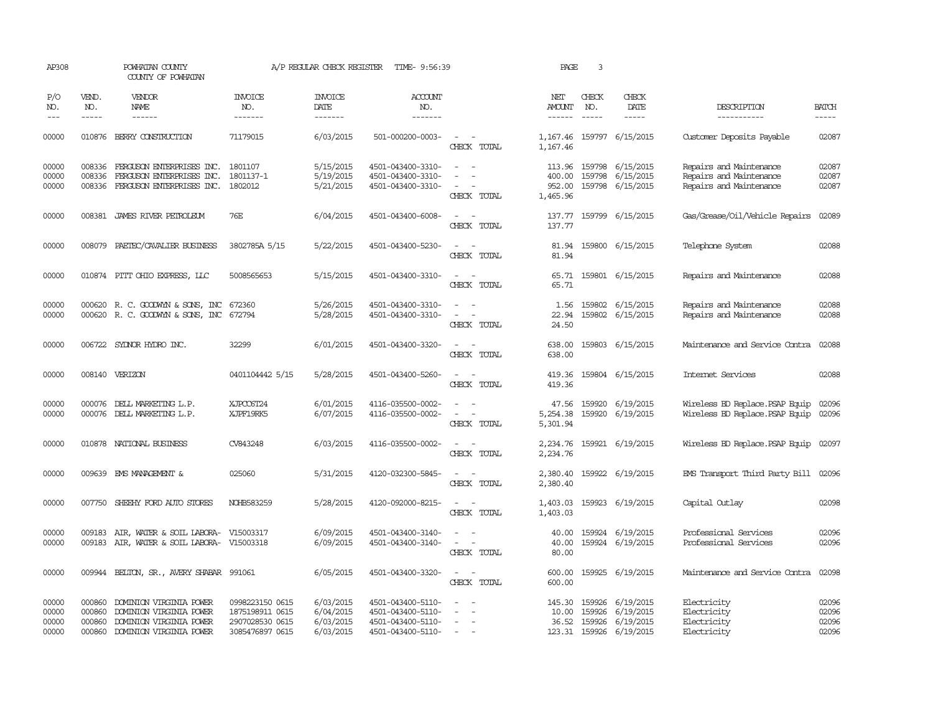| AP308                            |                                      | POWHATAN COUNTY<br>COUNTY OF POWHATAN                                                                    |                                                                          | A/P REGULAR CHECK REGISTER                       | TIME- 9:56:39                                                                    |                                                                     | PAGE                                   | 3                             |                                                                |                                                                               |                                  |
|----------------------------------|--------------------------------------|----------------------------------------------------------------------------------------------------------|--------------------------------------------------------------------------|--------------------------------------------------|----------------------------------------------------------------------------------|---------------------------------------------------------------------|----------------------------------------|-------------------------------|----------------------------------------------------------------|-------------------------------------------------------------------------------|----------------------------------|
| P/O<br>NO.<br>$\frac{1}{2}$      | VEND.<br>NO.<br>$\frac{1}{2}$        | <b>VENDOR</b><br>NAME<br>$- - - - - -$                                                                   | <b>INVOICE</b><br>NO.<br>-------                                         | <b>INVOICE</b><br>DATE<br>-------                | ACCOUNT<br>NO.<br>-------                                                        |                                                                     | NET<br><b>AMOUNT</b>                   | CHECK<br>NO.<br>$\frac{1}{2}$ | CHECK<br>DATE<br>-----                                         | DESCRIPTION<br>-----------                                                    | <b>BATCH</b><br>$- - - - -$      |
| 00000                            | 010876                               | BERRY CONSTRUCTION                                                                                       | 71179015                                                                 | 6/03/2015                                        | 501-000200-0003-                                                                 | $\sim$<br>$\sim$<br>CHECK TOTAL                                     | 1,167.46<br>1,167.46                   |                               | 159797 6/15/2015                                               | Customer Deposits Payable                                                     | 02087                            |
| 00000<br>00000<br>00000          | 008336<br>008336<br>008336           | FERGUSON ENTERPRISES INC.<br>FERGUSON ENTERPRISES INC.<br>FERGUSON ENTERPRISES INC.                      | 1801107<br>1801137-1<br>1802012                                          | 5/15/2015<br>5/19/2015<br>5/21/2015              | 4501-043400-3310-<br>4501-043400-3310-<br>4501-043400-3310-                      | $\sim$<br>$\overline{\phantom{a}}$<br>CHECK TOTAL                   | 113.96<br>400.00<br>952.00<br>1,465.96 | 159798                        | 159798 6/15/2015<br>6/15/2015<br>159798 6/15/2015              | Repairs and Maintenance<br>Repairs and Maintenance<br>Repairs and Maintenance | 02087<br>02087<br>02087          |
| 00000                            |                                      | 008381 JAMES RIVER PEIROLEUM                                                                             | 76E                                                                      | 6/04/2015                                        | 4501-043400-6008-                                                                | CHECK TOTAL                                                         | 137.77<br>137.77                       |                               | 159799 6/15/2015                                               | Gas/Grease/Oil/Vehicle Repairs                                                | 02089                            |
| 00000                            | 008079                               | PAETEC/CAVALIER BUSINESS                                                                                 | 3802785A 5/15                                                            | 5/22/2015                                        | 4501-043400-5230-                                                                | $\overline{\phantom{a}}$<br>CHECK TOTAL                             | 81.94<br>81.94                         |                               | 159800 6/15/2015                                               | Telephone System                                                              | 02088                            |
| 00000                            |                                      | 010874 PITT CHIO EXPRESS, LLC                                                                            | 5008565653                                                               | 5/15/2015                                        | 4501-043400-3310-                                                                | $\overline{\phantom{a}}$<br>$\sim$<br>CHECK TOTAL                   | 65.71<br>65.71                         |                               | 159801 6/15/2015                                               | Repairs and Maintenance                                                       | 02088                            |
| 00000<br>00000                   |                                      | 000620 R. C. GOODWYN & SONS, INC<br>000620 R. C. GOODWYN & SONS, INC                                     | 672360<br>672794                                                         | 5/26/2015<br>5/28/2015                           | 4501-043400-3310-<br>4501-043400-3310-                                           | $ -$<br>$\equiv$<br>$\overline{\phantom{a}}$<br>CHECK TOTAL         | 22.94<br>24.50                         | 159802                        | 1.56 159802 6/15/2015<br>6/15/2015                             | Repairs and Maintenance<br>Repairs and Maintenance                            | 02088<br>02088                   |
| 00000                            |                                      | 006722 SYDNOR HYDRO INC.                                                                                 | 32299                                                                    | 6/01/2015                                        | 4501-043400-3320-                                                                | $\sim$<br>CHECK TOTAL                                               | 638.00<br>638.00                       |                               | 159803 6/15/2015                                               | Maintenance and Service Contra                                                | 02088                            |
| 00000                            |                                      | 008140 VERIZON                                                                                           | 0401104442 5/15                                                          | 5/28/2015                                        | 4501-043400-5260-                                                                | $\sim$<br>$\overline{\phantom{a}}$<br>CHECK TOTAL                   | 419.36<br>419.36                       |                               | 159804 6/15/2015                                               | Internet Services                                                             | 02088                            |
| 00000<br>00000                   |                                      | 000076 DELL MARKETING L.P.<br>000076 DELL MARKETING L.P.                                                 | XJPCC6T24<br>XJPF19RK5                                                   | 6/01/2015<br>6/07/2015                           | 4116-035500-0002-<br>4116-035500-0002-                                           | $\overline{\phantom{a}}$<br>$\overline{\phantom{a}}$<br>CHECK TOTAL | 47.56<br>5,254.38<br>5,301.94          | 159920<br>159920              | 6/19/2015<br>6/19/2015                                         | Wireless BD Replace.PSAP Equip<br>Wireless BD Replace.PSAP Equip              | 02096<br>02096                   |
| 00000                            |                                      | 010878 NATIONAL BUSINESS                                                                                 | CV843248                                                                 | 6/03/2015                                        | 4116-035500-0002-                                                                | $\overline{\phantom{a}}$<br>$\overline{\phantom{0}}$<br>CHECK TOTAL | 2,234.76<br>2,234.76                   |                               | 159921 6/19/2015                                               | Wireless BD Replace.PSAP Equip                                                | 02097                            |
| 00000                            |                                      | 009639 EMS MANAGEMENT &                                                                                  | 025060                                                                   | 5/31/2015                                        | 4120-032300-5845-                                                                | CHECK TOTAL                                                         | 2,380.40<br>2,380.40                   |                               | 159922 6/19/2015                                               | EMS Transport Third Party Bill 02096                                          |                                  |
| 00000                            |                                      | 007750 SHEEHY FORD AUTO STORES                                                                           | NOHB583259                                                               | 5/28/2015                                        | 4120-092000-8215-                                                                | $\sim$<br>$\sim$<br>CHECK TOTAL                                     | 1,403.03<br>1,403.03                   |                               | 159923 6/19/2015                                               | Capital Outlay                                                                | 02098                            |
| 00000<br>00000                   | 009183                               | AIR, WATER & SOIL LABORA- V15003317<br>009183 AIR, WATER & SOIL LABORA- V15003318                        |                                                                          | 6/09/2015<br>6/09/2015                           | 4501-043400-3140-<br>4501-043400-3140-                                           | $\sim$<br>$\overline{\phantom{a}}$<br>CHECK TOTAL                   | 40.00<br>40.00<br>80.00                |                               | 159924 6/19/2015<br>159924 6/19/2015                           | Professional Services<br>Professional Services                                | 02096<br>02096                   |
| 00000                            |                                      | 009944 BELTON, SR., AVERY SHABAR 991061                                                                  |                                                                          | 6/05/2015                                        | 4501-043400-3320-                                                                | $\sim$<br>$\overline{\phantom{a}}$<br>CHECK TOTAL                   | 600.00<br>600.00                       |                               | 159925 6/19/2015                                               | Maintenance and Service Contra                                                | 02098                            |
| 00000<br>00000<br>00000<br>00000 | 000860<br>000860<br>000860<br>000860 | DOMINION VIRGINIA POWER<br>DOMINION VIRGINIA POWER<br>DOMINION VIRGINIA POWER<br>DOMINION VIRGINIA POWER | 0998223150 0615<br>1875198911 0615<br>2907028530 0615<br>3085476897 0615 | 6/03/2015<br>6/04/2015<br>6/03/2015<br>6/03/2015 | 4501-043400-5110-<br>4501-043400-5110-<br>4501-043400-5110-<br>4501-043400-5110- | $\equiv$<br>$\overline{\phantom{a}}$<br>$\sim$<br>$\sim$            | 145.30<br>10.00<br>36.52               | 159926<br>159926<br>159926    | 6/19/2015<br>6/19/2015<br>6/19/2015<br>123.31 159926 6/19/2015 | Electricity<br>Electricity<br>Electricity<br>Electricity                      | 02096<br>02096<br>02096<br>02096 |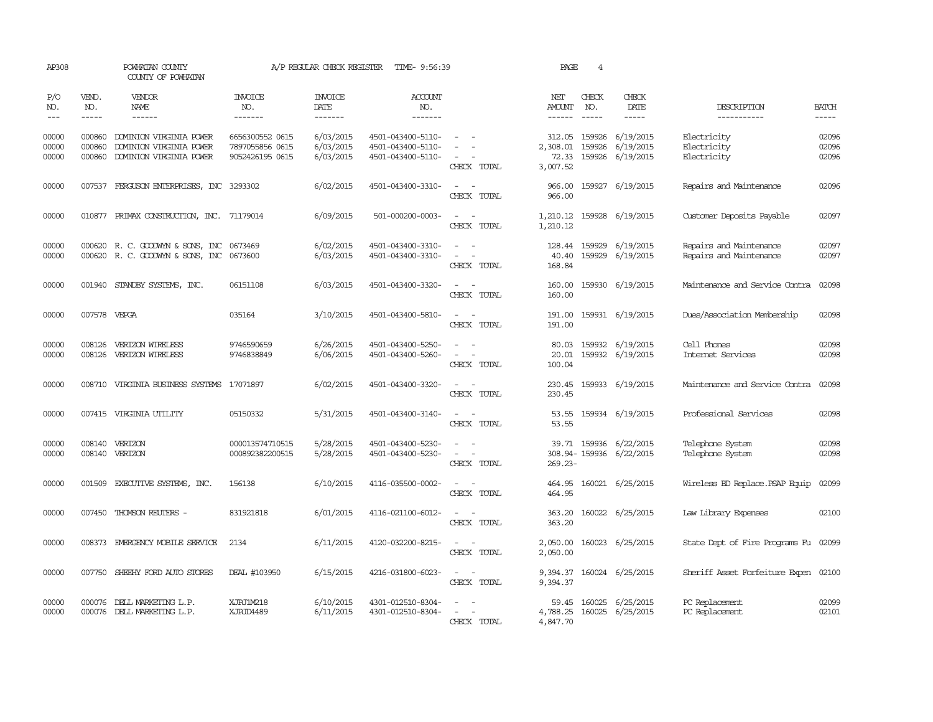| AP308                   |                             | POWHATAN COUNTY<br>COUNTY OF POWHATAN                                                |                                                       | A/P REGULAR CHECK REGISTER          | TIME- 9:56:39                                               |                                                                                                                             | PAGE                                    | 4                             |                                                   |                                                    |                             |
|-------------------------|-----------------------------|--------------------------------------------------------------------------------------|-------------------------------------------------------|-------------------------------------|-------------------------------------------------------------|-----------------------------------------------------------------------------------------------------------------------------|-----------------------------------------|-------------------------------|---------------------------------------------------|----------------------------------------------------|-----------------------------|
| P/O<br>NO.<br>$--$      | VEND.<br>NO.<br>$- - - - -$ | <b>VENDOR</b><br>NAME<br>$- - - - - -$                                               | <b>INVOICE</b><br>NO.<br>-------                      | <b>INVOICE</b><br>DATE<br>-------   | <b>ACCOUNT</b><br>NO.<br>-------                            |                                                                                                                             | NET<br>AMOUNT                           | CHECK<br>NO.<br>$\frac{1}{2}$ | CHECK<br>DATE<br>-----                            | DESCRIPTION<br>-----------                         | <b>BATCH</b><br>$- - - - -$ |
| 00000<br>00000<br>00000 | 000860<br>000860<br>000860  | DOMINION VIRGINIA POWER<br>DOMINION VIRGINIA POWER<br>DOMINION VIRGINIA POWER        | 6656300552 0615<br>7897055856 0615<br>9052426195 0615 | 6/03/2015<br>6/03/2015<br>6/03/2015 | 4501-043400-5110-<br>4501-043400-5110-<br>4501-043400-5110- | CHECK TOTAL                                                                                                                 | 312.05<br>2,308.01<br>72.33<br>3,007.52 | 159926                        | 159926 6/19/2015<br>6/19/2015<br>159926 6/19/2015 | Electricity<br>Electricity<br>Electricity          | 02096<br>02096<br>02096     |
| 00000                   |                             | 007537 FERGUSON ENTERPRISES, INC 3293302                                             |                                                       | 6/02/2015                           | 4501-043400-3310-                                           | $\frac{1}{2} \left( \frac{1}{2} \right) \left( \frac{1}{2} \right) = \frac{1}{2} \left( \frac{1}{2} \right)$<br>CHECK TOTAL | 966.00<br>966,00                        |                               | 159927 6/19/2015                                  | Repairs and Maintenance                            | 02096                       |
| 00000                   |                             | 010877 PRIMAX CONSTRUCTION, INC. 71179014                                            |                                                       | 6/09/2015                           | 501-000200-0003-                                            | CHECK TOTAL                                                                                                                 | 1,210.12<br>1,210.12                    |                               | 159928 6/19/2015                                  | Customer Deposits Payable                          | 02097                       |
| 00000<br>00000          |                             | 000620 R. C. GOODWYN & SONS, INC 0673469<br>000620 R. C. GOODWYN & SONS, INC 0673600 |                                                       | 6/02/2015<br>6/03/2015              | 4501-043400-3310-<br>4501-043400-3310-                      | $\equiv$<br>CHECK TOTAL                                                                                                     | 40.40<br>168.84                         |                               | 128.44 159929 6/19/2015<br>159929 6/19/2015       | Repairs and Maintenance<br>Repairs and Maintenance | 02097<br>02097              |
| 00000                   |                             | 001940 STANDBY SYSTEMS, INC.                                                         | 06151108                                              | 6/03/2015                           | 4501-043400-3320-                                           | $\frac{1}{2} \left( \frac{1}{2} \right) \left( \frac{1}{2} \right) = \frac{1}{2} \left( \frac{1}{2} \right)$<br>CHECK TOTAL | 160.00<br>160.00                        |                               | 159930 6/19/2015                                  | Maintenance and Service Contra                     | 02098                       |
| 00000                   | 007578 VEPGA                |                                                                                      | 035164                                                | 3/10/2015                           | 4501-043400-5810-                                           | $\sim$ $\sim$<br>CHECK TOTAL                                                                                                | 191.00<br>191.00                        |                               | 159931 6/19/2015                                  | Dues/Association Membership                        | 02098                       |
| 00000<br>00000          | 008126<br>008126            | VERIZON WIRELESS<br>VERIZON WIRELESS                                                 | 9746590659<br>9746838849                              | 6/26/2015<br>6/06/2015              | 4501-043400-5250-<br>4501-043400-5260-                      | CHECK TOTAL                                                                                                                 | 80.03<br>20.01<br>100.04                |                               | 159932 6/19/2015<br>159932 6/19/2015              | Cell Phones<br>Internet Services                   | 02098<br>02098              |
| 00000                   | 008710                      | VIRGINIA BUSINESS SYSTEMS                                                            | 17071897                                              | 6/02/2015                           | 4501-043400-3320-                                           | $\equiv$<br>CHECK TOTAL                                                                                                     | 230.45<br>230.45                        |                               | 159933 6/19/2015                                  | Maintenance and Service Contra                     | 02098                       |
| 00000                   |                             | 007415 VIRGINIA UTILITY                                                              | 05150332                                              | 5/31/2015                           | 4501-043400-3140-                                           | CHECK TOTAL                                                                                                                 | 53.55<br>53.55                          |                               | 159934 6/19/2015                                  | Professional Services                              | 02098                       |
| 00000<br>00000          | 008140                      | VERIZON<br>008140 VERIZON                                                            | 000013574710515<br>000892382200515                    | 5/28/2015<br>5/28/2015              | 4501-043400-5230-<br>4501-043400-5230-                      | $\sim$<br>$\overline{\phantom{a}}$<br>CHECK TOTAL                                                                           | 39.71<br>$269.23 -$                     |                               | 159936 6/22/2015<br>308.94-159936 6/22/2015       | Telephone System<br>Telephone System               | 02098<br>02098              |
| 00000                   |                             | 001509 EXECUTIVE SYSTEMS, INC.                                                       | 156138                                                | 6/10/2015                           | 4116-035500-0002-                                           | CHECK TOTAL                                                                                                                 | 464.95<br>464.95                        |                               | 160021 6/25/2015                                  | Wireless BD Replace.PSAP Equip                     | 02099                       |
| 00000                   |                             | 007450 THOMSON REUTERS -                                                             | 831921818                                             | 6/01/2015                           | 4116-021100-6012-                                           | $\frac{1}{2} \left( \frac{1}{2} \right) \left( \frac{1}{2} \right) = \frac{1}{2} \left( \frac{1}{2} \right)$<br>CHECK TOTAL | 363.20<br>363.20                        |                               | 160022 6/25/2015                                  | Law Library Expenses                               | 02100                       |
| 00000                   |                             | 008373 EMERGENCY MOBILE SERVICE                                                      | 2134                                                  | 6/11/2015                           | 4120-032200-8215-                                           | $\omega_{\rm{max}}$ and $\omega_{\rm{max}}$<br>CHECK TOTAL                                                                  | 2,050.00<br>2,050.00                    |                               | 160023 6/25/2015                                  | State Dept of Fire Programs Fu                     | 02099                       |
| 00000                   | 007750                      | SHEEHY FORD AUTO STORES                                                              | DEAL #103950                                          | 6/15/2015                           | 4216-031800-6023-                                           | $\sim$<br>$\sim$<br>CHECK TOTAL                                                                                             | 9,394.37<br>9,394.37                    |                               | 160024 6/25/2015                                  | Sheriff Asset Forfeiture Expen 02100               |                             |
| 00000<br>00000          | 000076                      | DELL MARKETING L.P.<br>000076 DELL MARKETING L.P.                                    | XJRJ1M218<br>XJRJD4489                                | 6/10/2015<br>6/11/2015              | 4301-012510-8304-<br>4301-012510-8304-                      | CHECK TOTAL                                                                                                                 | 59.45<br>4,788.25<br>4,847.70           |                               | 160025 6/25/2015<br>160025 6/25/2015              | PC Replacement<br>PC Replacement                   | 02099<br>02101              |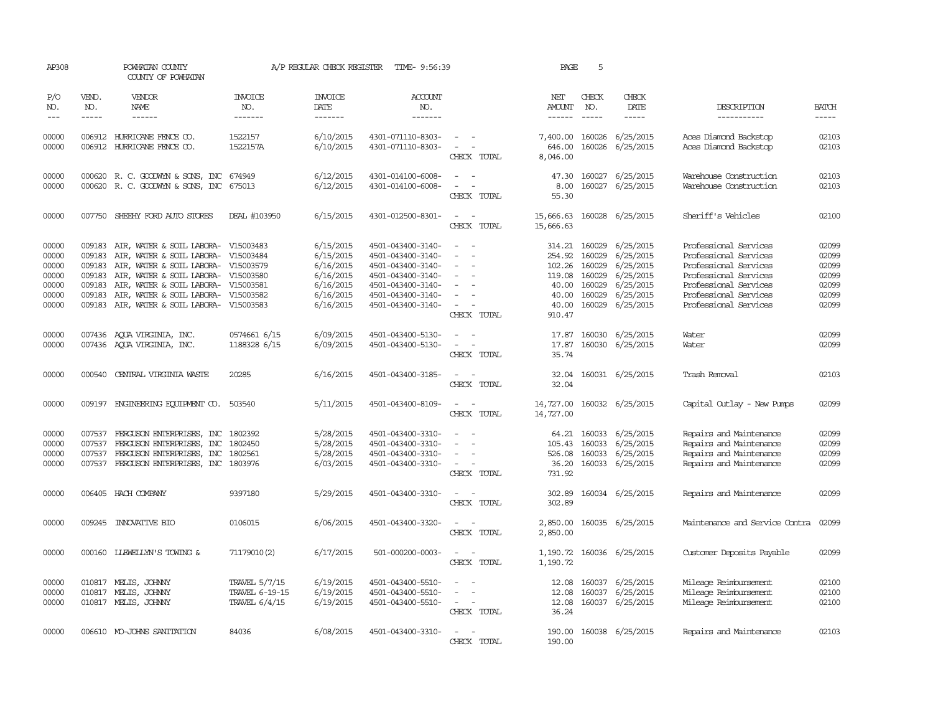| AP308                                                       |                                                | POWHATAN COUNTY<br>COUNTY OF POWHATAN                                                                                                                                                                                                               |                                                  | A/P REGULAR CHECK REGISTER                                                              | TIME- 9:56:39                                                                                                                                   |                                                                     | PAGE                                                            | 5                                                               |                                                                                                |                                                                                                                                                                             |                                                             |
|-------------------------------------------------------------|------------------------------------------------|-----------------------------------------------------------------------------------------------------------------------------------------------------------------------------------------------------------------------------------------------------|--------------------------------------------------|-----------------------------------------------------------------------------------------|-------------------------------------------------------------------------------------------------------------------------------------------------|---------------------------------------------------------------------|-----------------------------------------------------------------|-----------------------------------------------------------------|------------------------------------------------------------------------------------------------|-----------------------------------------------------------------------------------------------------------------------------------------------------------------------------|-------------------------------------------------------------|
| P/O<br>NO.<br>$---$                                         | VEND.<br>NO.<br>$\frac{1}{2}$                  | <b>VENDOR</b><br>NAME<br>$- - - - - -$                                                                                                                                                                                                              | <b>INVOICE</b><br>NO.<br>-------                 | <b>INVOICE</b><br>DATE<br>-------                                                       | ACCOUNT<br>NO.<br>-------                                                                                                                       |                                                                     | NET<br>AMOUNT                                                   | CHECK<br>NO.<br>$\frac{1}{2}$                                   | CHECK<br>DATE<br>-----                                                                         | DESCRIPTION<br>-----------                                                                                                                                                  | <b>BATCH</b><br>$- - - - -$                                 |
| 00000<br>00000                                              |                                                | 006912 HURRICANE FENCE CO.<br>006912 HURRICANE FENCE CO.                                                                                                                                                                                            | 1522157<br>1522157A                              | 6/10/2015<br>6/10/2015                                                                  | 4301-071110-8303-<br>4301-071110-8303-                                                                                                          | $\sim$ $\sim$<br>$\overline{\phantom{a}}$<br>CHECK TOTAL            | 7,400.00<br>646.00<br>8,046.00                                  | 160026<br>160026                                                | 6/25/2015<br>6/25/2015                                                                         | Aces Diamond Backstop<br>Aces Diamond Backstop                                                                                                                              | 02103<br>02103                                              |
| 00000<br>00000                                              |                                                | 000620 R. C. GOODWYN & SONS, INC<br>000620 R. C. GOODWYN & SONS, INC 675013                                                                                                                                                                         | 674949                                           | 6/12/2015<br>6/12/2015                                                                  | 4301-014100-6008-<br>4301-014100-6008-                                                                                                          | CHECK TOTAL                                                         | 47.30<br>8.00<br>55.30                                          | 160027                                                          | 6/25/2015<br>160027 6/25/2015                                                                  | Warehouse Construction<br>Warehouse Construction                                                                                                                            | 02103<br>02103                                              |
| 00000                                                       |                                                | 007750 SHEEHY FORD AUTO STORES                                                                                                                                                                                                                      | DEAL #103950                                     | 6/15/2015                                                                               | 4301-012500-8301-                                                                                                                               | $\sim$<br>$\overline{\phantom{a}}$<br>CHECK TOTAL                   | 15,666.63<br>15,666.63                                          |                                                                 | 160028 6/25/2015                                                                               | Sheriff's Vehicles                                                                                                                                                          | 02100                                                       |
| 00000<br>00000<br>00000<br>00000<br>00000<br>00000<br>00000 | 009183<br>009183<br>009183<br>009183<br>009183 | 009183 AIR, WATER & SOIL LABORA- V15003483<br>AIR, WATER & SOIL LABORA-<br>AIR, WATER & SOIL LABORA-<br>AIR, WATER & SOIL LABORA-<br>AIR, WATER & SOIL LABORA- V15003581<br>AIR, WATER & SOIL LABORA-<br>009183 AIR, WATER & SOIL LABORA- V15003583 | V15003484<br>V15003579<br>V15003580<br>V15003582 | 6/15/2015<br>6/15/2015<br>6/16/2015<br>6/16/2015<br>6/16/2015<br>6/16/2015<br>6/16/2015 | 4501-043400-3140-<br>4501-043400-3140-<br>4501-043400-3140-<br>4501-043400-3140-<br>4501-043400-3140-<br>4501-043400-3140-<br>4501-043400-3140- | $\sim$<br>$\equiv$<br>CHECK TOTAL                                   | 254.92<br>102.26<br>119.08<br>40.00<br>40.00<br>40.00<br>910.47 | 314.21 160029<br>160029<br>160029<br>160029<br>160029<br>160029 | 6/25/2015<br>6/25/2015<br>6/25/2015<br>6/25/2015<br>6/25/2015<br>6/25/2015<br>160029 6/25/2015 | Professional Services<br>Professional Services<br>Professional Services<br>Professional Services<br>Professional Services<br>Professional Services<br>Professional Services | 02099<br>02099<br>02099<br>02099<br>02099<br>02099<br>02099 |
| 00000<br>00000                                              |                                                | 007436 AQUA VIRGINIA, INC.<br>007436 AQUA VIRGINIA, INC.                                                                                                                                                                                            | 0574661 6/15<br>1188328 6/15                     | 6/09/2015<br>6/09/2015                                                                  | 4501-043400-5130-<br>4501-043400-5130-                                                                                                          | CHECK TOTAL                                                         | 17.87<br>35.74                                                  |                                                                 | 17.87 160030 6/25/2015<br>160030 6/25/2015                                                     | Water<br>Water                                                                                                                                                              | 02099<br>02099                                              |
| 00000                                                       | 000540                                         | CENTRAL VIRGINIA WASTE                                                                                                                                                                                                                              | 20285                                            | 6/16/2015                                                                               | 4501-043400-3185-                                                                                                                               | . —<br>CHECK TOTAL                                                  | 32.04<br>32.04                                                  |                                                                 | 160031 6/25/2015                                                                               | Trash Removal                                                                                                                                                               | 02103                                                       |
| 00000                                                       | 009197                                         | ENGINEERING EQUIPMENT CO.                                                                                                                                                                                                                           | 503540                                           | 5/11/2015                                                                               | 4501-043400-8109-                                                                                                                               | CHECK TOTAL                                                         | 14,727.00<br>14,727.00                                          |                                                                 | 160032 6/25/2015                                                                               | Capital Outlay - New Pumps                                                                                                                                                  | 02099                                                       |
| 00000<br>00000<br>00000<br>00000                            | 007537<br>007537<br>007537                     | FERGUSON ENTERPRISES, INC<br>FERGUSON ENTERPRISES, INC<br>FERGUSON ENTERPRISES, INC<br>007537 FERGUSON ENTERPRISES, INC                                                                                                                             | 1802392<br>1802450<br>1802561<br>1803976         | 5/28/2015<br>5/28/2015<br>5/28/2015<br>6/03/2015                                        | 4501-043400-3310-<br>4501-043400-3310-<br>4501-043400-3310-<br>4501-043400-3310-                                                                | $\equiv$<br>$\overline{\phantom{a}}$<br>CHECK TOTAL                 | 64.21<br>105.43<br>526.08<br>36.20<br>731.92                    | 160033                                                          | 160033 6/25/2015<br>6/25/2015<br>160033 6/25/2015<br>160033 6/25/2015                          | Repairs and Maintenance<br>Repairs and Maintenance<br>Repairs and Maintenance<br>Repairs and Maintenance                                                                    | 02099<br>02099<br>02099<br>02099                            |
| 00000                                                       |                                                | 006405 HACH COMPANY                                                                                                                                                                                                                                 | 9397180                                          | 5/29/2015                                                                               | 4501-043400-3310-                                                                                                                               | $\sim$<br>$\overline{\phantom{a}}$<br>CHECK TOTAL                   | 302.89<br>302.89                                                |                                                                 | 160034 6/25/2015                                                                               | Repairs and Maintenance                                                                                                                                                     | 02099                                                       |
| 00000                                                       |                                                | 009245 INNOVATIVE BIO                                                                                                                                                                                                                               | 0106015                                          | 6/06/2015                                                                               | 4501-043400-3320-                                                                                                                               | $\sim$<br>CHECK TOTAL                                               | 2,850.00<br>2,850.00                                            |                                                                 | 160035 6/25/2015                                                                               | Maintenance and Service Contra                                                                                                                                              | 02099                                                       |
| 00000                                                       |                                                | 000160 LIEWELLYN'S TOWING &                                                                                                                                                                                                                         | 71179010(2)                                      | 6/17/2015                                                                               | 501-000200-0003-                                                                                                                                | - -<br>CHECK TOTAL                                                  | 1,190.72                                                        |                                                                 | 1,190.72 160036 6/25/2015                                                                      | Customer Deposits Payable                                                                                                                                                   | 02099                                                       |
| 00000<br>00000<br>00000                                     | 010817                                         | MELIS, JOHNNY<br>010817 MELIS, JOHNNY<br>010817 MELIS, JOHNNY                                                                                                                                                                                       | TRAVEL 5/7/15<br>TRAVEL 6-19-15<br>TRAVEL 6/4/15 | 6/19/2015<br>6/19/2015<br>6/19/2015                                                     | 4501-043400-5510-<br>4501-043400-5510-<br>4501-043400-5510-                                                                                     | $\overline{\phantom{a}}$<br>$\overline{\phantom{0}}$<br>CHECK TOTAL | 12.08<br>12.08<br>12.08<br>36.24                                | 160037<br>160037                                                | 6/25/2015<br>6/25/2015<br>160037 6/25/2015                                                     | Mileage Reimbursement<br>Mileage Reimbursement<br>Mileage Reimbursement                                                                                                     | 02100<br>02100<br>02100                                     |
| 00000                                                       |                                                | 006610 MO-JOHNS SANITATION                                                                                                                                                                                                                          | 84036                                            | 6/08/2015                                                                               | 4501-043400-3310-                                                                                                                               | CHECK TOTAL                                                         | 190.00                                                          |                                                                 | 190.00 160038 6/25/2015                                                                        | Repairs and Maintenance                                                                                                                                                     | 02103                                                       |